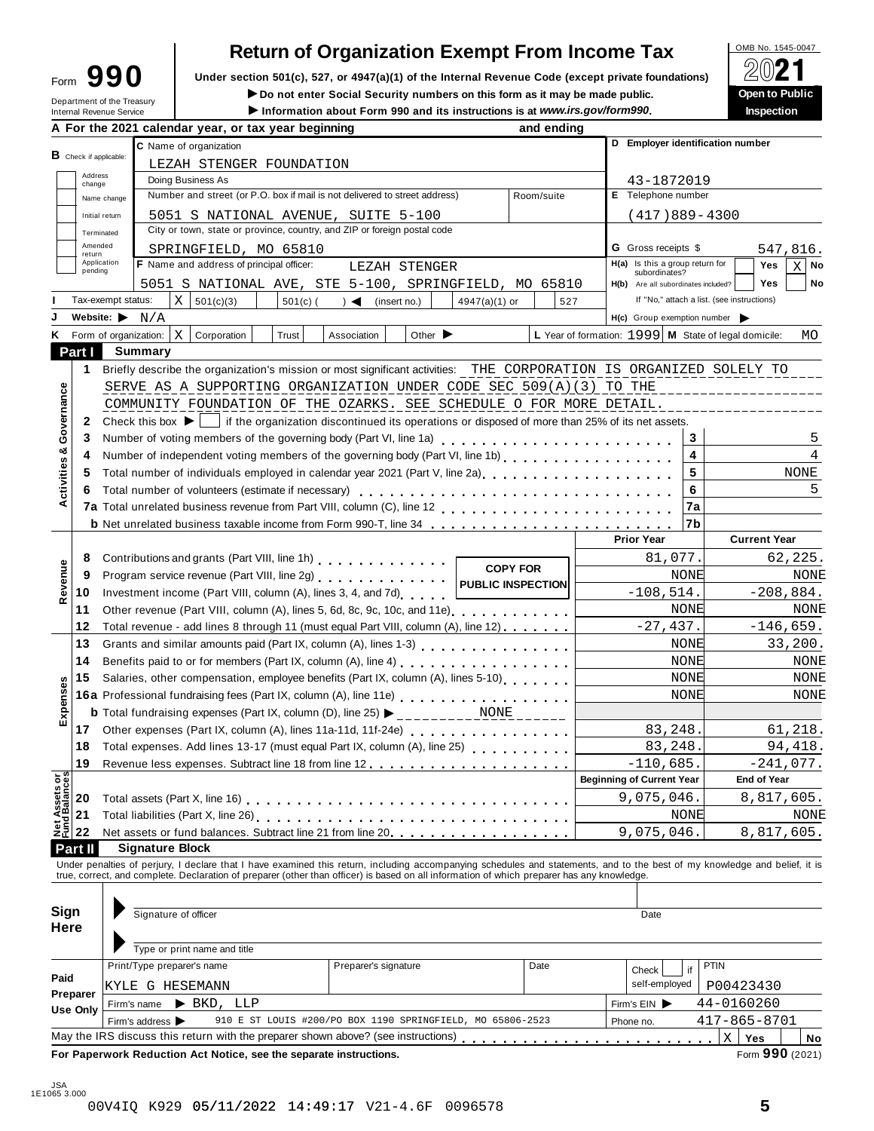| orm | 990 |  |
|-----|-----|--|
|     |     |  |

### **Return of Organization Exempt From Income Tax**

Form  $\mathbf{990}$  Under section 501(c), 527, or 4947(a)(1) of the Internal Revenue Code (except private foundations)  $\Box$   $\Box$   $\Box$   $\Box$ 

**IDED 1999 DELLA COMPUT DE CONCRETE SOCIAL SECURITY NUMBER ON this form as it may be made public. Open to Public internal Revenue Service <b>Computer of the Treasury Department of the Treasury Department of the Treasury** 

|                                        |                        | Department of the Treasury<br>Internal Revenue Service                                                                                                                                                                            |                        |                                | ► Do not enter Social Security numbers on this form as it may be made public.<br>Information about Form 990 and its instructions is at www.irs.gov/form990. |  |                                    |              |                             |                 |                 |                          |     |                                  |           |                            |         |                                     |                                                      |     | <b>Open to Public</b><br><b>Inspection</b> |             |             |
|----------------------------------------|------------------------|-----------------------------------------------------------------------------------------------------------------------------------------------------------------------------------------------------------------------------------|------------------------|--------------------------------|-------------------------------------------------------------------------------------------------------------------------------------------------------------|--|------------------------------------|--------------|-----------------------------|-----------------|-----------------|--------------------------|-----|----------------------------------|-----------|----------------------------|---------|-------------------------------------|------------------------------------------------------|-----|--------------------------------------------|-------------|-------------|
|                                        |                        | A For the 2021 calendar year, or tax year beginning                                                                                                                                                                               |                        |                                |                                                                                                                                                             |  |                                    |              |                             |                 |                 | and ending               |     |                                  |           |                            |         |                                     |                                                      |     |                                            |             |             |
|                                        |                        |                                                                                                                                                                                                                                   |                        | C Name of organization         |                                                                                                                                                             |  |                                    |              |                             |                 |                 |                          |     |                                  |           |                            |         |                                     | D Employer identification number                     |     |                                            |             |             |
|                                        | B Check if applicable: |                                                                                                                                                                                                                                   |                        |                                | LEZAH STENGER FOUNDATION                                                                                                                                    |  |                                    |              |                             |                 |                 |                          |     |                                  |           |                            |         |                                     |                                                      |     |                                            |             |             |
|                                        | Address<br>change      |                                                                                                                                                                                                                                   | Doing Business As      |                                |                                                                                                                                                             |  |                                    |              |                             |                 |                 |                          |     |                                  |           |                            |         | 43-1872019                          |                                                      |     |                                            |             |             |
|                                        |                        | Name change                                                                                                                                                                                                                       |                        |                                | Number and street (or P.O. box if mail is not delivered to street address)                                                                                  |  |                                    |              |                             |                 |                 | Room/suite               |     |                                  |           |                            |         | E Telephone number                  |                                                      |     |                                            |             |             |
|                                        | Initial return         |                                                                                                                                                                                                                                   |                        |                                | 5051 S NATIONAL AVENUE, SUITE 5-100                                                                                                                         |  |                                    |              |                             |                 |                 |                          |     |                                  |           |                            |         |                                     | $(417)889 - 4300$                                    |     |                                            |             |             |
|                                        | Terminated             |                                                                                                                                                                                                                                   |                        |                                | City or town, state or province, country, and ZIP or foreign postal code                                                                                    |  |                                    |              |                             |                 |                 |                          |     |                                  |           |                            |         |                                     |                                                      |     |                                            |             |             |
|                                        | Amended                |                                                                                                                                                                                                                                   |                        |                                | SPRINGFIELD, MO 65810                                                                                                                                       |  |                                    |              |                             |                 |                 |                          |     |                                  |           | <b>G</b> Gross receipts \$ |         |                                     |                                                      |     | 547,816.                                   |             |             |
|                                        | return<br>Application  |                                                                                                                                                                                                                                   |                        |                                | F Name and address of principal officer:                                                                                                                    |  | LEZAH STENGER                      |              |                             |                 |                 |                          |     |                                  |           |                            |         | H(a) Is this a group return for     |                                                      |     | Yes                                        | хI          | No          |
|                                        | pending                |                                                                                                                                                                                                                                   |                        |                                |                                                                                                                                                             |  |                                    |              |                             |                 |                 |                          |     |                                  |           | subordinates?              |         |                                     |                                                      |     | Yes                                        |             | No          |
|                                        |                        | Tax-exempt status:                                                                                                                                                                                                                |                        |                                | 5051 S NATIONAL AVE, STE 5-100, SPRINGFIELD, MO 65810                                                                                                       |  |                                    |              |                             |                 |                 |                          |     |                                  |           |                            |         | H(b) Are all subordinates included? | If "No," attach a list. (see instructions)           |     |                                            |             |             |
|                                        |                        | Website: $\blacktriangleright$ N/A                                                                                                                                                                                                | X                      | 501(c)(3)                      | $501(c)$ (                                                                                                                                                  |  | $\rightarrow$ $\blacktriangleleft$ | (insert no.) |                             | $4947(a)(1)$ or |                 |                          | 527 |                                  |           |                            |         |                                     |                                                      |     |                                            |             |             |
|                                        |                        |                                                                                                                                                                                                                                   |                        |                                |                                                                                                                                                             |  |                                    |              |                             |                 |                 |                          |     |                                  |           |                            |         |                                     | H(c) Group exemption number                          |     |                                            |             |             |
|                                        |                        | K Form of organization:                                                                                                                                                                                                           | X                      | Corporation                    | Trust                                                                                                                                                       |  | Association                        |              | Other $\blacktriangleright$ |                 |                 |                          |     |                                  |           |                            |         |                                     | L Year of formation: 1999 M State of legal domicile: |     |                                            |             | MO          |
|                                        | Part I                 | <b>Summary</b>                                                                                                                                                                                                                    |                        |                                |                                                                                                                                                             |  |                                    |              |                             |                 |                 |                          |     |                                  |           |                            |         |                                     |                                                      |     |                                            |             |             |
|                                        | 1.                     | Briefly describe the organization's mission or most significant activities: THE CORPORATION IS ORGANIZED SOLELY TO                                                                                                                |                        |                                |                                                                                                                                                             |  |                                    |              |                             |                 |                 |                          |     |                                  |           |                            |         |                                     |                                                      |     |                                            |             |             |
|                                        |                        | SERVE AS A SUPPORTING ORGANIZATION UNDER CODE SEC 509(A)(3) TO THE                                                                                                                                                                |                        |                                |                                                                                                                                                             |  |                                    |              |                             |                 |                 |                          |     |                                  |           |                            |         |                                     | . <u>_ _ _ _ _ _ _ _ _ _ _ _ _ _ _</u> _             |     |                                            |             |             |
|                                        |                        | COMMUNITY FOUNDATION OF THE OZARKS. SEE SCHEDULE O FOR MORE DETAIL.                                                                                                                                                               |                        |                                |                                                                                                                                                             |  |                                    |              |                             |                 |                 |                          |     |                                  |           |                            |         |                                     |                                                      |     |                                            |             |             |
| Governance                             | 2                      | Check this box $\blacktriangleright$   if the organization discontinued its operations or disposed of more than 25% of its net assets.                                                                                            |                        |                                |                                                                                                                                                             |  |                                    |              |                             |                 |                 |                          |     |                                  |           |                            |         |                                     |                                                      |     |                                            |             |             |
|                                        | 3                      | Number of voting members of the governing body (Part VI, line 1a)<br>                                                                                                                                                             |                        |                                |                                                                                                                                                             |  |                                    |              |                             |                 |                 |                          |     |                                  |           |                            |         | 3                                   |                                                      |     |                                            |             | 5           |
| න්                                     | 4                      | Number of independent voting members of the governing body (Part VI, line 1b)                                                                                                                                                     |                        |                                |                                                                                                                                                             |  |                                    |              |                             |                 |                 |                          |     |                                  |           |                            |         | 4                                   |                                                      |     |                                            |             | 4           |
|                                        | 5                      |                                                                                                                                                                                                                                   |                        |                                |                                                                                                                                                             |  |                                    |              |                             |                 |                 |                          |     |                                  |           |                            |         | 5                                   |                                                      |     |                                            | <b>NONE</b> |             |
| Activities                             | 6                      | Total number of volunteers (estimate if necessary)                                                                                                                                                                                |                        |                                |                                                                                                                                                             |  |                                    |              |                             |                 |                 |                          |     |                                  |           |                            |         | 6                                   |                                                      |     |                                            |             | 5           |
|                                        |                        |                                                                                                                                                                                                                                   |                        |                                |                                                                                                                                                             |  |                                    |              |                             |                 |                 |                          |     |                                  |           |                            |         | 7a                                  |                                                      |     |                                            |             |             |
|                                        |                        | <b>b</b> Net unrelated business taxable income from Form 990-T, line 34                                                                                                                                                           |                        |                                |                                                                                                                                                             |  |                                    |              |                             |                 |                 |                          |     |                                  |           |                            |         | 7b                                  |                                                      |     |                                            |             |             |
|                                        |                        |                                                                                                                                                                                                                                   |                        |                                |                                                                                                                                                             |  |                                    |              |                             |                 |                 |                          |     |                                  |           | <b>Prior Year</b>          |         |                                     |                                                      |     | <b>Current Year</b>                        |             |             |
|                                        | 8                      | Contributions and grants (Part VIII, line 1h)                                                                                                                                                                                     |                        |                                |                                                                                                                                                             |  |                                    |              |                             |                 |                 |                          |     |                                  |           |                            | 81,077. |                                     |                                                      |     |                                            | 62,225.     |             |
|                                        | 9                      |                                                                                                                                                                                                                                   |                        |                                |                                                                                                                                                             |  |                                    |              |                             |                 | <b>COPY FOR</b> |                          |     |                                  |           |                            |         | NONE                                |                                                      |     |                                            |             | NONE        |
| Revenue                                | 10                     | Investment income (Part VIII, column (A), lines 3, 4, and 7d)                                                                                                                                                                     |                        |                                |                                                                                                                                                             |  |                                    |              |                             |                 |                 | <b>PUBLIC INSPECTION</b> |     |                                  |           | $-108,514.$                |         |                                     |                                                      |     | $-208,884.$                                |             |             |
|                                        | 11                     | Other revenue (Part VIII, column (A), lines 5, 6d, 8c, 9c, 10c, and 11e)                                                                                                                                                          |                        |                                |                                                                                                                                                             |  |                                    |              |                             |                 |                 |                          |     |                                  |           |                            |         | NONE                                |                                                      |     |                                            |             | NONE        |
|                                        | 12                     | Total revenue - add lines 8 through 11 (must equal Part VIII, column (A), line 12)                                                                                                                                                |                        |                                |                                                                                                                                                             |  |                                    |              |                             |                 |                 |                          |     |                                  |           | $-27,437.$                 |         |                                     |                                                      |     | $-146,659.$                                |             |             |
|                                        | 13                     | Grants and similar amounts paid (Part IX, column (A), lines 1-3) [10] [20] Crants and similar amounts paid (Part IX, column (A), lines 1-3)                                                                                       |                        |                                |                                                                                                                                                             |  |                                    |              |                             |                 |                 |                          |     |                                  |           |                            |         | NONE                                |                                                      |     |                                            | 33,200.     |             |
|                                        | 14                     | Benefits paid to or for members (Part IX, column (A), line 4)                                                                                                                                                                     |                        |                                |                                                                                                                                                             |  |                                    |              |                             |                 |                 |                          |     |                                  |           |                            |         | NONE                                |                                                      |     |                                            |             | <b>NONE</b> |
|                                        | 15                     | Salaries, other compensation, employee benefits (Part IX, column (A), lines 5-10)                                                                                                                                                 |                        |                                |                                                                                                                                                             |  |                                    |              |                             |                 |                 |                          |     |                                  |           |                            |         | NONE                                |                                                      |     |                                            |             | NONE        |
| Expenses                               |                        | 16a Professional fundraising fees (Part IX, column (A), line 11e)<br>16a Professional fundraising fees (Part IX, column (A), line 11e)                                                                                            |                        |                                |                                                                                                                                                             |  |                                    |              |                             |                 |                 |                          |     |                                  |           |                            |         | NONE                                |                                                      |     |                                            |             | NONE        |
|                                        |                        | <b>b</b> Total fundraising expenses (Part IX, column (D), line 25) $\triangleright$ ____________NONE                                                                                                                              |                        |                                |                                                                                                                                                             |  |                                    |              |                             |                 |                 |                          |     |                                  |           |                            |         |                                     |                                                      |     |                                            |             |             |
|                                        | 17                     | Other expenses (Part IX, column (A), lines 11a-11d, 11f-24e)                                                                                                                                                                      |                        |                                |                                                                                                                                                             |  |                                    |              |                             |                 |                 |                          |     |                                  |           |                            | 83,248  |                                     |                                                      |     |                                            | 61,218.     |             |
|                                        | 18                     | Total expenses. Add lines 13-17 (must equal Part IX, column (A), line 25)                                                                                                                                                         |                        |                                |                                                                                                                                                             |  |                                    |              |                             |                 |                 |                          |     |                                  |           |                            | 83,248  |                                     |                                                      |     |                                            | 94, 418.    |             |
|                                        | 19                     |                                                                                                                                                                                                                                   |                        |                                |                                                                                                                                                             |  |                                    |              |                             |                 |                 |                          |     |                                  |           | $-110,685$                 |         |                                     |                                                      |     | $-241,077$ .                               |             |             |
|                                        |                        |                                                                                                                                                                                                                                   |                        |                                |                                                                                                                                                             |  |                                    |              |                             |                 |                 |                          |     | <b>Beginning of Current Year</b> |           |                            |         |                                     |                                                      |     | <b>End of Year</b>                         |             |             |
| <b>Net Assets or<br/>Fund Balances</b> | 20                     |                                                                                                                                                                                                                                   |                        |                                |                                                                                                                                                             |  |                                    |              |                             |                 |                 |                          |     |                                  |           | 9,075,046.                 |         |                                     |                                                      |     | 8,817,605.                                 |             |             |
|                                        | 21                     |                                                                                                                                                                                                                                   |                        |                                |                                                                                                                                                             |  |                                    |              |                             |                 |                 |                          |     |                                  |           |                            |         | NONE                                |                                                      |     |                                            |             |             |
|                                        | 22                     | Net assets or fund balances. Subtract line 21 from line 20.                                                                                                                                                                       |                        |                                |                                                                                                                                                             |  |                                    |              |                             |                 |                 |                          |     |                                  |           | 9,075,046.                 |         |                                     |                                                      |     | 8,817,605.                                 |             | NONE        |
|                                        | Part II                |                                                                                                                                                                                                                                   | <b>Signature Block</b> |                                |                                                                                                                                                             |  |                                    |              |                             |                 |                 |                          |     |                                  |           |                            |         |                                     |                                                      |     |                                            |             |             |
|                                        |                        |                                                                                                                                                                                                                                   |                        |                                |                                                                                                                                                             |  |                                    |              |                             |                 |                 |                          |     |                                  |           |                            |         |                                     |                                                      |     |                                            |             |             |
|                                        |                        | Under penalties of perjury, I declare that I have examined this return, including accompanying schedules and statements, and to the best of my knowledge and belief, it is<br>true, correct, and complete. Declaration of prepare |                        |                                |                                                                                                                                                             |  |                                    |              |                             |                 |                 |                          |     |                                  |           |                            |         |                                     |                                                      |     |                                            |             |             |
|                                        |                        |                                                                                                                                                                                                                                   |                        |                                |                                                                                                                                                             |  |                                    |              |                             |                 |                 |                          |     |                                  |           |                            |         |                                     |                                                      |     |                                            |             |             |
| Sign                                   |                        |                                                                                                                                                                                                                                   | Signature of officer   |                                |                                                                                                                                                             |  |                                    |              |                             |                 |                 |                          |     |                                  |           | Date                       |         |                                     |                                                      |     |                                            |             |             |
| Here                                   |                        |                                                                                                                                                                                                                                   |                        |                                |                                                                                                                                                             |  |                                    |              |                             |                 |                 |                          |     |                                  |           |                            |         |                                     |                                                      |     |                                            |             |             |
|                                        |                        |                                                                                                                                                                                                                                   |                        | Type or print name and title   |                                                                                                                                                             |  |                                    |              |                             |                 |                 |                          |     |                                  |           |                            |         |                                     |                                                      |     |                                            |             |             |
|                                        |                        | Print/Type preparer's name                                                                                                                                                                                                        |                        |                                |                                                                                                                                                             |  | Preparer's signature               |              |                             |                 |                 | Date                     |     |                                  |           |                            |         |                                     | <b>PTIN</b>                                          |     |                                            |             |             |
| Paid                                   |                        |                                                                                                                                                                                                                                   |                        |                                |                                                                                                                                                             |  |                                    |              |                             |                 |                 |                          |     |                                  |           | Check                      |         | if                                  |                                                      |     |                                            |             |             |
|                                        | Preparer               | KYLE G HESEMANN                                                                                                                                                                                                                   |                        |                                |                                                                                                                                                             |  |                                    |              |                             |                 |                 |                          |     |                                  |           | self-employed              |         |                                     | P00423430                                            |     |                                            |             |             |
|                                        | <b>Use Only</b>        | Firm's name                                                                                                                                                                                                                       |                        | $\blacktriangleright$ BKD, LLP |                                                                                                                                                             |  |                                    |              |                             |                 |                 |                          |     |                                  |           | Firm's $EIN$               |         |                                     | 44-0160260                                           |     |                                            |             |             |
|                                        |                        | Firm's address >                                                                                                                                                                                                                  |                        |                                | 910 E ST LOUIS #200/PO BOX 1190 SPRINGFIELD, MO 65806-2523                                                                                                  |  |                                    |              |                             |                 |                 |                          |     |                                  | Phone no. |                            |         |                                     | 417-865-8701                                         |     |                                            |             |             |
|                                        |                        | May the IRS discuss this return with the preparer shown above? (see instructions) entitleded in the control                                                                                                                       |                        |                                |                                                                                                                                                             |  |                                    |              |                             |                 |                 |                          |     |                                  |           |                            |         |                                     | $\mathbf X$                                          | Yes |                                            |             | No          |
|                                        |                        | For Paperwork Reduction Act Notice, see the separate instructions.                                                                                                                                                                |                        |                                |                                                                                                                                                             |  |                                    |              |                             |                 |                 |                          |     |                                  |           |                            |         |                                     |                                                      |     | Form 990 (2021)                            |             |             |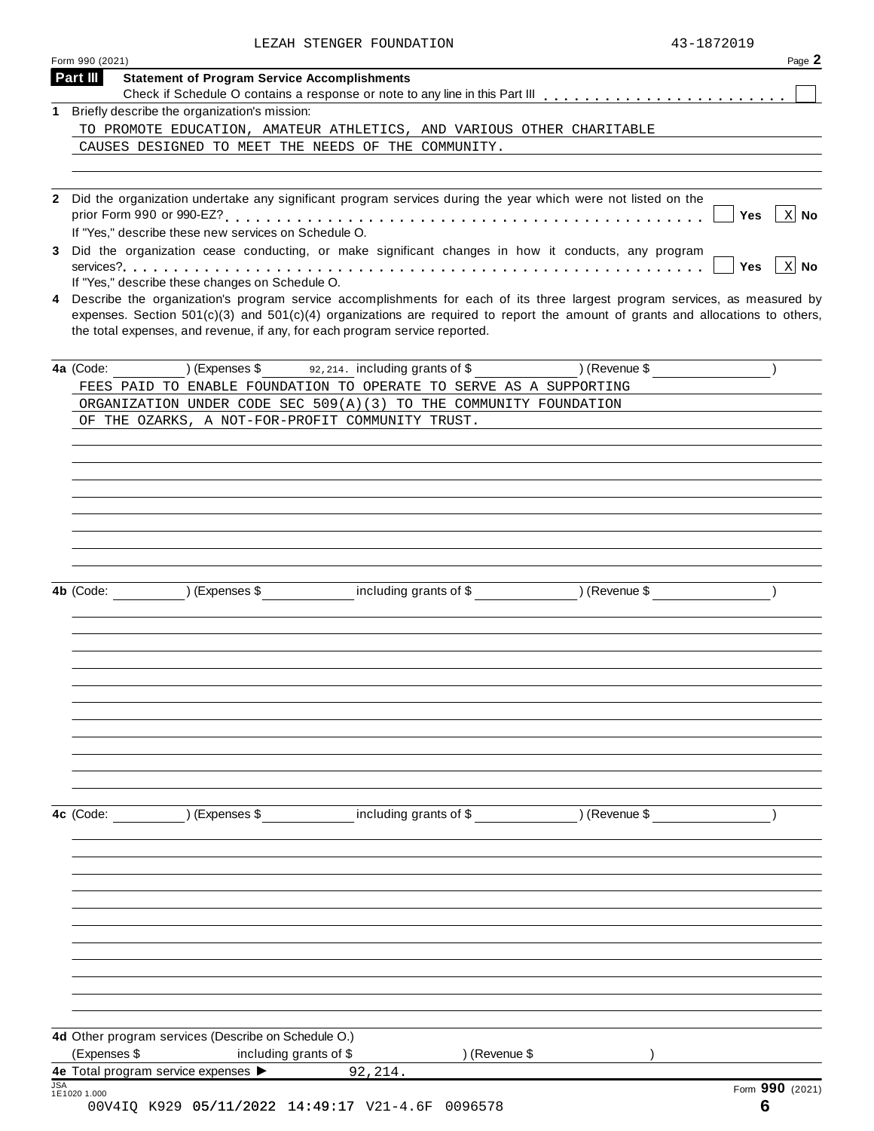| LEZAH STENGER FOUNDATION | 43-1872019 |
|--------------------------|------------|
|                          |            |

|            | Form 990 (2021)                                                                                                                                                                                                                                                                                                                                 | Page 2              |
|------------|-------------------------------------------------------------------------------------------------------------------------------------------------------------------------------------------------------------------------------------------------------------------------------------------------------------------------------------------------|---------------------|
|            | Part III<br><b>Statement of Program Service Accomplishments</b>                                                                                                                                                                                                                                                                                 |                     |
|            | 1 Briefly describe the organization's mission:                                                                                                                                                                                                                                                                                                  |                     |
|            | TO PROMOTE EDUCATION, AMATEUR ATHLETICS, AND VARIOUS OTHER CHARITABLE                                                                                                                                                                                                                                                                           |                     |
|            | CAUSES DESIGNED TO MEET THE NEEDS OF THE COMMUNITY.                                                                                                                                                                                                                                                                                             |                     |
|            |                                                                                                                                                                                                                                                                                                                                                 |                     |
|            | Did the organization undertake any significant program services during the year which were not listed on the<br>prior Form 990 or 990-EZ?<br>.<br>If "Yes," describe these new services on Schedule O.                                                                                                                                          | $\vert$ X No<br>Yes |
|            | Did the organization cease conducting, or make significant changes in how it conducts, any program                                                                                                                                                                                                                                              | $\vert$ X No<br>Yes |
|            | If "Yes," describe these changes on Schedule O.                                                                                                                                                                                                                                                                                                 |                     |
|            | Describe the organization's program service accomplishments for each of its three largest program services, as measured by<br>expenses. Section $501(c)(3)$ and $501(c)(4)$ organizations are required to report the amount of grants and allocations to others,<br>the total expenses, and revenue, if any, for each program service reported. |                     |
|            | 4a (Code: ) (Expenses \$92,214. including grants of \$) (Revenue \$                                                                                                                                                                                                                                                                             |                     |
|            | FEES PAID TO ENABLE FOUNDATION TO OPERATE TO SERVE AS A SUPPORTING                                                                                                                                                                                                                                                                              |                     |
|            | ORGANIZATION UNDER CODE SEC 509(A)(3) TO THE COMMUNITY FOUNDATION                                                                                                                                                                                                                                                                               |                     |
|            | OF THE OZARKS, A NOT-FOR-PROFIT COMMUNITY TRUST.                                                                                                                                                                                                                                                                                                |                     |
|            |                                                                                                                                                                                                                                                                                                                                                 |                     |
|            |                                                                                                                                                                                                                                                                                                                                                 |                     |
|            |                                                                                                                                                                                                                                                                                                                                                 |                     |
|            |                                                                                                                                                                                                                                                                                                                                                 |                     |
|            |                                                                                                                                                                                                                                                                                                                                                 |                     |
|            |                                                                                                                                                                                                                                                                                                                                                 |                     |
|            |                                                                                                                                                                                                                                                                                                                                                 |                     |
|            | 4b (Code: ) (Expenses \$ including grants of \$ ) (Revenue \$                                                                                                                                                                                                                                                                                   |                     |
|            |                                                                                                                                                                                                                                                                                                                                                 |                     |
|            |                                                                                                                                                                                                                                                                                                                                                 |                     |
|            |                                                                                                                                                                                                                                                                                                                                                 |                     |
|            |                                                                                                                                                                                                                                                                                                                                                 |                     |
|            |                                                                                                                                                                                                                                                                                                                                                 |                     |
|            |                                                                                                                                                                                                                                                                                                                                                 |                     |
|            |                                                                                                                                                                                                                                                                                                                                                 |                     |
|            |                                                                                                                                                                                                                                                                                                                                                 |                     |
|            |                                                                                                                                                                                                                                                                                                                                                 |                     |
|            |                                                                                                                                                                                                                                                                                                                                                 |                     |
|            | 4c (Code: ) (Expenses \$ including grants of \$ ) (Revenue \$                                                                                                                                                                                                                                                                                   |                     |
|            |                                                                                                                                                                                                                                                                                                                                                 |                     |
|            |                                                                                                                                                                                                                                                                                                                                                 |                     |
|            |                                                                                                                                                                                                                                                                                                                                                 |                     |
|            |                                                                                                                                                                                                                                                                                                                                                 |                     |
|            |                                                                                                                                                                                                                                                                                                                                                 |                     |
|            |                                                                                                                                                                                                                                                                                                                                                 |                     |
|            |                                                                                                                                                                                                                                                                                                                                                 |                     |
|            |                                                                                                                                                                                                                                                                                                                                                 |                     |
|            |                                                                                                                                                                                                                                                                                                                                                 |                     |
|            |                                                                                                                                                                                                                                                                                                                                                 |                     |
|            | 4d Other program services (Describe on Schedule O.)                                                                                                                                                                                                                                                                                             |                     |
|            | (Expenses \$<br>including grants of \$<br>) (Revenue \$                                                                                                                                                                                                                                                                                         |                     |
|            | 4e Total program service expenses ><br>92,214.                                                                                                                                                                                                                                                                                                  |                     |
| <b>JSA</b> | 1E1020 1.000                                                                                                                                                                                                                                                                                                                                    | Form 990 (2021)     |
|            | 00V4IQ K929 05/11/2022 14:49:17 V21-4.6F 0096578                                                                                                                                                                                                                                                                                                | 6                   |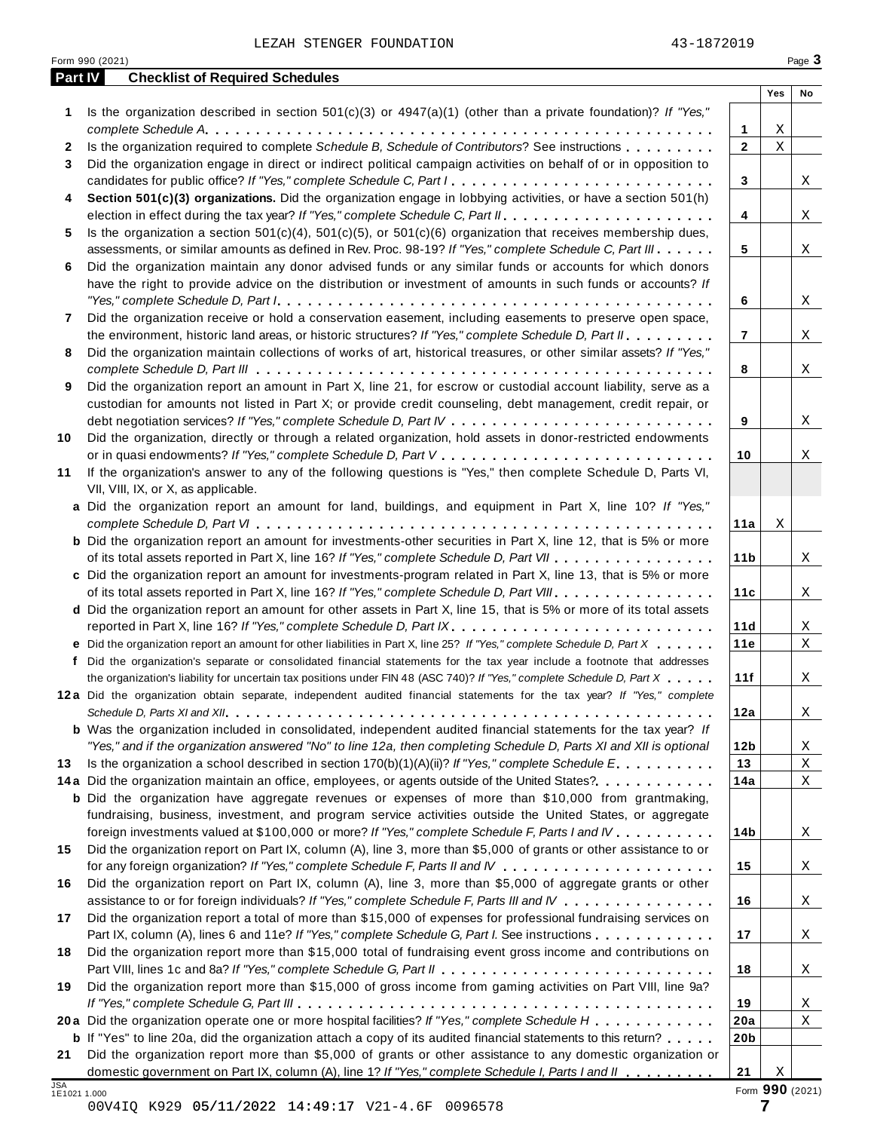| <b>Part IV</b> | <b>Checklist of Required Schedules</b>                                                                                    |                         |             |                 |
|----------------|---------------------------------------------------------------------------------------------------------------------------|-------------------------|-------------|-----------------|
|                |                                                                                                                           |                         | Yes         | No              |
| 1              | Is the organization described in section $501(c)(3)$ or $4947(a)(1)$ (other than a private foundation)? If "Yes,"         |                         |             |                 |
|                |                                                                                                                           | 1                       | Χ           |                 |
| 2              | Is the organization required to complete Schedule B, Schedule of Contributors? See instructions                           | $\mathbf 2$             | $\mathbf X$ |                 |
| 3              | Did the organization engage in direct or indirect political campaign activities on behalf of or in opposition to          |                         |             |                 |
|                | candidates for public office? If "Yes," complete Schedule C, Part I.                                                      | 3                       |             | X               |
| 4              | Section 501(c)(3) organizations. Did the organization engage in lobbying activities, or have a section 501(h)             |                         |             |                 |
|                |                                                                                                                           | 4                       |             | Χ               |
| 5              | Is the organization a section 501(c)(4), 501(c)(5), or 501(c)(6) organization that receives membership dues,              |                         |             |                 |
|                | assessments, or similar amounts as defined in Rev. Proc. 98-19? If "Yes," complete Schedule C, Part III                   | 5                       |             | X               |
| 6              | Did the organization maintain any donor advised funds or any similar funds or accounts for which donors                   |                         |             |                 |
|                | have the right to provide advice on the distribution or investment of amounts in such funds or accounts? If               |                         |             |                 |
|                | Did the organization receive or hold a conservation easement, including easements to preserve open space,                 | 6                       |             | Χ               |
| 7              | the environment, historic land areas, or historic structures? If "Yes," complete Schedule D, Part II.                     | $\overline{\mathbf{r}}$ |             | X               |
| 8              | Did the organization maintain collections of works of art, historical treasures, or other similar assets? If "Yes,"       |                         |             |                 |
|                |                                                                                                                           | 8                       |             | X               |
| 9              | Did the organization report an amount in Part X, line 21, for escrow or custodial account liability, serve as a           |                         |             |                 |
|                | custodian for amounts not listed in Part X; or provide credit counseling, debt management, credit repair, or              |                         |             |                 |
|                |                                                                                                                           | 9                       |             | Χ               |
| 10             | Did the organization, directly or through a related organization, hold assets in donor-restricted endowments              |                         |             |                 |
|                |                                                                                                                           | 10                      |             | X               |
| 11             | If the organization's answer to any of the following questions is "Yes," then complete Schedule D, Parts VI,              |                         |             |                 |
|                | VII, VIII, IX, or X, as applicable.                                                                                       |                         |             |                 |
|                | a Did the organization report an amount for land, buildings, and equipment in Part X, line 10? If "Yes,"                  |                         |             |                 |
|                |                                                                                                                           | 11a                     | Χ           |                 |
|                | <b>b</b> Did the organization report an amount for investments-other securities in Part X, line 12, that is 5% or more    |                         |             |                 |
|                | of its total assets reported in Part X, line 16? If "Yes," complete Schedule D, Part VII                                  | 11 <sub>b</sub>         |             | X               |
|                | c Did the organization report an amount for investments-program related in Part X, line 13, that is 5% or more            |                         |             |                 |
|                | of its total assets reported in Part X, line 16? If "Yes," complete Schedule D, Part VIII                                 | 11c                     |             | X               |
|                | d Did the organization report an amount for other assets in Part X, line 15, that is 5% or more of its total assets       |                         |             |                 |
|                | reported in Part X, line 16? If "Yes," complete Schedule D, Part IX.                                                      | 11d                     |             | X               |
|                | e Did the organization report an amount for other liabilities in Part X, line 25? If "Yes," complete Schedule D, Part X   | 11e                     |             | X               |
|                | f Did the organization's separate or consolidated financial statements for the tax year include a footnote that addresses |                         |             |                 |
|                | the organization's liability for uncertain tax positions under FIN 48 (ASC 740)? If "Yes," complete Schedule D, Part X    | 11f                     |             | X               |
|                | 12a Did the organization obtain separate, independent audited financial statements for the tax year? If "Yes," complete   |                         |             |                 |
|                | <b>b</b> Was the organization included in consolidated, independent audited financial statements for the tax year? If     | 12a                     |             | Χ               |
|                | "Yes," and if the organization answered "No" to line 12a, then completing Schedule D, Parts XI and XII is optional        | 12 <sub>b</sub>         |             | X               |
| 13             | Is the organization a school described in section $170(b)(1)(A)(ii)$ ? If "Yes," complete Schedule E                      | 13                      |             | Χ               |
|                | 14a Did the organization maintain an office, employees, or agents outside of the United States?.                          | 14a                     |             | Χ               |
|                | <b>b</b> Did the organization have aggregate revenues or expenses of more than \$10,000 from grantmaking,                 |                         |             |                 |
|                | fundraising, business, investment, and program service activities outside the United States, or aggregate                 |                         |             |                 |
|                | foreign investments valued at \$100,000 or more? If "Yes," complete Schedule F, Parts I and IV                            | 14 <sub>b</sub>         |             | Χ               |
| 15             | Did the organization report on Part IX, column (A), line 3, more than \$5,000 of grants or other assistance to or         |                         |             |                 |
|                |                                                                                                                           | 15                      |             | X               |
| 16             | Did the organization report on Part IX, column (A), line 3, more than \$5,000 of aggregate grants or other                |                         |             |                 |
|                | assistance to or for foreign individuals? If "Yes," complete Schedule F, Parts III and IV                                 | 16                      |             | $\mathbf X$     |
| 17             | Did the organization report a total of more than \$15,000 of expenses for professional fundraising services on            |                         |             |                 |
|                | Part IX, column (A), lines 6 and 11e? If "Yes," complete Schedule G, Part I. See instructions                             | 17                      |             | X               |
| 18             | Did the organization report more than \$15,000 total of fundraising event gross income and contributions on               |                         |             |                 |
|                |                                                                                                                           | 18                      |             | X               |
| 19             | Did the organization report more than \$15,000 of gross income from gaming activities on Part VIII, line 9a?              |                         |             |                 |
|                |                                                                                                                           | 19                      |             | X               |
|                | 20a Did the organization operate one or more hospital facilities? If "Yes," complete Schedule H                           | 20a                     |             | Χ               |
|                | <b>b</b> If "Yes" to line 20a, did the organization attach a copy of its audited financial statements to this return?     | 20 <sub>b</sub>         |             |                 |
| 21             | Did the organization report more than \$5,000 of grants or other assistance to any domestic organization or               |                         |             |                 |
| <b>JSA</b>     | domestic government on Part IX, column (A), line 1? If "Yes," complete Schedule I, Parts I and II                         | 21                      | Χ           |                 |
| 1E1021 1.000   | 00V4IQ K929 05/11/2022 14:49:17 V21-4.6F<br>0096578                                                                       |                         | 7           | Form 990 (2021) |
|                |                                                                                                                           |                         |             |                 |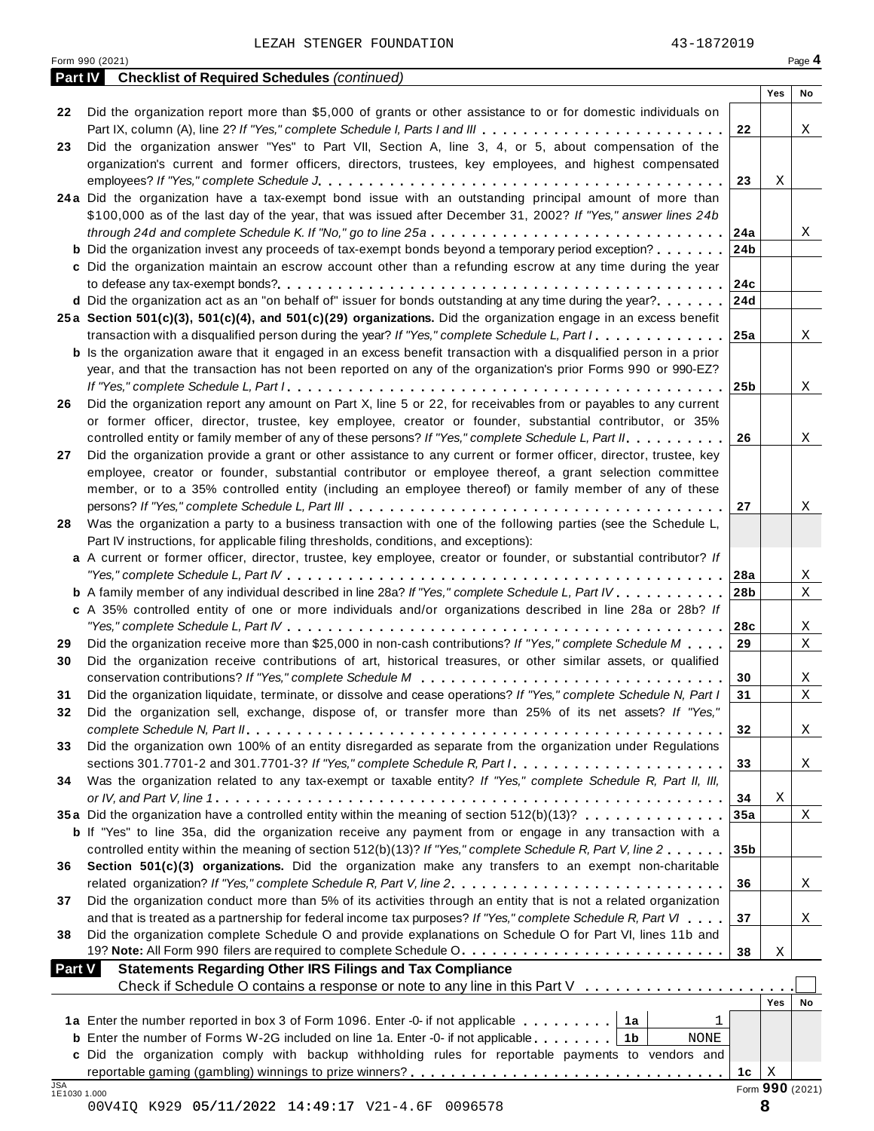| Part IV<br>Yes<br>No<br>Did the organization report more than \$5,000 of grants or other assistance to or for domestic individuals on<br>22<br>Part IX, column (A), line 2? If "Yes," complete Schedule I, Parts I and III<br>22<br>X<br>Did the organization answer "Yes" to Part VII, Section A, line 3, 4, or 5, about compensation of the<br>23<br>organization's current and former officers, directors, trustees, key employees, and highest compensated<br>23<br>Χ<br>24a Did the organization have a tax-exempt bond issue with an outstanding principal amount of more than<br>\$100,000 as of the last day of the year, that was issued after December 31, 2002? If "Yes," answer lines 24b<br>through 24d and complete Schedule K. If "No," go to line 25a<br>24a<br>X<br><b>b</b> Did the organization invest any proceeds of tax-exempt bonds beyond a temporary period exception?<br>24b<br>c Did the organization maintain an escrow account other than a refunding escrow at any time during the year<br>24c<br>d Did the organization act as an "on behalf of" issuer for bonds outstanding at any time during the year?<br>24d<br>25a Section 501(c)(3), 501(c)(4), and 501(c)(29) organizations. Did the organization engage in an excess benefit<br>transaction with a disqualified person during the year? If "Yes," complete Schedule L, Part I<br>25a<br>X<br><b>b</b> Is the organization aware that it engaged in an excess benefit transaction with a disqualified person in a prior<br>year, and that the transaction has not been reported on any of the organization's prior Forms 990 or 990-EZ?<br>25 <sub>b</sub><br>Χ<br>Did the organization report any amount on Part X, line 5 or 22, for receivables from or payables to any current<br>26<br>or former officer, director, trustee, key employee, creator or founder, substantial contributor, or 35%<br>controlled entity or family member of any of these persons? If "Yes," complete Schedule L, Part II.<br>26<br>X<br>Did the organization provide a grant or other assistance to any current or former officer, director, trustee, key<br>27<br>employee, creator or founder, substantial contributor or employee thereof, a grant selection committee<br>member, or to a 35% controlled entity (including an employee thereof) or family member of any of these<br>27<br>Χ<br>Was the organization a party to a business transaction with one of the following parties (see the Schedule L,<br>28<br>Part IV instructions, for applicable filing thresholds, conditions, and exceptions):<br>a A current or former officer, director, trustee, key employee, creator or founder, or substantial contributor? If<br>28a<br>Χ<br><b>b</b> A family member of any individual described in line 28a? If "Yes," complete Schedule L, Part IV.<br>28b<br>Χ<br>c A 35% controlled entity of one or more individuals and/or organizations described in line 28a or 28b? If<br>28c<br>Χ<br>Did the organization receive more than \$25,000 in non-cash contributions? If "Yes," complete Schedule M<br>29<br>Χ<br>29<br>Did the organization receive contributions of art, historical treasures, or other similar assets, or qualified<br>30<br>30<br>Χ<br>Did the organization liquidate, terminate, or dissolve and cease operations? If "Yes," complete Schedule N, Part I<br>31<br>$\mathbf X$<br>31<br>Did the organization sell, exchange, dispose of, or transfer more than 25% of its net assets? If "Yes,"<br>32<br>32<br>X<br>Did the organization own 100% of an entity disregarded as separate from the organization under Regulations<br>33<br>33<br>X<br>Was the organization related to any tax-exempt or taxable entity? If "Yes," complete Schedule R, Part II, III,<br>34<br>34<br>Χ<br>35a Did the organization have a controlled entity within the meaning of section 512(b)(13)?<br>35a<br>X<br><b>b</b> If "Yes" to line 35a, did the organization receive any payment from or engage in any transaction with a<br>controlled entity within the meaning of section 512(b)(13)? If "Yes," complete Schedule R, Part V, line 2<br>35 <sub>b</sub><br>Section 501(c)(3) organizations. Did the organization make any transfers to an exempt non-charitable<br>36<br>related organization? If "Yes," complete Schedule R, Part V, line 2.<br>36<br>X<br>Did the organization conduct more than 5% of its activities through an entity that is not a related organization<br>37<br>and that is treated as a partnership for federal income tax purposes? If "Yes," complete Schedule R, Part VI<br>37<br>X<br>Did the organization complete Schedule O and provide explanations on Schedule O for Part VI, lines 11b and<br>38<br>19? Note: All Form 990 filers are required to complete Schedule O.<br>38<br>Χ<br><b>Statements Regarding Other IRS Filings and Tax Compliance</b><br><b>Part V</b><br>Yes<br>No<br>1a Enter the number reported in box 3 of Form 1096. Enter -0- if not applicable<br>1<br>1a<br><b>b</b> Enter the number of Forms W-2G included on line 1a. Enter -0- if not applicable<br>1b<br>NONE<br>c Did the organization comply with backup withholding rules for reportable payments to vendors and<br>1c<br>X<br><b>JSA</b><br>Form 990 (2021)<br>1E1030 1.000 | Form 990 (2021)                                    |  | Page 4 |
|-------------------------------------------------------------------------------------------------------------------------------------------------------------------------------------------------------------------------------------------------------------------------------------------------------------------------------------------------------------------------------------------------------------------------------------------------------------------------------------------------------------------------------------------------------------------------------------------------------------------------------------------------------------------------------------------------------------------------------------------------------------------------------------------------------------------------------------------------------------------------------------------------------------------------------------------------------------------------------------------------------------------------------------------------------------------------------------------------------------------------------------------------------------------------------------------------------------------------------------------------------------------------------------------------------------------------------------------------------------------------------------------------------------------------------------------------------------------------------------------------------------------------------------------------------------------------------------------------------------------------------------------------------------------------------------------------------------------------------------------------------------------------------------------------------------------------------------------------------------------------------------------------------------------------------------------------------------------------------------------------------------------------------------------------------------------------------------------------------------------------------------------------------------------------------------------------------------------------------------------------------------------------------------------------------------------------------------------------------------------------------------------------------------------------------------------------------------------------------------------------------------------------------------------------------------------------------------------------------------------------------------------------------------------------------------------------------------------------------------------------------------------------------------------------------------------------------------------------------------------------------------------------------------------------------------------------------------------------------------------------------------------------------------------------------------------------------------------------------------------------------------------------------------------------------------------------------------------------------------------------------------------------------------------------------------------------------------------------------------------------------------------------------------------------------------------------------------------------------------------------------------------------------------------------------------------------------------------------------------------------------------------------------------------------------------------------------------------------------------------------------------------------------------------------------------------------------------------------------------------------------------------------------------------------------------------------------------------------------------------------------------------------------------------------------------------------------------------------------------------------------------------------------------------------------------------------------------------------------------------------------------------------------------------------------------------------------------------------------------------------------------------------------------------------------------------------------------------------------------------------------------------------------------------------------------------------------------------------------------------------------------------------------------------------------------------------------------------------------------------------------------------------------------------------------------------------------------------------------------------------------------------------------------------------------------------------------------------------------------------------------------------------------------------------------------------------------------------------------------------------------------------------------------------------------------------------------------------------------------------------------------------------------------------------|----------------------------------------------------|--|--------|
|                                                                                                                                                                                                                                                                                                                                                                                                                                                                                                                                                                                                                                                                                                                                                                                                                                                                                                                                                                                                                                                                                                                                                                                                                                                                                                                                                                                                                                                                                                                                                                                                                                                                                                                                                                                                                                                                                                                                                                                                                                                                                                                                                                                                                                                                                                                                                                                                                                                                                                                                                                                                                                                                                                                                                                                                                                                                                                                                                                                                                                                                                                                                                                                                                                                                                                                                                                                                                                                                                                                                                                                                                                                                                                                                                                                                                                                                                                                                                                                                                                                                                                                                                                                                                                                                                                                                                                                                                                                                                                                                                                                                                                                                                                                                                                                                                                                                                                                                                                                                                                                                                                                                                                                                                                                                                                 | <b>Checklist of Required Schedules (continued)</b> |  |        |
|                                                                                                                                                                                                                                                                                                                                                                                                                                                                                                                                                                                                                                                                                                                                                                                                                                                                                                                                                                                                                                                                                                                                                                                                                                                                                                                                                                                                                                                                                                                                                                                                                                                                                                                                                                                                                                                                                                                                                                                                                                                                                                                                                                                                                                                                                                                                                                                                                                                                                                                                                                                                                                                                                                                                                                                                                                                                                                                                                                                                                                                                                                                                                                                                                                                                                                                                                                                                                                                                                                                                                                                                                                                                                                                                                                                                                                                                                                                                                                                                                                                                                                                                                                                                                                                                                                                                                                                                                                                                                                                                                                                                                                                                                                                                                                                                                                                                                                                                                                                                                                                                                                                                                                                                                                                                                                 |                                                    |  |        |
|                                                                                                                                                                                                                                                                                                                                                                                                                                                                                                                                                                                                                                                                                                                                                                                                                                                                                                                                                                                                                                                                                                                                                                                                                                                                                                                                                                                                                                                                                                                                                                                                                                                                                                                                                                                                                                                                                                                                                                                                                                                                                                                                                                                                                                                                                                                                                                                                                                                                                                                                                                                                                                                                                                                                                                                                                                                                                                                                                                                                                                                                                                                                                                                                                                                                                                                                                                                                                                                                                                                                                                                                                                                                                                                                                                                                                                                                                                                                                                                                                                                                                                                                                                                                                                                                                                                                                                                                                                                                                                                                                                                                                                                                                                                                                                                                                                                                                                                                                                                                                                                                                                                                                                                                                                                                                                 |                                                    |  |        |
|                                                                                                                                                                                                                                                                                                                                                                                                                                                                                                                                                                                                                                                                                                                                                                                                                                                                                                                                                                                                                                                                                                                                                                                                                                                                                                                                                                                                                                                                                                                                                                                                                                                                                                                                                                                                                                                                                                                                                                                                                                                                                                                                                                                                                                                                                                                                                                                                                                                                                                                                                                                                                                                                                                                                                                                                                                                                                                                                                                                                                                                                                                                                                                                                                                                                                                                                                                                                                                                                                                                                                                                                                                                                                                                                                                                                                                                                                                                                                                                                                                                                                                                                                                                                                                                                                                                                                                                                                                                                                                                                                                                                                                                                                                                                                                                                                                                                                                                                                                                                                                                                                                                                                                                                                                                                                                 |                                                    |  |        |
|                                                                                                                                                                                                                                                                                                                                                                                                                                                                                                                                                                                                                                                                                                                                                                                                                                                                                                                                                                                                                                                                                                                                                                                                                                                                                                                                                                                                                                                                                                                                                                                                                                                                                                                                                                                                                                                                                                                                                                                                                                                                                                                                                                                                                                                                                                                                                                                                                                                                                                                                                                                                                                                                                                                                                                                                                                                                                                                                                                                                                                                                                                                                                                                                                                                                                                                                                                                                                                                                                                                                                                                                                                                                                                                                                                                                                                                                                                                                                                                                                                                                                                                                                                                                                                                                                                                                                                                                                                                                                                                                                                                                                                                                                                                                                                                                                                                                                                                                                                                                                                                                                                                                                                                                                                                                                                 |                                                    |  |        |
|                                                                                                                                                                                                                                                                                                                                                                                                                                                                                                                                                                                                                                                                                                                                                                                                                                                                                                                                                                                                                                                                                                                                                                                                                                                                                                                                                                                                                                                                                                                                                                                                                                                                                                                                                                                                                                                                                                                                                                                                                                                                                                                                                                                                                                                                                                                                                                                                                                                                                                                                                                                                                                                                                                                                                                                                                                                                                                                                                                                                                                                                                                                                                                                                                                                                                                                                                                                                                                                                                                                                                                                                                                                                                                                                                                                                                                                                                                                                                                                                                                                                                                                                                                                                                                                                                                                                                                                                                                                                                                                                                                                                                                                                                                                                                                                                                                                                                                                                                                                                                                                                                                                                                                                                                                                                                                 |                                                    |  |        |
|                                                                                                                                                                                                                                                                                                                                                                                                                                                                                                                                                                                                                                                                                                                                                                                                                                                                                                                                                                                                                                                                                                                                                                                                                                                                                                                                                                                                                                                                                                                                                                                                                                                                                                                                                                                                                                                                                                                                                                                                                                                                                                                                                                                                                                                                                                                                                                                                                                                                                                                                                                                                                                                                                                                                                                                                                                                                                                                                                                                                                                                                                                                                                                                                                                                                                                                                                                                                                                                                                                                                                                                                                                                                                                                                                                                                                                                                                                                                                                                                                                                                                                                                                                                                                                                                                                                                                                                                                                                                                                                                                                                                                                                                                                                                                                                                                                                                                                                                                                                                                                                                                                                                                                                                                                                                                                 |                                                    |  |        |
|                                                                                                                                                                                                                                                                                                                                                                                                                                                                                                                                                                                                                                                                                                                                                                                                                                                                                                                                                                                                                                                                                                                                                                                                                                                                                                                                                                                                                                                                                                                                                                                                                                                                                                                                                                                                                                                                                                                                                                                                                                                                                                                                                                                                                                                                                                                                                                                                                                                                                                                                                                                                                                                                                                                                                                                                                                                                                                                                                                                                                                                                                                                                                                                                                                                                                                                                                                                                                                                                                                                                                                                                                                                                                                                                                                                                                                                                                                                                                                                                                                                                                                                                                                                                                                                                                                                                                                                                                                                                                                                                                                                                                                                                                                                                                                                                                                                                                                                                                                                                                                                                                                                                                                                                                                                                                                 |                                                    |  |        |
|                                                                                                                                                                                                                                                                                                                                                                                                                                                                                                                                                                                                                                                                                                                                                                                                                                                                                                                                                                                                                                                                                                                                                                                                                                                                                                                                                                                                                                                                                                                                                                                                                                                                                                                                                                                                                                                                                                                                                                                                                                                                                                                                                                                                                                                                                                                                                                                                                                                                                                                                                                                                                                                                                                                                                                                                                                                                                                                                                                                                                                                                                                                                                                                                                                                                                                                                                                                                                                                                                                                                                                                                                                                                                                                                                                                                                                                                                                                                                                                                                                                                                                                                                                                                                                                                                                                                                                                                                                                                                                                                                                                                                                                                                                                                                                                                                                                                                                                                                                                                                                                                                                                                                                                                                                                                                                 |                                                    |  |        |
|                                                                                                                                                                                                                                                                                                                                                                                                                                                                                                                                                                                                                                                                                                                                                                                                                                                                                                                                                                                                                                                                                                                                                                                                                                                                                                                                                                                                                                                                                                                                                                                                                                                                                                                                                                                                                                                                                                                                                                                                                                                                                                                                                                                                                                                                                                                                                                                                                                                                                                                                                                                                                                                                                                                                                                                                                                                                                                                                                                                                                                                                                                                                                                                                                                                                                                                                                                                                                                                                                                                                                                                                                                                                                                                                                                                                                                                                                                                                                                                                                                                                                                                                                                                                                                                                                                                                                                                                                                                                                                                                                                                                                                                                                                                                                                                                                                                                                                                                                                                                                                                                                                                                                                                                                                                                                                 |                                                    |  |        |
|                                                                                                                                                                                                                                                                                                                                                                                                                                                                                                                                                                                                                                                                                                                                                                                                                                                                                                                                                                                                                                                                                                                                                                                                                                                                                                                                                                                                                                                                                                                                                                                                                                                                                                                                                                                                                                                                                                                                                                                                                                                                                                                                                                                                                                                                                                                                                                                                                                                                                                                                                                                                                                                                                                                                                                                                                                                                                                                                                                                                                                                                                                                                                                                                                                                                                                                                                                                                                                                                                                                                                                                                                                                                                                                                                                                                                                                                                                                                                                                                                                                                                                                                                                                                                                                                                                                                                                                                                                                                                                                                                                                                                                                                                                                                                                                                                                                                                                                                                                                                                                                                                                                                                                                                                                                                                                 |                                                    |  |        |
|                                                                                                                                                                                                                                                                                                                                                                                                                                                                                                                                                                                                                                                                                                                                                                                                                                                                                                                                                                                                                                                                                                                                                                                                                                                                                                                                                                                                                                                                                                                                                                                                                                                                                                                                                                                                                                                                                                                                                                                                                                                                                                                                                                                                                                                                                                                                                                                                                                                                                                                                                                                                                                                                                                                                                                                                                                                                                                                                                                                                                                                                                                                                                                                                                                                                                                                                                                                                                                                                                                                                                                                                                                                                                                                                                                                                                                                                                                                                                                                                                                                                                                                                                                                                                                                                                                                                                                                                                                                                                                                                                                                                                                                                                                                                                                                                                                                                                                                                                                                                                                                                                                                                                                                                                                                                                                 |                                                    |  |        |
|                                                                                                                                                                                                                                                                                                                                                                                                                                                                                                                                                                                                                                                                                                                                                                                                                                                                                                                                                                                                                                                                                                                                                                                                                                                                                                                                                                                                                                                                                                                                                                                                                                                                                                                                                                                                                                                                                                                                                                                                                                                                                                                                                                                                                                                                                                                                                                                                                                                                                                                                                                                                                                                                                                                                                                                                                                                                                                                                                                                                                                                                                                                                                                                                                                                                                                                                                                                                                                                                                                                                                                                                                                                                                                                                                                                                                                                                                                                                                                                                                                                                                                                                                                                                                                                                                                                                                                                                                                                                                                                                                                                                                                                                                                                                                                                                                                                                                                                                                                                                                                                                                                                                                                                                                                                                                                 |                                                    |  |        |
|                                                                                                                                                                                                                                                                                                                                                                                                                                                                                                                                                                                                                                                                                                                                                                                                                                                                                                                                                                                                                                                                                                                                                                                                                                                                                                                                                                                                                                                                                                                                                                                                                                                                                                                                                                                                                                                                                                                                                                                                                                                                                                                                                                                                                                                                                                                                                                                                                                                                                                                                                                                                                                                                                                                                                                                                                                                                                                                                                                                                                                                                                                                                                                                                                                                                                                                                                                                                                                                                                                                                                                                                                                                                                                                                                                                                                                                                                                                                                                                                                                                                                                                                                                                                                                                                                                                                                                                                                                                                                                                                                                                                                                                                                                                                                                                                                                                                                                                                                                                                                                                                                                                                                                                                                                                                                                 |                                                    |  |        |
|                                                                                                                                                                                                                                                                                                                                                                                                                                                                                                                                                                                                                                                                                                                                                                                                                                                                                                                                                                                                                                                                                                                                                                                                                                                                                                                                                                                                                                                                                                                                                                                                                                                                                                                                                                                                                                                                                                                                                                                                                                                                                                                                                                                                                                                                                                                                                                                                                                                                                                                                                                                                                                                                                                                                                                                                                                                                                                                                                                                                                                                                                                                                                                                                                                                                                                                                                                                                                                                                                                                                                                                                                                                                                                                                                                                                                                                                                                                                                                                                                                                                                                                                                                                                                                                                                                                                                                                                                                                                                                                                                                                                                                                                                                                                                                                                                                                                                                                                                                                                                                                                                                                                                                                                                                                                                                 |                                                    |  |        |
|                                                                                                                                                                                                                                                                                                                                                                                                                                                                                                                                                                                                                                                                                                                                                                                                                                                                                                                                                                                                                                                                                                                                                                                                                                                                                                                                                                                                                                                                                                                                                                                                                                                                                                                                                                                                                                                                                                                                                                                                                                                                                                                                                                                                                                                                                                                                                                                                                                                                                                                                                                                                                                                                                                                                                                                                                                                                                                                                                                                                                                                                                                                                                                                                                                                                                                                                                                                                                                                                                                                                                                                                                                                                                                                                                                                                                                                                                                                                                                                                                                                                                                                                                                                                                                                                                                                                                                                                                                                                                                                                                                                                                                                                                                                                                                                                                                                                                                                                                                                                                                                                                                                                                                                                                                                                                                 |                                                    |  |        |
|                                                                                                                                                                                                                                                                                                                                                                                                                                                                                                                                                                                                                                                                                                                                                                                                                                                                                                                                                                                                                                                                                                                                                                                                                                                                                                                                                                                                                                                                                                                                                                                                                                                                                                                                                                                                                                                                                                                                                                                                                                                                                                                                                                                                                                                                                                                                                                                                                                                                                                                                                                                                                                                                                                                                                                                                                                                                                                                                                                                                                                                                                                                                                                                                                                                                                                                                                                                                                                                                                                                                                                                                                                                                                                                                                                                                                                                                                                                                                                                                                                                                                                                                                                                                                                                                                                                                                                                                                                                                                                                                                                                                                                                                                                                                                                                                                                                                                                                                                                                                                                                                                                                                                                                                                                                                                                 |                                                    |  |        |
|                                                                                                                                                                                                                                                                                                                                                                                                                                                                                                                                                                                                                                                                                                                                                                                                                                                                                                                                                                                                                                                                                                                                                                                                                                                                                                                                                                                                                                                                                                                                                                                                                                                                                                                                                                                                                                                                                                                                                                                                                                                                                                                                                                                                                                                                                                                                                                                                                                                                                                                                                                                                                                                                                                                                                                                                                                                                                                                                                                                                                                                                                                                                                                                                                                                                                                                                                                                                                                                                                                                                                                                                                                                                                                                                                                                                                                                                                                                                                                                                                                                                                                                                                                                                                                                                                                                                                                                                                                                                                                                                                                                                                                                                                                                                                                                                                                                                                                                                                                                                                                                                                                                                                                                                                                                                                                 |                                                    |  |        |
|                                                                                                                                                                                                                                                                                                                                                                                                                                                                                                                                                                                                                                                                                                                                                                                                                                                                                                                                                                                                                                                                                                                                                                                                                                                                                                                                                                                                                                                                                                                                                                                                                                                                                                                                                                                                                                                                                                                                                                                                                                                                                                                                                                                                                                                                                                                                                                                                                                                                                                                                                                                                                                                                                                                                                                                                                                                                                                                                                                                                                                                                                                                                                                                                                                                                                                                                                                                                                                                                                                                                                                                                                                                                                                                                                                                                                                                                                                                                                                                                                                                                                                                                                                                                                                                                                                                                                                                                                                                                                                                                                                                                                                                                                                                                                                                                                                                                                                                                                                                                                                                                                                                                                                                                                                                                                                 |                                                    |  |        |
|                                                                                                                                                                                                                                                                                                                                                                                                                                                                                                                                                                                                                                                                                                                                                                                                                                                                                                                                                                                                                                                                                                                                                                                                                                                                                                                                                                                                                                                                                                                                                                                                                                                                                                                                                                                                                                                                                                                                                                                                                                                                                                                                                                                                                                                                                                                                                                                                                                                                                                                                                                                                                                                                                                                                                                                                                                                                                                                                                                                                                                                                                                                                                                                                                                                                                                                                                                                                                                                                                                                                                                                                                                                                                                                                                                                                                                                                                                                                                                                                                                                                                                                                                                                                                                                                                                                                                                                                                                                                                                                                                                                                                                                                                                                                                                                                                                                                                                                                                                                                                                                                                                                                                                                                                                                                                                 |                                                    |  |        |
|                                                                                                                                                                                                                                                                                                                                                                                                                                                                                                                                                                                                                                                                                                                                                                                                                                                                                                                                                                                                                                                                                                                                                                                                                                                                                                                                                                                                                                                                                                                                                                                                                                                                                                                                                                                                                                                                                                                                                                                                                                                                                                                                                                                                                                                                                                                                                                                                                                                                                                                                                                                                                                                                                                                                                                                                                                                                                                                                                                                                                                                                                                                                                                                                                                                                                                                                                                                                                                                                                                                                                                                                                                                                                                                                                                                                                                                                                                                                                                                                                                                                                                                                                                                                                                                                                                                                                                                                                                                                                                                                                                                                                                                                                                                                                                                                                                                                                                                                                                                                                                                                                                                                                                                                                                                                                                 |                                                    |  |        |
|                                                                                                                                                                                                                                                                                                                                                                                                                                                                                                                                                                                                                                                                                                                                                                                                                                                                                                                                                                                                                                                                                                                                                                                                                                                                                                                                                                                                                                                                                                                                                                                                                                                                                                                                                                                                                                                                                                                                                                                                                                                                                                                                                                                                                                                                                                                                                                                                                                                                                                                                                                                                                                                                                                                                                                                                                                                                                                                                                                                                                                                                                                                                                                                                                                                                                                                                                                                                                                                                                                                                                                                                                                                                                                                                                                                                                                                                                                                                                                                                                                                                                                                                                                                                                                                                                                                                                                                                                                                                                                                                                                                                                                                                                                                                                                                                                                                                                                                                                                                                                                                                                                                                                                                                                                                                                                 |                                                    |  |        |
|                                                                                                                                                                                                                                                                                                                                                                                                                                                                                                                                                                                                                                                                                                                                                                                                                                                                                                                                                                                                                                                                                                                                                                                                                                                                                                                                                                                                                                                                                                                                                                                                                                                                                                                                                                                                                                                                                                                                                                                                                                                                                                                                                                                                                                                                                                                                                                                                                                                                                                                                                                                                                                                                                                                                                                                                                                                                                                                                                                                                                                                                                                                                                                                                                                                                                                                                                                                                                                                                                                                                                                                                                                                                                                                                                                                                                                                                                                                                                                                                                                                                                                                                                                                                                                                                                                                                                                                                                                                                                                                                                                                                                                                                                                                                                                                                                                                                                                                                                                                                                                                                                                                                                                                                                                                                                                 |                                                    |  |        |
|                                                                                                                                                                                                                                                                                                                                                                                                                                                                                                                                                                                                                                                                                                                                                                                                                                                                                                                                                                                                                                                                                                                                                                                                                                                                                                                                                                                                                                                                                                                                                                                                                                                                                                                                                                                                                                                                                                                                                                                                                                                                                                                                                                                                                                                                                                                                                                                                                                                                                                                                                                                                                                                                                                                                                                                                                                                                                                                                                                                                                                                                                                                                                                                                                                                                                                                                                                                                                                                                                                                                                                                                                                                                                                                                                                                                                                                                                                                                                                                                                                                                                                                                                                                                                                                                                                                                                                                                                                                                                                                                                                                                                                                                                                                                                                                                                                                                                                                                                                                                                                                                                                                                                                                                                                                                                                 |                                                    |  |        |
|                                                                                                                                                                                                                                                                                                                                                                                                                                                                                                                                                                                                                                                                                                                                                                                                                                                                                                                                                                                                                                                                                                                                                                                                                                                                                                                                                                                                                                                                                                                                                                                                                                                                                                                                                                                                                                                                                                                                                                                                                                                                                                                                                                                                                                                                                                                                                                                                                                                                                                                                                                                                                                                                                                                                                                                                                                                                                                                                                                                                                                                                                                                                                                                                                                                                                                                                                                                                                                                                                                                                                                                                                                                                                                                                                                                                                                                                                                                                                                                                                                                                                                                                                                                                                                                                                                                                                                                                                                                                                                                                                                                                                                                                                                                                                                                                                                                                                                                                                                                                                                                                                                                                                                                                                                                                                                 |                                                    |  |        |
|                                                                                                                                                                                                                                                                                                                                                                                                                                                                                                                                                                                                                                                                                                                                                                                                                                                                                                                                                                                                                                                                                                                                                                                                                                                                                                                                                                                                                                                                                                                                                                                                                                                                                                                                                                                                                                                                                                                                                                                                                                                                                                                                                                                                                                                                                                                                                                                                                                                                                                                                                                                                                                                                                                                                                                                                                                                                                                                                                                                                                                                                                                                                                                                                                                                                                                                                                                                                                                                                                                                                                                                                                                                                                                                                                                                                                                                                                                                                                                                                                                                                                                                                                                                                                                                                                                                                                                                                                                                                                                                                                                                                                                                                                                                                                                                                                                                                                                                                                                                                                                                                                                                                                                                                                                                                                                 |                                                    |  |        |
|                                                                                                                                                                                                                                                                                                                                                                                                                                                                                                                                                                                                                                                                                                                                                                                                                                                                                                                                                                                                                                                                                                                                                                                                                                                                                                                                                                                                                                                                                                                                                                                                                                                                                                                                                                                                                                                                                                                                                                                                                                                                                                                                                                                                                                                                                                                                                                                                                                                                                                                                                                                                                                                                                                                                                                                                                                                                                                                                                                                                                                                                                                                                                                                                                                                                                                                                                                                                                                                                                                                                                                                                                                                                                                                                                                                                                                                                                                                                                                                                                                                                                                                                                                                                                                                                                                                                                                                                                                                                                                                                                                                                                                                                                                                                                                                                                                                                                                                                                                                                                                                                                                                                                                                                                                                                                                 |                                                    |  |        |
|                                                                                                                                                                                                                                                                                                                                                                                                                                                                                                                                                                                                                                                                                                                                                                                                                                                                                                                                                                                                                                                                                                                                                                                                                                                                                                                                                                                                                                                                                                                                                                                                                                                                                                                                                                                                                                                                                                                                                                                                                                                                                                                                                                                                                                                                                                                                                                                                                                                                                                                                                                                                                                                                                                                                                                                                                                                                                                                                                                                                                                                                                                                                                                                                                                                                                                                                                                                                                                                                                                                                                                                                                                                                                                                                                                                                                                                                                                                                                                                                                                                                                                                                                                                                                                                                                                                                                                                                                                                                                                                                                                                                                                                                                                                                                                                                                                                                                                                                                                                                                                                                                                                                                                                                                                                                                                 |                                                    |  |        |
|                                                                                                                                                                                                                                                                                                                                                                                                                                                                                                                                                                                                                                                                                                                                                                                                                                                                                                                                                                                                                                                                                                                                                                                                                                                                                                                                                                                                                                                                                                                                                                                                                                                                                                                                                                                                                                                                                                                                                                                                                                                                                                                                                                                                                                                                                                                                                                                                                                                                                                                                                                                                                                                                                                                                                                                                                                                                                                                                                                                                                                                                                                                                                                                                                                                                                                                                                                                                                                                                                                                                                                                                                                                                                                                                                                                                                                                                                                                                                                                                                                                                                                                                                                                                                                                                                                                                                                                                                                                                                                                                                                                                                                                                                                                                                                                                                                                                                                                                                                                                                                                                                                                                                                                                                                                                                                 |                                                    |  |        |
|                                                                                                                                                                                                                                                                                                                                                                                                                                                                                                                                                                                                                                                                                                                                                                                                                                                                                                                                                                                                                                                                                                                                                                                                                                                                                                                                                                                                                                                                                                                                                                                                                                                                                                                                                                                                                                                                                                                                                                                                                                                                                                                                                                                                                                                                                                                                                                                                                                                                                                                                                                                                                                                                                                                                                                                                                                                                                                                                                                                                                                                                                                                                                                                                                                                                                                                                                                                                                                                                                                                                                                                                                                                                                                                                                                                                                                                                                                                                                                                                                                                                                                                                                                                                                                                                                                                                                                                                                                                                                                                                                                                                                                                                                                                                                                                                                                                                                                                                                                                                                                                                                                                                                                                                                                                                                                 |                                                    |  |        |
|                                                                                                                                                                                                                                                                                                                                                                                                                                                                                                                                                                                                                                                                                                                                                                                                                                                                                                                                                                                                                                                                                                                                                                                                                                                                                                                                                                                                                                                                                                                                                                                                                                                                                                                                                                                                                                                                                                                                                                                                                                                                                                                                                                                                                                                                                                                                                                                                                                                                                                                                                                                                                                                                                                                                                                                                                                                                                                                                                                                                                                                                                                                                                                                                                                                                                                                                                                                                                                                                                                                                                                                                                                                                                                                                                                                                                                                                                                                                                                                                                                                                                                                                                                                                                                                                                                                                                                                                                                                                                                                                                                                                                                                                                                                                                                                                                                                                                                                                                                                                                                                                                                                                                                                                                                                                                                 |                                                    |  |        |
|                                                                                                                                                                                                                                                                                                                                                                                                                                                                                                                                                                                                                                                                                                                                                                                                                                                                                                                                                                                                                                                                                                                                                                                                                                                                                                                                                                                                                                                                                                                                                                                                                                                                                                                                                                                                                                                                                                                                                                                                                                                                                                                                                                                                                                                                                                                                                                                                                                                                                                                                                                                                                                                                                                                                                                                                                                                                                                                                                                                                                                                                                                                                                                                                                                                                                                                                                                                                                                                                                                                                                                                                                                                                                                                                                                                                                                                                                                                                                                                                                                                                                                                                                                                                                                                                                                                                                                                                                                                                                                                                                                                                                                                                                                                                                                                                                                                                                                                                                                                                                                                                                                                                                                                                                                                                                                 |                                                    |  |        |
|                                                                                                                                                                                                                                                                                                                                                                                                                                                                                                                                                                                                                                                                                                                                                                                                                                                                                                                                                                                                                                                                                                                                                                                                                                                                                                                                                                                                                                                                                                                                                                                                                                                                                                                                                                                                                                                                                                                                                                                                                                                                                                                                                                                                                                                                                                                                                                                                                                                                                                                                                                                                                                                                                                                                                                                                                                                                                                                                                                                                                                                                                                                                                                                                                                                                                                                                                                                                                                                                                                                                                                                                                                                                                                                                                                                                                                                                                                                                                                                                                                                                                                                                                                                                                                                                                                                                                                                                                                                                                                                                                                                                                                                                                                                                                                                                                                                                                                                                                                                                                                                                                                                                                                                                                                                                                                 |                                                    |  |        |
|                                                                                                                                                                                                                                                                                                                                                                                                                                                                                                                                                                                                                                                                                                                                                                                                                                                                                                                                                                                                                                                                                                                                                                                                                                                                                                                                                                                                                                                                                                                                                                                                                                                                                                                                                                                                                                                                                                                                                                                                                                                                                                                                                                                                                                                                                                                                                                                                                                                                                                                                                                                                                                                                                                                                                                                                                                                                                                                                                                                                                                                                                                                                                                                                                                                                                                                                                                                                                                                                                                                                                                                                                                                                                                                                                                                                                                                                                                                                                                                                                                                                                                                                                                                                                                                                                                                                                                                                                                                                                                                                                                                                                                                                                                                                                                                                                                                                                                                                                                                                                                                                                                                                                                                                                                                                                                 |                                                    |  |        |
|                                                                                                                                                                                                                                                                                                                                                                                                                                                                                                                                                                                                                                                                                                                                                                                                                                                                                                                                                                                                                                                                                                                                                                                                                                                                                                                                                                                                                                                                                                                                                                                                                                                                                                                                                                                                                                                                                                                                                                                                                                                                                                                                                                                                                                                                                                                                                                                                                                                                                                                                                                                                                                                                                                                                                                                                                                                                                                                                                                                                                                                                                                                                                                                                                                                                                                                                                                                                                                                                                                                                                                                                                                                                                                                                                                                                                                                                                                                                                                                                                                                                                                                                                                                                                                                                                                                                                                                                                                                                                                                                                                                                                                                                                                                                                                                                                                                                                                                                                                                                                                                                                                                                                                                                                                                                                                 |                                                    |  |        |
|                                                                                                                                                                                                                                                                                                                                                                                                                                                                                                                                                                                                                                                                                                                                                                                                                                                                                                                                                                                                                                                                                                                                                                                                                                                                                                                                                                                                                                                                                                                                                                                                                                                                                                                                                                                                                                                                                                                                                                                                                                                                                                                                                                                                                                                                                                                                                                                                                                                                                                                                                                                                                                                                                                                                                                                                                                                                                                                                                                                                                                                                                                                                                                                                                                                                                                                                                                                                                                                                                                                                                                                                                                                                                                                                                                                                                                                                                                                                                                                                                                                                                                                                                                                                                                                                                                                                                                                                                                                                                                                                                                                                                                                                                                                                                                                                                                                                                                                                                                                                                                                                                                                                                                                                                                                                                                 |                                                    |  |        |
|                                                                                                                                                                                                                                                                                                                                                                                                                                                                                                                                                                                                                                                                                                                                                                                                                                                                                                                                                                                                                                                                                                                                                                                                                                                                                                                                                                                                                                                                                                                                                                                                                                                                                                                                                                                                                                                                                                                                                                                                                                                                                                                                                                                                                                                                                                                                                                                                                                                                                                                                                                                                                                                                                                                                                                                                                                                                                                                                                                                                                                                                                                                                                                                                                                                                                                                                                                                                                                                                                                                                                                                                                                                                                                                                                                                                                                                                                                                                                                                                                                                                                                                                                                                                                                                                                                                                                                                                                                                                                                                                                                                                                                                                                                                                                                                                                                                                                                                                                                                                                                                                                                                                                                                                                                                                                                 |                                                    |  |        |
|                                                                                                                                                                                                                                                                                                                                                                                                                                                                                                                                                                                                                                                                                                                                                                                                                                                                                                                                                                                                                                                                                                                                                                                                                                                                                                                                                                                                                                                                                                                                                                                                                                                                                                                                                                                                                                                                                                                                                                                                                                                                                                                                                                                                                                                                                                                                                                                                                                                                                                                                                                                                                                                                                                                                                                                                                                                                                                                                                                                                                                                                                                                                                                                                                                                                                                                                                                                                                                                                                                                                                                                                                                                                                                                                                                                                                                                                                                                                                                                                                                                                                                                                                                                                                                                                                                                                                                                                                                                                                                                                                                                                                                                                                                                                                                                                                                                                                                                                                                                                                                                                                                                                                                                                                                                                                                 |                                                    |  |        |
|                                                                                                                                                                                                                                                                                                                                                                                                                                                                                                                                                                                                                                                                                                                                                                                                                                                                                                                                                                                                                                                                                                                                                                                                                                                                                                                                                                                                                                                                                                                                                                                                                                                                                                                                                                                                                                                                                                                                                                                                                                                                                                                                                                                                                                                                                                                                                                                                                                                                                                                                                                                                                                                                                                                                                                                                                                                                                                                                                                                                                                                                                                                                                                                                                                                                                                                                                                                                                                                                                                                                                                                                                                                                                                                                                                                                                                                                                                                                                                                                                                                                                                                                                                                                                                                                                                                                                                                                                                                                                                                                                                                                                                                                                                                                                                                                                                                                                                                                                                                                                                                                                                                                                                                                                                                                                                 |                                                    |  |        |
|                                                                                                                                                                                                                                                                                                                                                                                                                                                                                                                                                                                                                                                                                                                                                                                                                                                                                                                                                                                                                                                                                                                                                                                                                                                                                                                                                                                                                                                                                                                                                                                                                                                                                                                                                                                                                                                                                                                                                                                                                                                                                                                                                                                                                                                                                                                                                                                                                                                                                                                                                                                                                                                                                                                                                                                                                                                                                                                                                                                                                                                                                                                                                                                                                                                                                                                                                                                                                                                                                                                                                                                                                                                                                                                                                                                                                                                                                                                                                                                                                                                                                                                                                                                                                                                                                                                                                                                                                                                                                                                                                                                                                                                                                                                                                                                                                                                                                                                                                                                                                                                                                                                                                                                                                                                                                                 |                                                    |  |        |
|                                                                                                                                                                                                                                                                                                                                                                                                                                                                                                                                                                                                                                                                                                                                                                                                                                                                                                                                                                                                                                                                                                                                                                                                                                                                                                                                                                                                                                                                                                                                                                                                                                                                                                                                                                                                                                                                                                                                                                                                                                                                                                                                                                                                                                                                                                                                                                                                                                                                                                                                                                                                                                                                                                                                                                                                                                                                                                                                                                                                                                                                                                                                                                                                                                                                                                                                                                                                                                                                                                                                                                                                                                                                                                                                                                                                                                                                                                                                                                                                                                                                                                                                                                                                                                                                                                                                                                                                                                                                                                                                                                                                                                                                                                                                                                                                                                                                                                                                                                                                                                                                                                                                                                                                                                                                                                 |                                                    |  |        |
|                                                                                                                                                                                                                                                                                                                                                                                                                                                                                                                                                                                                                                                                                                                                                                                                                                                                                                                                                                                                                                                                                                                                                                                                                                                                                                                                                                                                                                                                                                                                                                                                                                                                                                                                                                                                                                                                                                                                                                                                                                                                                                                                                                                                                                                                                                                                                                                                                                                                                                                                                                                                                                                                                                                                                                                                                                                                                                                                                                                                                                                                                                                                                                                                                                                                                                                                                                                                                                                                                                                                                                                                                                                                                                                                                                                                                                                                                                                                                                                                                                                                                                                                                                                                                                                                                                                                                                                                                                                                                                                                                                                                                                                                                                                                                                                                                                                                                                                                                                                                                                                                                                                                                                                                                                                                                                 |                                                    |  |        |
|                                                                                                                                                                                                                                                                                                                                                                                                                                                                                                                                                                                                                                                                                                                                                                                                                                                                                                                                                                                                                                                                                                                                                                                                                                                                                                                                                                                                                                                                                                                                                                                                                                                                                                                                                                                                                                                                                                                                                                                                                                                                                                                                                                                                                                                                                                                                                                                                                                                                                                                                                                                                                                                                                                                                                                                                                                                                                                                                                                                                                                                                                                                                                                                                                                                                                                                                                                                                                                                                                                                                                                                                                                                                                                                                                                                                                                                                                                                                                                                                                                                                                                                                                                                                                                                                                                                                                                                                                                                                                                                                                                                                                                                                                                                                                                                                                                                                                                                                                                                                                                                                                                                                                                                                                                                                                                 |                                                    |  |        |
|                                                                                                                                                                                                                                                                                                                                                                                                                                                                                                                                                                                                                                                                                                                                                                                                                                                                                                                                                                                                                                                                                                                                                                                                                                                                                                                                                                                                                                                                                                                                                                                                                                                                                                                                                                                                                                                                                                                                                                                                                                                                                                                                                                                                                                                                                                                                                                                                                                                                                                                                                                                                                                                                                                                                                                                                                                                                                                                                                                                                                                                                                                                                                                                                                                                                                                                                                                                                                                                                                                                                                                                                                                                                                                                                                                                                                                                                                                                                                                                                                                                                                                                                                                                                                                                                                                                                                                                                                                                                                                                                                                                                                                                                                                                                                                                                                                                                                                                                                                                                                                                                                                                                                                                                                                                                                                 |                                                    |  |        |
|                                                                                                                                                                                                                                                                                                                                                                                                                                                                                                                                                                                                                                                                                                                                                                                                                                                                                                                                                                                                                                                                                                                                                                                                                                                                                                                                                                                                                                                                                                                                                                                                                                                                                                                                                                                                                                                                                                                                                                                                                                                                                                                                                                                                                                                                                                                                                                                                                                                                                                                                                                                                                                                                                                                                                                                                                                                                                                                                                                                                                                                                                                                                                                                                                                                                                                                                                                                                                                                                                                                                                                                                                                                                                                                                                                                                                                                                                                                                                                                                                                                                                                                                                                                                                                                                                                                                                                                                                                                                                                                                                                                                                                                                                                                                                                                                                                                                                                                                                                                                                                                                                                                                                                                                                                                                                                 |                                                    |  |        |
|                                                                                                                                                                                                                                                                                                                                                                                                                                                                                                                                                                                                                                                                                                                                                                                                                                                                                                                                                                                                                                                                                                                                                                                                                                                                                                                                                                                                                                                                                                                                                                                                                                                                                                                                                                                                                                                                                                                                                                                                                                                                                                                                                                                                                                                                                                                                                                                                                                                                                                                                                                                                                                                                                                                                                                                                                                                                                                                                                                                                                                                                                                                                                                                                                                                                                                                                                                                                                                                                                                                                                                                                                                                                                                                                                                                                                                                                                                                                                                                                                                                                                                                                                                                                                                                                                                                                                                                                                                                                                                                                                                                                                                                                                                                                                                                                                                                                                                                                                                                                                                                                                                                                                                                                                                                                                                 |                                                    |  |        |
|                                                                                                                                                                                                                                                                                                                                                                                                                                                                                                                                                                                                                                                                                                                                                                                                                                                                                                                                                                                                                                                                                                                                                                                                                                                                                                                                                                                                                                                                                                                                                                                                                                                                                                                                                                                                                                                                                                                                                                                                                                                                                                                                                                                                                                                                                                                                                                                                                                                                                                                                                                                                                                                                                                                                                                                                                                                                                                                                                                                                                                                                                                                                                                                                                                                                                                                                                                                                                                                                                                                                                                                                                                                                                                                                                                                                                                                                                                                                                                                                                                                                                                                                                                                                                                                                                                                                                                                                                                                                                                                                                                                                                                                                                                                                                                                                                                                                                                                                                                                                                                                                                                                                                                                                                                                                                                 |                                                    |  |        |
|                                                                                                                                                                                                                                                                                                                                                                                                                                                                                                                                                                                                                                                                                                                                                                                                                                                                                                                                                                                                                                                                                                                                                                                                                                                                                                                                                                                                                                                                                                                                                                                                                                                                                                                                                                                                                                                                                                                                                                                                                                                                                                                                                                                                                                                                                                                                                                                                                                                                                                                                                                                                                                                                                                                                                                                                                                                                                                                                                                                                                                                                                                                                                                                                                                                                                                                                                                                                                                                                                                                                                                                                                                                                                                                                                                                                                                                                                                                                                                                                                                                                                                                                                                                                                                                                                                                                                                                                                                                                                                                                                                                                                                                                                                                                                                                                                                                                                                                                                                                                                                                                                                                                                                                                                                                                                                 |                                                    |  |        |
|                                                                                                                                                                                                                                                                                                                                                                                                                                                                                                                                                                                                                                                                                                                                                                                                                                                                                                                                                                                                                                                                                                                                                                                                                                                                                                                                                                                                                                                                                                                                                                                                                                                                                                                                                                                                                                                                                                                                                                                                                                                                                                                                                                                                                                                                                                                                                                                                                                                                                                                                                                                                                                                                                                                                                                                                                                                                                                                                                                                                                                                                                                                                                                                                                                                                                                                                                                                                                                                                                                                                                                                                                                                                                                                                                                                                                                                                                                                                                                                                                                                                                                                                                                                                                                                                                                                                                                                                                                                                                                                                                                                                                                                                                                                                                                                                                                                                                                                                                                                                                                                                                                                                                                                                                                                                                                 |                                                    |  |        |
|                                                                                                                                                                                                                                                                                                                                                                                                                                                                                                                                                                                                                                                                                                                                                                                                                                                                                                                                                                                                                                                                                                                                                                                                                                                                                                                                                                                                                                                                                                                                                                                                                                                                                                                                                                                                                                                                                                                                                                                                                                                                                                                                                                                                                                                                                                                                                                                                                                                                                                                                                                                                                                                                                                                                                                                                                                                                                                                                                                                                                                                                                                                                                                                                                                                                                                                                                                                                                                                                                                                                                                                                                                                                                                                                                                                                                                                                                                                                                                                                                                                                                                                                                                                                                                                                                                                                                                                                                                                                                                                                                                                                                                                                                                                                                                                                                                                                                                                                                                                                                                                                                                                                                                                                                                                                                                 |                                                    |  |        |
|                                                                                                                                                                                                                                                                                                                                                                                                                                                                                                                                                                                                                                                                                                                                                                                                                                                                                                                                                                                                                                                                                                                                                                                                                                                                                                                                                                                                                                                                                                                                                                                                                                                                                                                                                                                                                                                                                                                                                                                                                                                                                                                                                                                                                                                                                                                                                                                                                                                                                                                                                                                                                                                                                                                                                                                                                                                                                                                                                                                                                                                                                                                                                                                                                                                                                                                                                                                                                                                                                                                                                                                                                                                                                                                                                                                                                                                                                                                                                                                                                                                                                                                                                                                                                                                                                                                                                                                                                                                                                                                                                                                                                                                                                                                                                                                                                                                                                                                                                                                                                                                                                                                                                                                                                                                                                                 |                                                    |  |        |
|                                                                                                                                                                                                                                                                                                                                                                                                                                                                                                                                                                                                                                                                                                                                                                                                                                                                                                                                                                                                                                                                                                                                                                                                                                                                                                                                                                                                                                                                                                                                                                                                                                                                                                                                                                                                                                                                                                                                                                                                                                                                                                                                                                                                                                                                                                                                                                                                                                                                                                                                                                                                                                                                                                                                                                                                                                                                                                                                                                                                                                                                                                                                                                                                                                                                                                                                                                                                                                                                                                                                                                                                                                                                                                                                                                                                                                                                                                                                                                                                                                                                                                                                                                                                                                                                                                                                                                                                                                                                                                                                                                                                                                                                                                                                                                                                                                                                                                                                                                                                                                                                                                                                                                                                                                                                                                 |                                                    |  |        |
|                                                                                                                                                                                                                                                                                                                                                                                                                                                                                                                                                                                                                                                                                                                                                                                                                                                                                                                                                                                                                                                                                                                                                                                                                                                                                                                                                                                                                                                                                                                                                                                                                                                                                                                                                                                                                                                                                                                                                                                                                                                                                                                                                                                                                                                                                                                                                                                                                                                                                                                                                                                                                                                                                                                                                                                                                                                                                                                                                                                                                                                                                                                                                                                                                                                                                                                                                                                                                                                                                                                                                                                                                                                                                                                                                                                                                                                                                                                                                                                                                                                                                                                                                                                                                                                                                                                                                                                                                                                                                                                                                                                                                                                                                                                                                                                                                                                                                                                                                                                                                                                                                                                                                                                                                                                                                                 |                                                    |  |        |
|                                                                                                                                                                                                                                                                                                                                                                                                                                                                                                                                                                                                                                                                                                                                                                                                                                                                                                                                                                                                                                                                                                                                                                                                                                                                                                                                                                                                                                                                                                                                                                                                                                                                                                                                                                                                                                                                                                                                                                                                                                                                                                                                                                                                                                                                                                                                                                                                                                                                                                                                                                                                                                                                                                                                                                                                                                                                                                                                                                                                                                                                                                                                                                                                                                                                                                                                                                                                                                                                                                                                                                                                                                                                                                                                                                                                                                                                                                                                                                                                                                                                                                                                                                                                                                                                                                                                                                                                                                                                                                                                                                                                                                                                                                                                                                                                                                                                                                                                                                                                                                                                                                                                                                                                                                                                                                 |                                                    |  |        |
|                                                                                                                                                                                                                                                                                                                                                                                                                                                                                                                                                                                                                                                                                                                                                                                                                                                                                                                                                                                                                                                                                                                                                                                                                                                                                                                                                                                                                                                                                                                                                                                                                                                                                                                                                                                                                                                                                                                                                                                                                                                                                                                                                                                                                                                                                                                                                                                                                                                                                                                                                                                                                                                                                                                                                                                                                                                                                                                                                                                                                                                                                                                                                                                                                                                                                                                                                                                                                                                                                                                                                                                                                                                                                                                                                                                                                                                                                                                                                                                                                                                                                                                                                                                                                                                                                                                                                                                                                                                                                                                                                                                                                                                                                                                                                                                                                                                                                                                                                                                                                                                                                                                                                                                                                                                                                                 |                                                    |  |        |
|                                                                                                                                                                                                                                                                                                                                                                                                                                                                                                                                                                                                                                                                                                                                                                                                                                                                                                                                                                                                                                                                                                                                                                                                                                                                                                                                                                                                                                                                                                                                                                                                                                                                                                                                                                                                                                                                                                                                                                                                                                                                                                                                                                                                                                                                                                                                                                                                                                                                                                                                                                                                                                                                                                                                                                                                                                                                                                                                                                                                                                                                                                                                                                                                                                                                                                                                                                                                                                                                                                                                                                                                                                                                                                                                                                                                                                                                                                                                                                                                                                                                                                                                                                                                                                                                                                                                                                                                                                                                                                                                                                                                                                                                                                                                                                                                                                                                                                                                                                                                                                                                                                                                                                                                                                                                                                 |                                                    |  |        |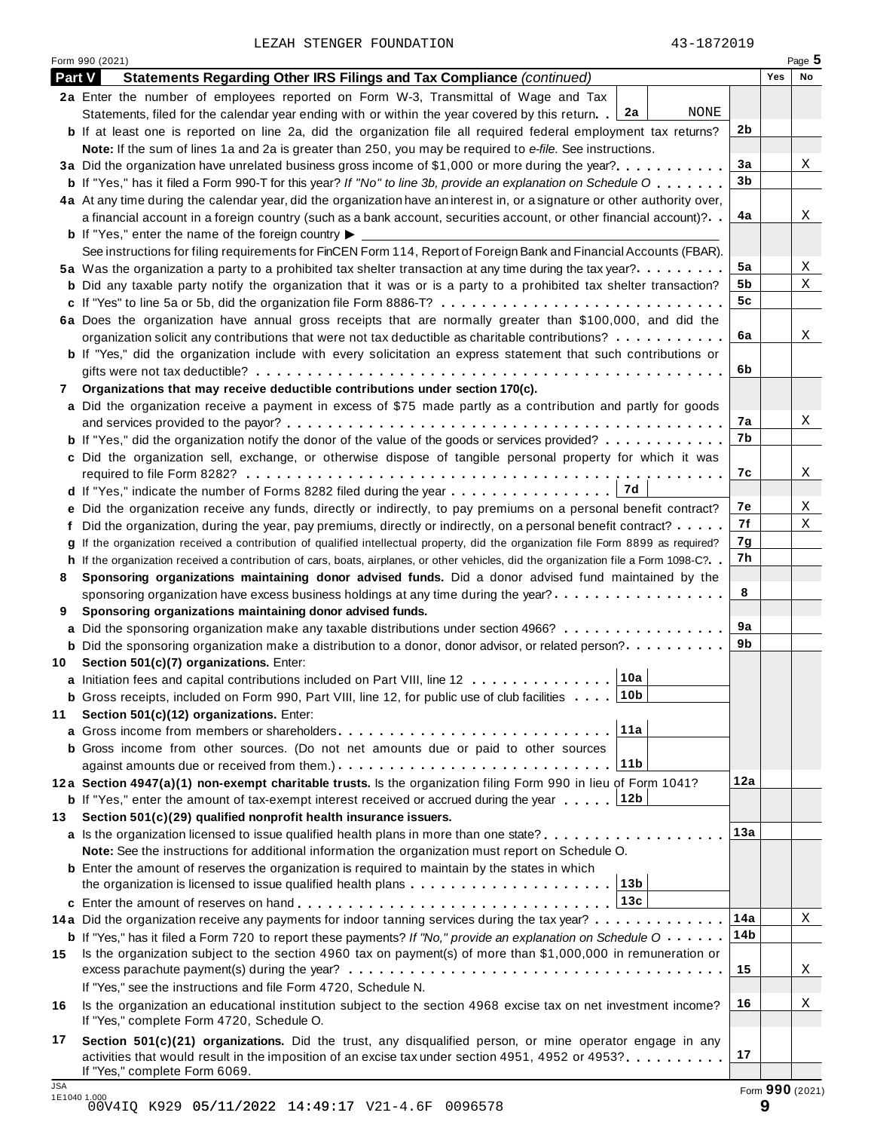LEZAH STENGER FOUNDATION 43-1872019

Form <sup>990</sup> (2021) Page **5**

| Part $V$                   | Statements Regarding Other IRS Filings and Tax Compliance (continued)                                                                                                                                      |                | Yes | No              |
|----------------------------|------------------------------------------------------------------------------------------------------------------------------------------------------------------------------------------------------------|----------------|-----|-----------------|
|                            | 2a Enter the number of employees reported on Form W-3, Transmittal of Wage and Tax                                                                                                                         |                |     |                 |
|                            | NONE<br>2a<br>Statements, filed for the calendar year ending with or within the year covered by this return.                                                                                               |                |     |                 |
|                            | <b>b</b> If at least one is reported on line 2a, did the organization file all required federal employment tax returns?                                                                                    | 2b             |     |                 |
|                            | Note: If the sum of lines 1a and 2a is greater than 250, you may be required to e-file. See instructions.                                                                                                  |                |     |                 |
|                            | 3a Did the organization have unrelated business gross income of \$1,000 or more during the year?                                                                                                           | 3a             |     | Χ               |
|                            | <b>b</b> If "Yes," has it filed a Form 990-T for this year? If "No" to line 3b, provide an explanation on Schedule O                                                                                       | 3 <sub>b</sub> |     |                 |
|                            | 4a At any time during the calendar year, did the organization have an interest in, or a signature or other authority over,                                                                                 |                |     |                 |
|                            | a financial account in a foreign country (such as a bank account, securities account, or other financial account)?                                                                                         | 4a             |     | Χ               |
|                            | <b>b</b> If "Yes," enter the name of the foreign country $\blacktriangleright$ $\equiv$                                                                                                                    |                |     |                 |
|                            | See instructions for filing requirements for FinCEN Form 114, Report of Foreign Bank and Financial Accounts (FBAR).                                                                                        |                |     |                 |
|                            | 5a Was the organization a party to a prohibited tax shelter transaction at any time during the tax year?                                                                                                   | 5a             |     | Χ               |
|                            | <b>b</b> Did any taxable party notify the organization that it was or is a party to a prohibited tax shelter transaction?                                                                                  | 5b             |     | X               |
|                            | c If "Yes" to line 5a or 5b, did the organization file Form 8886-T?                                                                                                                                        | 5c             |     |                 |
|                            | 6a Does the organization have annual gross receipts that are normally greater than \$100,000, and did the                                                                                                  |                |     |                 |
|                            | organization solicit any contributions that were not tax deductible as charitable contributions?                                                                                                           | 6a             |     | X               |
|                            | <b>b</b> If "Yes," did the organization include with every solicitation an express statement that such contributions or                                                                                    |                |     |                 |
|                            | .                                                                                                                                                                                                          | 6b             |     |                 |
| 7                          | Organizations that may receive deductible contributions under section 170(c).                                                                                                                              |                |     |                 |
|                            | a Did the organization receive a payment in excess of \$75 made partly as a contribution and partly for goods                                                                                              |                |     |                 |
|                            |                                                                                                                                                                                                            | 7a             |     | Χ               |
|                            | <b>b</b> If "Yes," did the organization notify the donor of the value of the goods or services provided?                                                                                                   | 7b             |     |                 |
|                            | c Did the organization sell, exchange, or otherwise dispose of tangible personal property for which it was                                                                                                 |                |     |                 |
|                            |                                                                                                                                                                                                            | 7c             |     | Χ               |
|                            |                                                                                                                                                                                                            |                |     |                 |
|                            | e Did the organization receive any funds, directly or indirectly, to pay premiums on a personal benefit contract?                                                                                          | 7e             |     | Χ               |
|                            | f Did the organization, during the year, pay premiums, directly or indirectly, on a personal benefit contract?                                                                                             | 7f             |     | Χ               |
|                            | g If the organization received a contribution of qualified intellectual property, did the organization file Form 8899 as required?                                                                         | 7g             |     |                 |
|                            | h If the organization received a contribution of cars, boats, airplanes, or other vehicles, did the organization file a Form 1098-C?                                                                       | 7h             |     |                 |
| 8                          | Sponsoring organizations maintaining donor advised funds. Did a donor advised fund maintained by the                                                                                                       |                |     |                 |
|                            | sponsoring organization have excess business holdings at any time during the year?                                                                                                                         | 8              |     |                 |
| 9                          | Sponsoring organizations maintaining donor advised funds.                                                                                                                                                  |                |     |                 |
|                            | a Did the sponsoring organization make any taxable distributions under section 4966?                                                                                                                       | 9a             |     |                 |
|                            | <b>b</b> Did the sponsoring organization make a distribution to a donor, donor advisor, or related person?                                                                                                 | 9b             |     |                 |
|                            | 10 Section 501(c)(7) organizations. Enter:                                                                                                                                                                 |                |     |                 |
|                            | 10a<br>a Initiation fees and capital contributions included on Part VIII, line 12                                                                                                                          |                |     |                 |
|                            | 10b<br><b>b</b> Gross receipts, included on Form 990, Part VIII, line 12, for public use of club facilities                                                                                                |                |     |                 |
| 11                         | Section 501(c)(12) organizations. Enter:                                                                                                                                                                   |                |     |                 |
|                            | 11a                                                                                                                                                                                                        |                |     |                 |
|                            | <b>b</b> Gross income from other sources. (Do not net amounts due or paid to other sources                                                                                                                 |                |     |                 |
|                            | 11b                                                                                                                                                                                                        |                |     |                 |
|                            | 12a Section 4947(a)(1) non-exempt charitable trusts. Is the organization filing Form 990 in lieu of Form 1041?                                                                                             | 12a            |     |                 |
|                            | 12b<br><b>b</b> If "Yes," enter the amount of tax-exempt interest received or accrued during the year                                                                                                      |                |     |                 |
| 13                         | Section 501(c)(29) qualified nonprofit health insurance issuers.                                                                                                                                           | 13a            |     |                 |
|                            | a Is the organization licensed to issue qualified health plans in more than one state?                                                                                                                     |                |     |                 |
|                            | Note: See the instructions for additional information the organization must report on Schedule O.<br><b>b</b> Enter the amount of reserves the organization is required to maintain by the states in which |                |     |                 |
|                            | 13 <sub>b</sub>                                                                                                                                                                                            |                |     |                 |
|                            | 13c                                                                                                                                                                                                        |                |     |                 |
|                            | 14a Did the organization receive any payments for indoor tanning services during the tax year?                                                                                                             | 14a            |     | Χ               |
|                            | <b>b</b> If "Yes," has it filed a Form 720 to report these payments? If "No," provide an explanation on Schedule $0 \cdot \cdot \cdot \cdot$                                                               | 14b            |     |                 |
| 15                         | Is the organization subject to the section 4960 tax on payment(s) of more than \$1,000,000 in remuneration or                                                                                              |                |     |                 |
|                            |                                                                                                                                                                                                            | 15             |     | Χ               |
|                            | If "Yes," see the instructions and file Form 4720, Schedule N.                                                                                                                                             |                |     |                 |
| 16                         | Is the organization an educational institution subject to the section 4968 excise tax on net investment income?                                                                                            | 16             |     | Χ               |
|                            | If "Yes," complete Form 4720, Schedule O.                                                                                                                                                                  |                |     |                 |
| 17                         | Section 501(c)(21) organizations. Did the trust, any disqualified person, or mine operator engage in any                                                                                                   |                |     |                 |
|                            | activities that would result in the imposition of an excise tax under section 4951, 4952 or 4953?                                                                                                          | 17             |     |                 |
|                            | If "Yes," complete Form 6069.                                                                                                                                                                              |                |     |                 |
| <b>JSA</b><br>1E1040 1.000 |                                                                                                                                                                                                            |                |     | Form 990 (2021) |
|                            |                                                                                                                                                                                                            |                |     |                 |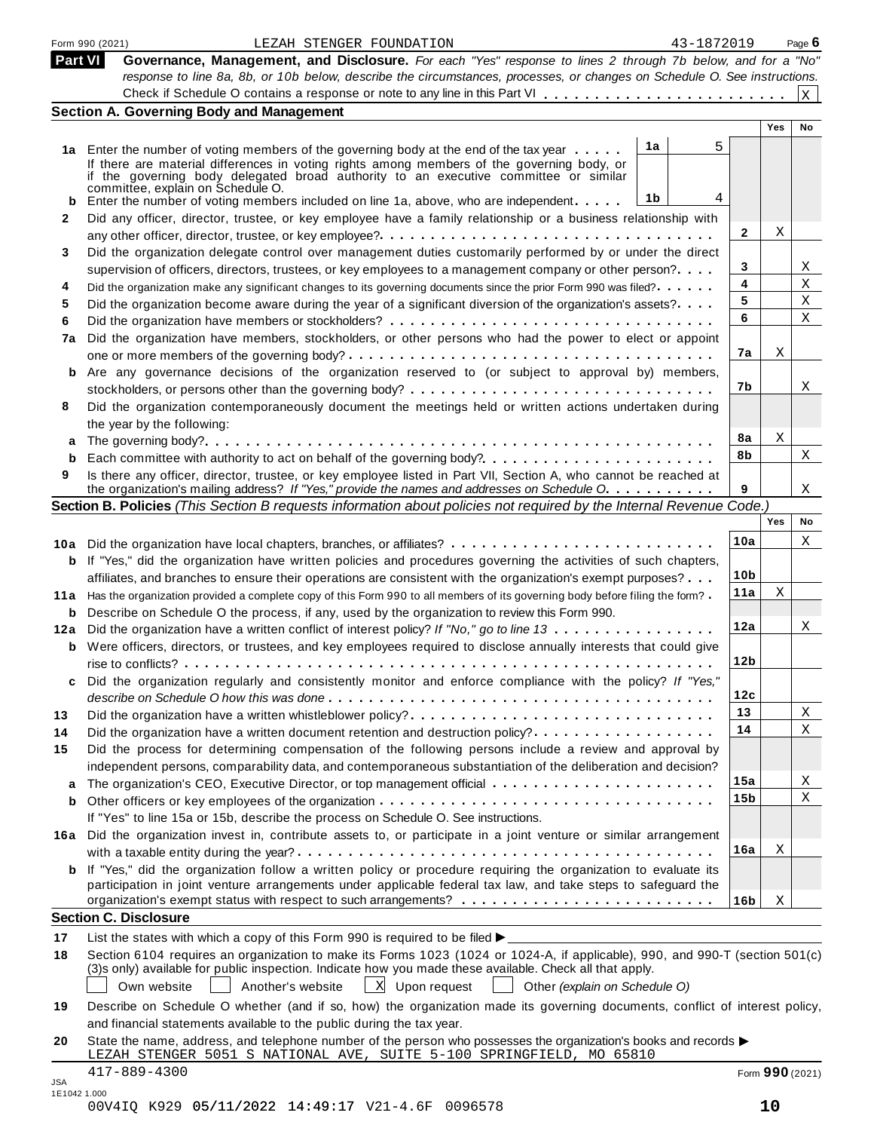|         | Form 990 (2021)<br>43-1872019<br>LEZAH STENGER FOUNDATION                                                                                                                                                                                |                 |                 | Page 6          |
|---------|------------------------------------------------------------------------------------------------------------------------------------------------------------------------------------------------------------------------------------------|-----------------|-----------------|-----------------|
| Part VI | Governance, Management, and Disclosure. For each "Yes" response to lines 2 through 7b below, and for a "No"                                                                                                                              |                 |                 |                 |
|         | response to line 8a, 8b, or 10b below, describe the circumstances, processes, or changes on Schedule O. See instructions.                                                                                                                |                 |                 |                 |
|         |                                                                                                                                                                                                                                          |                 |                 | $\vert x \vert$ |
|         | <b>Section A. Governing Body and Management</b>                                                                                                                                                                                          |                 | Yes             | No              |
|         |                                                                                                                                                                                                                                          |                 |                 |                 |
|         | 5<br>1a<br>1a Enter the number of voting members of the governing body at the end of the tax year                                                                                                                                        |                 |                 |                 |
|         | If there are material differences in voting rights among members of the governing body, or<br>if the governing body delegated broad authority to an executive committee or similar                                                       |                 |                 |                 |
|         | committee, explain on Schedule O.                                                                                                                                                                                                        |                 |                 |                 |
|         | 1b<br>4<br>Enter the number of voting members included on line 1a, above, who are independent                                                                                                                                            |                 |                 |                 |
| 2       | Did any officer, director, trustee, or key employee have a family relationship or a business relationship with                                                                                                                           |                 |                 |                 |
|         |                                                                                                                                                                                                                                          | 2               | Χ               |                 |
| 3       | Did the organization delegate control over management duties customarily performed by or under the direct                                                                                                                                |                 |                 |                 |
|         | supervision of officers, directors, trustees, or key employees to a management company or other person?                                                                                                                                  | 3               |                 | Χ               |
| 4       | Did the organization make any significant changes to its governing documents since the prior Form 990 was filed?                                                                                                                         | 4               |                 | Χ               |
| 5       | Did the organization become aware during the year of a significant diversion of the organization's assets?                                                                                                                               | 5               |                 | X               |
| 6       |                                                                                                                                                                                                                                          | 6               |                 | Χ               |
| 7a      | Did the organization have members, stockholders, or other persons who had the power to elect or appoint                                                                                                                                  |                 |                 |                 |
|         |                                                                                                                                                                                                                                          | 7a              | Χ               |                 |
| b       | Are any governance decisions of the organization reserved to (or subject to approval by) members,                                                                                                                                        |                 |                 |                 |
|         |                                                                                                                                                                                                                                          | 7b              |                 | Χ               |
| 8       | Did the organization contemporaneously document the meetings held or written actions undertaken during                                                                                                                                   |                 |                 |                 |
|         | the year by the following:                                                                                                                                                                                                               |                 |                 |                 |
| а       |                                                                                                                                                                                                                                          | 8a              | $\mathbf X$     |                 |
| b       |                                                                                                                                                                                                                                          | 8b              |                 | X               |
| 9       | Is there any officer, director, trustee, or key employee listed in Part VII, Section A, who cannot be reached at                                                                                                                         |                 |                 |                 |
|         | the organization's mailing address? If "Yes," provide the names and addresses on Schedule O.                                                                                                                                             | 9               |                 | Χ               |
|         | Section B. Policies (This Section B requests information about policies not required by the Internal Revenue Code.)                                                                                                                      |                 | Yes             | No              |
|         |                                                                                                                                                                                                                                          |                 |                 |                 |
|         |                                                                                                                                                                                                                                          | 10a             |                 | Χ               |
|         | <b>b</b> If "Yes," did the organization have written policies and procedures governing the activities of such chapters,                                                                                                                  |                 |                 |                 |
|         | affiliates, and branches to ensure their operations are consistent with the organization's exempt purposes?                                                                                                                              | 10 <sub>b</sub> |                 |                 |
|         | 11a Has the organization provided a complete copy of this Form 990 to all members of its governing body before filing the form?                                                                                                          | 11a             | X               |                 |
|         | <b>b</b> Describe on Schedule O the process, if any, used by the organization to review this Form 990.                                                                                                                                   |                 |                 |                 |
|         | 12a Did the organization have a written conflict of interest policy? If "No," go to line 13                                                                                                                                              | 12a             |                 | X               |
|         | <b>b</b> Were officers, directors, or trustees, and key employees required to disclose annually interests that could give                                                                                                                |                 |                 |                 |
|         |                                                                                                                                                                                                                                          | 12 <sub>b</sub> |                 |                 |
|         | Did the organization regularly and consistently monitor and enforce compliance with the policy? If "Yes,"                                                                                                                                |                 |                 |                 |
|         |                                                                                                                                                                                                                                          | 12c             |                 |                 |
| 13      | Did the organization have a written whistleblower policy?                                                                                                                                                                                | 13              |                 | Χ               |
| 14      | Did the organization have a written document retention and destruction policy?                                                                                                                                                           | 14              |                 | Χ               |
| 15      | Did the process for determining compensation of the following persons include a review and approval by                                                                                                                                   |                 |                 |                 |
|         | independent persons, comparability data, and contemporaneous substantiation of the deliberation and decision?                                                                                                                            |                 |                 |                 |
| а       |                                                                                                                                                                                                                                          | 15a             |                 | Χ               |
| b       |                                                                                                                                                                                                                                          | 15b             |                 | Χ               |
|         | If "Yes" to line 15a or 15b, describe the process on Schedule O. See instructions.                                                                                                                                                       |                 |                 |                 |
|         | 16a Did the organization invest in, contribute assets to, or participate in a joint venture or similar arrangement                                                                                                                       |                 |                 |                 |
|         |                                                                                                                                                                                                                                          | 16a             | Χ               |                 |
|         | <b>b</b> If "Yes," did the organization follow a written policy or procedure requiring the organization to evaluate its                                                                                                                  |                 |                 |                 |
|         | participation in joint venture arrangements under applicable federal tax law, and take steps to safeguard the                                                                                                                            |                 |                 |                 |
|         | <b>Section C. Disclosure</b>                                                                                                                                                                                                             | 16 <sub>b</sub> | Χ               |                 |
|         |                                                                                                                                                                                                                                          |                 |                 |                 |
| 17      | List the states with which a copy of this Form 990 is required to be filed $\blacktriangleright$ .                                                                                                                                       |                 |                 |                 |
| 18      | Section 6104 requires an organization to make its Forms 1023 (1024 or 1024-A, if applicable), 990, and 990-T (section 501(c)<br>(3)s only) available for public inspection. Indicate how you made these available. Check all that apply. |                 |                 |                 |
|         | X Upon request<br>Another's website<br>Other (explain on Schedule O)<br>Own website                                                                                                                                                      |                 |                 |                 |
|         |                                                                                                                                                                                                                                          |                 |                 |                 |
| 19      | Describe on Schedule O whether (and if so, how) the organization made its governing documents, conflict of interest policy,                                                                                                              |                 |                 |                 |
|         | and financial statements available to the public during the tax year.                                                                                                                                                                    |                 |                 |                 |
| 20      | State the name, address, and telephone number of the person who possesses the organization's books and records $\blacktriangleright$                                                                                                     |                 |                 |                 |
|         | LEZAH STENGER 5051 S NATIONAL AVE, SUITE 5-100 SPRINGFIELD, MO 65810                                                                                                                                                                     |                 |                 |                 |
| JSA     | $417 - 889 - 4300$                                                                                                                                                                                                                       |                 | Form 990 (2021) |                 |
|         | 1E1042 1.000                                                                                                                                                                                                                             |                 |                 |                 |

| 00V4IQ K929 05/11/2022 14:49:17 V21-4.6F 0096578 |  |
|--------------------------------------------------|--|
|--------------------------------------------------|--|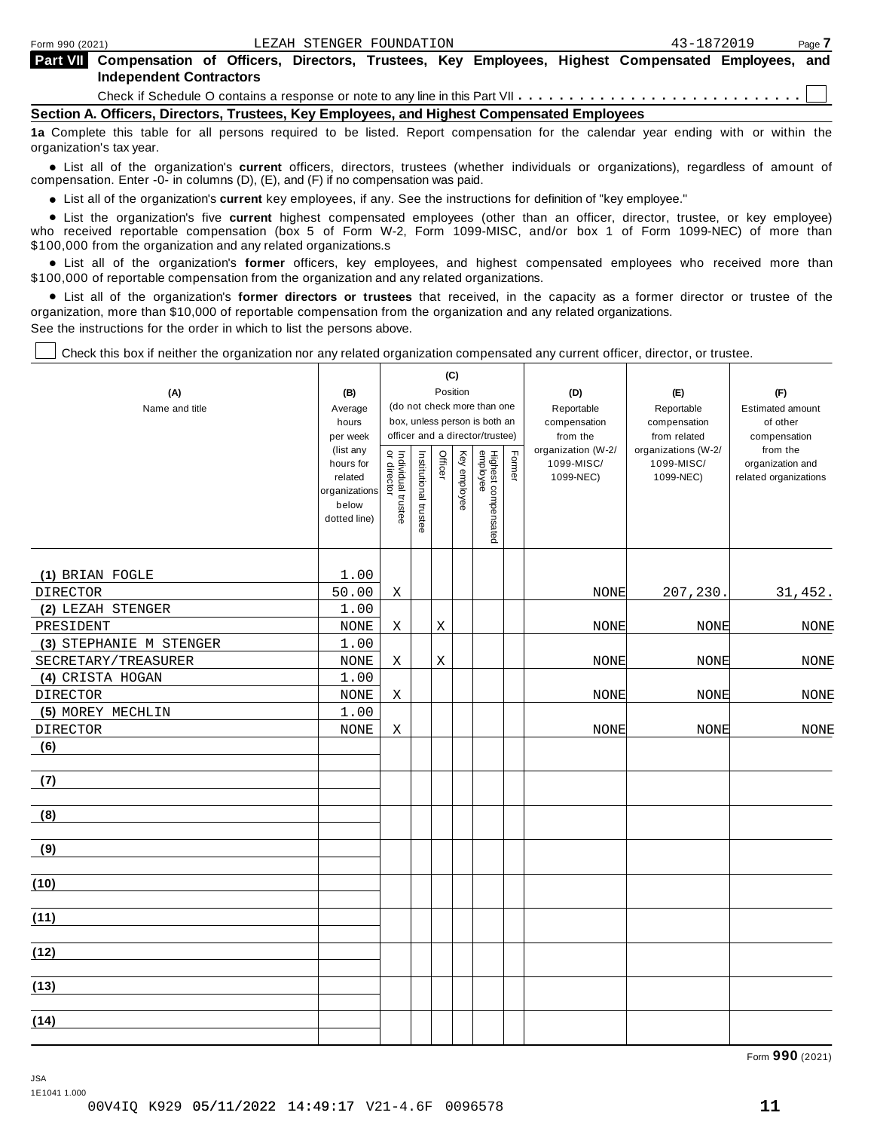| <b>Part VII</b> Compensation of Officers, Directors, Trustees, Key Employees, Highest Compensated Employees, and |  |  |  |  |  |
|------------------------------------------------------------------------------------------------------------------|--|--|--|--|--|
| Independent Contractors                                                                                          |  |  |  |  |  |
|                                                                                                                  |  |  |  |  |  |

Check if Schedule O contains a response or note to any line in this Part VII  $\ldots \ldots \ldots \ldots \ldots \ldots \ldots \ldots$ 

**Section A. Officers, Directors, Trustees, Key Employees, and Highest Compensated Employees**

**1a** Complete this table for all persons required to be listed. Report compensation for the calendar year ending with or within the organization's tax year.

anization's lax year.<br>● List all of the organization's **current** officers, directors, trustees (whether individuals or organizations), regardless of amount of<br>nnensation Enter -0- in columns (D) (E) and (E) if no compensa compensation. Enter -0- in columns (D), (E), and (F) if no compensation was paid.

• List all of the organization's current key employees, if any. See the instructions for definition of "key employee."

■ List all of the organization's current key employees, if any. See the instructions for definition of "key employee."<br>■ List the organization's five current highest compensated employees (other than an officer, director, who received reportable compensation (box 5 of Form W-2, Form 1099-MISC, and/or box 1 of Form 1099-NEC) of more than

\$100,000 from the organization and any related organizations.s<br>• List all of the organization's **former** officers, key employees, and highest compensated employees who received more than<br>\$1.00.000 of reportable componentio \$100,000 of reportable compensation from the organization and any related organizations.

% List all of the organization's **former directors or trustees** that received, in the capacity as a former director or trustee of the organization, more than \$10,000 of reportable compensation from the organization and any related organizations. See the instructions for the order in which to list the persons above.

Check this box if neither the organization nor any related organization compensated any current officer, director, or trustee.

|                         |                        |                                   |                       |         | (C)          |                                 |        |                          |                                     |                          |
|-------------------------|------------------------|-----------------------------------|-----------------------|---------|--------------|---------------------------------|--------|--------------------------|-------------------------------------|--------------------------|
| (A)                     | (B)                    |                                   |                       |         | Position     |                                 |        | (D)                      | (E)                                 | (F)                      |
| Name and title          | Average                |                                   |                       |         |              | (do not check more than one     |        | Reportable               | Reportable                          | <b>Estimated amount</b>  |
|                         | hours                  |                                   |                       |         |              | box, unless person is both an   |        | compensation<br>from the | compensation                        | of other                 |
|                         | per week<br>(list any  |                                   |                       |         |              | officer and a director/trustee) |        | organization (W-2/       | from related<br>organizations (W-2/ | compensation<br>from the |
|                         | hours for              | Individual trustee<br>or director | Institutional trustee | Officer | Key employee |                                 | Former | 1099-MISC/               | 1099-MISC/                          | organization and         |
|                         | related                |                                   |                       |         |              |                                 |        | 1099-NEC)                | 1099-NEC)                           | related organizations    |
|                         | organizations<br>below |                                   |                       |         |              |                                 |        |                          |                                     |                          |
|                         | dotted line)           |                                   |                       |         |              |                                 |        |                          |                                     |                          |
|                         |                        |                                   |                       |         |              | Highest compensated<br>employee |        |                          |                                     |                          |
|                         |                        |                                   |                       |         |              |                                 |        |                          |                                     |                          |
| (1) BRIAN FOGLE         | 1.00                   |                                   |                       |         |              |                                 |        |                          |                                     |                          |
| DIRECTOR                | 50.00                  | Χ                                 |                       |         |              |                                 |        | NONE                     | 207,230.                            | 31,452.                  |
| (2) LEZAH STENGER       | 1.00                   |                                   |                       |         |              |                                 |        |                          |                                     |                          |
| PRESIDENT               | <b>NONE</b>            | Χ                                 |                       | Χ       |              |                                 |        | <b>NONE</b>              | NONE                                | <b>NONE</b>              |
| (3) STEPHANIE M STENGER | 1.00                   |                                   |                       |         |              |                                 |        |                          |                                     |                          |
| SECRETARY/TREASURER     | <b>NONE</b>            | Χ                                 |                       | Χ       |              |                                 |        | <b>NONE</b>              | <b>NONE</b>                         | NONE                     |
| (4) CRISTA HOGAN        | 1.00                   |                                   |                       |         |              |                                 |        |                          |                                     |                          |
| DIRECTOR                | $\rm{NONE}$            | Χ                                 |                       |         |              |                                 |        | <b>NONE</b>              | <b>NONE</b>                         | $\rm{NONE}$              |
| (5) MOREY MECHLIN       | 1.00                   |                                   |                       |         |              |                                 |        |                          |                                     |                          |
| DIRECTOR                | <b>NONE</b>            | Χ                                 |                       |         |              |                                 |        | <b>NONE</b>              | NONE                                | $\rm{NONE}$              |
| (6)                     |                        |                                   |                       |         |              |                                 |        |                          |                                     |                          |
|                         |                        |                                   |                       |         |              |                                 |        |                          |                                     |                          |
| (7)                     |                        |                                   |                       |         |              |                                 |        |                          |                                     |                          |
| (8)                     |                        |                                   |                       |         |              |                                 |        |                          |                                     |                          |
|                         |                        |                                   |                       |         |              |                                 |        |                          |                                     |                          |
| (9)                     |                        |                                   |                       |         |              |                                 |        |                          |                                     |                          |
|                         |                        |                                   |                       |         |              |                                 |        |                          |                                     |                          |
| (10)                    |                        |                                   |                       |         |              |                                 |        |                          |                                     |                          |
|                         |                        |                                   |                       |         |              |                                 |        |                          |                                     |                          |
| (11)                    |                        |                                   |                       |         |              |                                 |        |                          |                                     |                          |
|                         |                        |                                   |                       |         |              |                                 |        |                          |                                     |                          |
| (12)                    |                        |                                   |                       |         |              |                                 |        |                          |                                     |                          |
|                         |                        |                                   |                       |         |              |                                 |        |                          |                                     |                          |
| (13)                    |                        |                                   |                       |         |              |                                 |        |                          |                                     |                          |
| (14)                    |                        |                                   |                       |         |              |                                 |        |                          |                                     |                          |
|                         |                        |                                   |                       |         |              |                                 |        |                          |                                     |                          |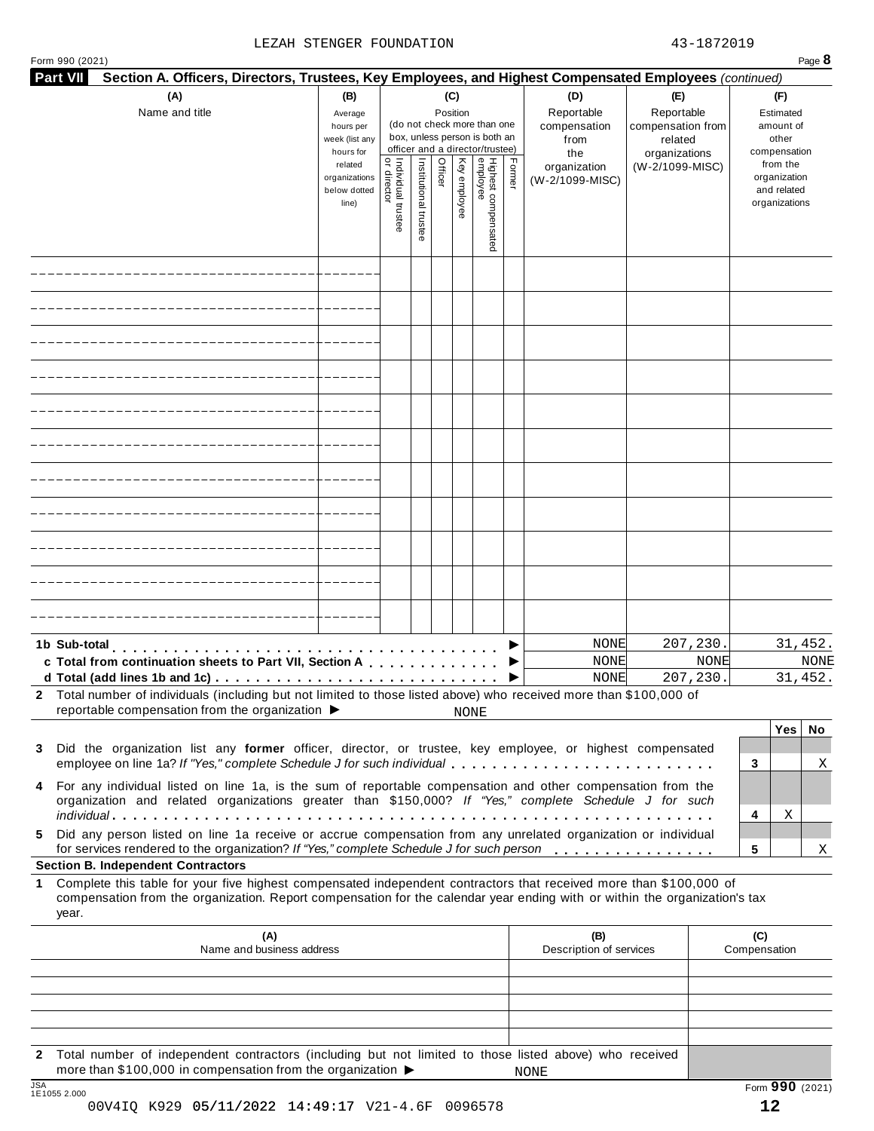#### LEZAH STENGER FOUNDATION 43-1872019

| Form 990 (2021)<br>Part VII |                                                                                                                                                                                                                                                  |                                                                |                                           |                       |          |              |                                                                                                 |        |                                        |                                            |      |                                                                          | Page 8      |
|-----------------------------|--------------------------------------------------------------------------------------------------------------------------------------------------------------------------------------------------------------------------------------------------|----------------------------------------------------------------|-------------------------------------------|-----------------------|----------|--------------|-------------------------------------------------------------------------------------------------|--------|----------------------------------------|--------------------------------------------|------|--------------------------------------------------------------------------|-------------|
|                             | Section A. Officers, Directors, Trustees, Key Employees, and Highest Compensated Employees (continued)<br>(A)                                                                                                                                    | (B)                                                            |                                           |                       |          | (C)          |                                                                                                 |        | (D)                                    | (E)                                        |      | (F)                                                                      |             |
|                             | Name and title                                                                                                                                                                                                                                   | Average<br>hours per<br>week (list any                         |                                           |                       | Position |              | (do not check more than one<br>box, unless person is both an<br>officer and a director/trustee) |        | Reportable<br>compensation<br>from     | Reportable<br>compensation from<br>related |      | Estimated<br>amount of<br>other                                          |             |
|                             |                                                                                                                                                                                                                                                  | hours for<br>related<br>organizations<br>below dotted<br>line) | <br>  Individual trustee<br>  or director | Institutional trustee | Officer  | Key employee | Highest compensated<br>employee                                                                 | Former | the<br>organization<br>(W-2/1099-MISC) | organizations<br>(W-2/1099-MISC)           |      | compensation<br>from the<br>organization<br>and related<br>organizations |             |
|                             |                                                                                                                                                                                                                                                  |                                                                |                                           |                       |          |              |                                                                                                 |        |                                        |                                            |      |                                                                          |             |
|                             |                                                                                                                                                                                                                                                  |                                                                |                                           |                       |          |              |                                                                                                 |        |                                        |                                            |      |                                                                          |             |
|                             |                                                                                                                                                                                                                                                  |                                                                |                                           |                       |          |              |                                                                                                 |        |                                        |                                            |      |                                                                          |             |
|                             |                                                                                                                                                                                                                                                  |                                                                |                                           |                       |          |              |                                                                                                 |        |                                        |                                            |      |                                                                          |             |
|                             |                                                                                                                                                                                                                                                  |                                                                |                                           |                       |          |              |                                                                                                 |        |                                        |                                            |      |                                                                          |             |
|                             |                                                                                                                                                                                                                                                  |                                                                |                                           |                       |          |              |                                                                                                 |        |                                        |                                            |      |                                                                          |             |
|                             |                                                                                                                                                                                                                                                  |                                                                |                                           |                       |          |              |                                                                                                 |        |                                        |                                            |      |                                                                          |             |
|                             |                                                                                                                                                                                                                                                  |                                                                |                                           |                       |          |              |                                                                                                 |        |                                        |                                            |      |                                                                          |             |
|                             |                                                                                                                                                                                                                                                  |                                                                |                                           |                       |          |              |                                                                                                 |        |                                        |                                            |      |                                                                          |             |
|                             |                                                                                                                                                                                                                                                  |                                                                |                                           |                       |          |              |                                                                                                 |        |                                        |                                            |      |                                                                          |             |
|                             |                                                                                                                                                                                                                                                  |                                                                |                                           |                       |          |              |                                                                                                 |        |                                        |                                            |      |                                                                          |             |
|                             | 1b Sub-total                                                                                                                                                                                                                                     |                                                                |                                           |                       |          |              |                                                                                                 |        | <b>NONE</b>                            | 207,230.                                   |      | 31,452.                                                                  |             |
|                             | c Total from continuation sheets to Part VII, Section A                                                                                                                                                                                          |                                                                |                                           |                       |          |              |                                                                                                 |        | <b>NONE</b>                            |                                            | NONE |                                                                          | <b>NONE</b> |
|                             | d Total (add lines 1b and 1c) $\ldots \ldots \ldots \ldots \ldots \ldots \ldots \ldots \ldots \ldots \ldots$<br>2 Total number of individuals (including but not limited to those listed above) who received more than \$100,000 of              |                                                                |                                           |                       |          |              |                                                                                                 |        | <b>NONE</b>                            | 207,230.                                   |      | 31,452.                                                                  |             |
|                             | reportable compensation from the organization $\blacktriangleright$                                                                                                                                                                              |                                                                |                                           |                       |          | NONE         |                                                                                                 |        |                                        |                                            |      |                                                                          |             |
| 3                           | Did the organization list any former officer, director, or trustee, key employee, or highest compensated                                                                                                                                         |                                                                |                                           |                       |          |              |                                                                                                 |        |                                        |                                            |      | Yes                                                                      | No          |
|                             | employee on line 1a? If "Yes," complete Schedule J for such individual                                                                                                                                                                           |                                                                |                                           |                       |          |              |                                                                                                 |        |                                        |                                            |      | 3                                                                        | Χ           |
| 4                           | For any individual listed on line 1a, is the sum of reportable compensation and other compensation from the<br>organization and related organizations greater than \$150,000? If "Yes," complete Schedule J for such                             |                                                                |                                           |                       |          |              |                                                                                                 |        |                                        |                                            |      |                                                                          |             |
| 5                           | Did any person listed on line 1a receive or accrue compensation from any unrelated organization or individual                                                                                                                                    |                                                                |                                           |                       |          |              |                                                                                                 |        |                                        |                                            |      | Χ<br>4                                                                   |             |
|                             | for services rendered to the organization? If "Yes," complete Schedule J for such person<br><b>Section B. Independent Contractors</b>                                                                                                            |                                                                |                                           |                       |          |              |                                                                                                 |        |                                        |                                            |      | 5                                                                        | Χ           |
| $\mathbf{1}$<br>year.       | Complete this table for your five highest compensated independent contractors that received more than \$100,000 of<br>compensation from the organization. Report compensation for the calendar year ending with or within the organization's tax |                                                                |                                           |                       |          |              |                                                                                                 |        |                                        |                                            |      |                                                                          |             |
|                             | (A)<br>Name and business address                                                                                                                                                                                                                 |                                                                |                                           |                       |          |              |                                                                                                 |        | (B)<br>Description of services         |                                            |      | (C)<br>Compensation                                                      |             |
|                             |                                                                                                                                                                                                                                                  |                                                                |                                           |                       |          |              |                                                                                                 |        |                                        |                                            |      |                                                                          |             |
|                             |                                                                                                                                                                                                                                                  |                                                                |                                           |                       |          |              |                                                                                                 |        |                                        |                                            |      |                                                                          |             |
|                             |                                                                                                                                                                                                                                                  |                                                                |                                           |                       |          |              |                                                                                                 |        |                                        |                                            |      |                                                                          |             |

**2** Total number of independent contractors (including but not limited to those listed above) who received<br>more than \$100,000 in compensation from the organization  $\blacktriangleright$  NONE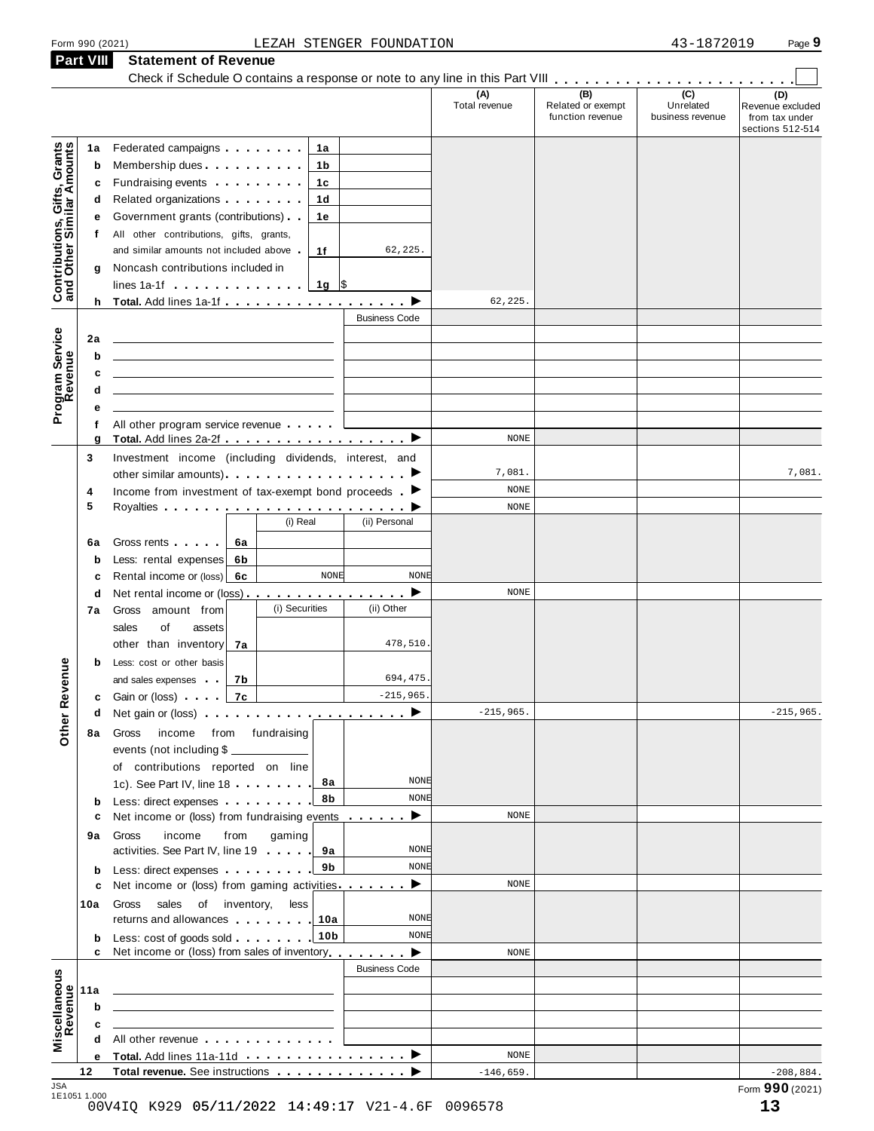#### Form <sup>990</sup> (2021) Page **9** LEZAH STENGER FOUNDATION 43-1872019 **Part VIII Statement of Revenue**

| Federated campaigns <b>Federated</b><br>Membership dues <b>All Accords</b> Membership dues<br>Fundraising events <b>Example 2</b> is a set of the set of the set of the set of the set of the set of the set of the set of the set of the set of the set of the set of the set of the set of the set of the set of the set of the<br>Related organizations <b>contains</b> a material or a material or a material or a material or a material or a material or a material or a material or a material or a material or a material or a material or a material or a mater<br>Government grants (contributions).<br>All other contributions, gifts, grants,<br>and similar amounts not included above<br>Noncash contributions included in<br>lines 1a-1f $\ldots$ $\ldots$ $\ldots$ $\ldots$<br>h Total. Add lines 1a-1f $\ldots$ , $\ldots$ , $\ldots$ , $\blacktriangleright$<br>All other program service revenue<br>Total. Add lines 2a-2f ▶<br>Investment income (including dividends, interest, and |          |                  | 1a<br>1b<br>1с<br>1d<br>1e<br>1f<br>$1g$ \$     | 62,225.<br><b>Business Code</b>                                                                                                                                                                                                                                                                                                                                                                                                                                | (A)<br>Total revenue<br>62, 225.                                                                                                                                                                     | (B)<br>Related or exempt<br>function revenue | $\overline{C}$<br>Unrelated<br>business revenue | (D)<br>Revenue excluded<br>from tax under<br>sections 512-514 |
|----------------------------------------------------------------------------------------------------------------------------------------------------------------------------------------------------------------------------------------------------------------------------------------------------------------------------------------------------------------------------------------------------------------------------------------------------------------------------------------------------------------------------------------------------------------------------------------------------------------------------------------------------------------------------------------------------------------------------------------------------------------------------------------------------------------------------------------------------------------------------------------------------------------------------------------------------------------------------------------------------------|----------|------------------|-------------------------------------------------|----------------------------------------------------------------------------------------------------------------------------------------------------------------------------------------------------------------------------------------------------------------------------------------------------------------------------------------------------------------------------------------------------------------------------------------------------------------|------------------------------------------------------------------------------------------------------------------------------------------------------------------------------------------------------|----------------------------------------------|-------------------------------------------------|---------------------------------------------------------------|
|                                                                                                                                                                                                                                                                                                                                                                                                                                                                                                                                                                                                                                                                                                                                                                                                                                                                                                                                                                                                          |          |                  |                                                 |                                                                                                                                                                                                                                                                                                                                                                                                                                                                |                                                                                                                                                                                                      |                                              |                                                 |                                                               |
|                                                                                                                                                                                                                                                                                                                                                                                                                                                                                                                                                                                                                                                                                                                                                                                                                                                                                                                                                                                                          |          |                  |                                                 |                                                                                                                                                                                                                                                                                                                                                                                                                                                                |                                                                                                                                                                                                      |                                              |                                                 |                                                               |
|                                                                                                                                                                                                                                                                                                                                                                                                                                                                                                                                                                                                                                                                                                                                                                                                                                                                                                                                                                                                          |          |                  |                                                 |                                                                                                                                                                                                                                                                                                                                                                                                                                                                |                                                                                                                                                                                                      |                                              |                                                 |                                                               |
|                                                                                                                                                                                                                                                                                                                                                                                                                                                                                                                                                                                                                                                                                                                                                                                                                                                                                                                                                                                                          |          |                  |                                                 |                                                                                                                                                                                                                                                                                                                                                                                                                                                                |                                                                                                                                                                                                      |                                              |                                                 |                                                               |
|                                                                                                                                                                                                                                                                                                                                                                                                                                                                                                                                                                                                                                                                                                                                                                                                                                                                                                                                                                                                          |          |                  |                                                 |                                                                                                                                                                                                                                                                                                                                                                                                                                                                |                                                                                                                                                                                                      |                                              |                                                 |                                                               |
|                                                                                                                                                                                                                                                                                                                                                                                                                                                                                                                                                                                                                                                                                                                                                                                                                                                                                                                                                                                                          |          |                  |                                                 |                                                                                                                                                                                                                                                                                                                                                                                                                                                                |                                                                                                                                                                                                      |                                              |                                                 |                                                               |
|                                                                                                                                                                                                                                                                                                                                                                                                                                                                                                                                                                                                                                                                                                                                                                                                                                                                                                                                                                                                          |          |                  |                                                 |                                                                                                                                                                                                                                                                                                                                                                                                                                                                |                                                                                                                                                                                                      |                                              |                                                 |                                                               |
|                                                                                                                                                                                                                                                                                                                                                                                                                                                                                                                                                                                                                                                                                                                                                                                                                                                                                                                                                                                                          |          |                  |                                                 |                                                                                                                                                                                                                                                                                                                                                                                                                                                                |                                                                                                                                                                                                      |                                              |                                                 |                                                               |
|                                                                                                                                                                                                                                                                                                                                                                                                                                                                                                                                                                                                                                                                                                                                                                                                                                                                                                                                                                                                          |          |                  |                                                 |                                                                                                                                                                                                                                                                                                                                                                                                                                                                |                                                                                                                                                                                                      |                                              |                                                 |                                                               |
|                                                                                                                                                                                                                                                                                                                                                                                                                                                                                                                                                                                                                                                                                                                                                                                                                                                                                                                                                                                                          |          |                  |                                                 |                                                                                                                                                                                                                                                                                                                                                                                                                                                                |                                                                                                                                                                                                      |                                              |                                                 |                                                               |
|                                                                                                                                                                                                                                                                                                                                                                                                                                                                                                                                                                                                                                                                                                                                                                                                                                                                                                                                                                                                          |          |                  |                                                 |                                                                                                                                                                                                                                                                                                                                                                                                                                                                |                                                                                                                                                                                                      |                                              |                                                 |                                                               |
|                                                                                                                                                                                                                                                                                                                                                                                                                                                                                                                                                                                                                                                                                                                                                                                                                                                                                                                                                                                                          |          |                  |                                                 |                                                                                                                                                                                                                                                                                                                                                                                                                                                                |                                                                                                                                                                                                      |                                              |                                                 |                                                               |
|                                                                                                                                                                                                                                                                                                                                                                                                                                                                                                                                                                                                                                                                                                                                                                                                                                                                                                                                                                                                          |          |                  |                                                 |                                                                                                                                                                                                                                                                                                                                                                                                                                                                |                                                                                                                                                                                                      |                                              |                                                 |                                                               |
|                                                                                                                                                                                                                                                                                                                                                                                                                                                                                                                                                                                                                                                                                                                                                                                                                                                                                                                                                                                                          |          |                  |                                                 |                                                                                                                                                                                                                                                                                                                                                                                                                                                                |                                                                                                                                                                                                      |                                              |                                                 |                                                               |
|                                                                                                                                                                                                                                                                                                                                                                                                                                                                                                                                                                                                                                                                                                                                                                                                                                                                                                                                                                                                          |          |                  |                                                 |                                                                                                                                                                                                                                                                                                                                                                                                                                                                |                                                                                                                                                                                                      |                                              |                                                 |                                                               |
|                                                                                                                                                                                                                                                                                                                                                                                                                                                                                                                                                                                                                                                                                                                                                                                                                                                                                                                                                                                                          |          |                  |                                                 |                                                                                                                                                                                                                                                                                                                                                                                                                                                                |                                                                                                                                                                                                      |                                              |                                                 |                                                               |
|                                                                                                                                                                                                                                                                                                                                                                                                                                                                                                                                                                                                                                                                                                                                                                                                                                                                                                                                                                                                          |          |                  |                                                 |                                                                                                                                                                                                                                                                                                                                                                                                                                                                |                                                                                                                                                                                                      |                                              |                                                 |                                                               |
|                                                                                                                                                                                                                                                                                                                                                                                                                                                                                                                                                                                                                                                                                                                                                                                                                                                                                                                                                                                                          |          |                  |                                                 |                                                                                                                                                                                                                                                                                                                                                                                                                                                                |                                                                                                                                                                                                      |                                              |                                                 |                                                               |
|                                                                                                                                                                                                                                                                                                                                                                                                                                                                                                                                                                                                                                                                                                                                                                                                                                                                                                                                                                                                          |          |                  |                                                 |                                                                                                                                                                                                                                                                                                                                                                                                                                                                | <b>NONE</b>                                                                                                                                                                                          |                                              |                                                 |                                                               |
|                                                                                                                                                                                                                                                                                                                                                                                                                                                                                                                                                                                                                                                                                                                                                                                                                                                                                                                                                                                                          |          |                  |                                                 |                                                                                                                                                                                                                                                                                                                                                                                                                                                                |                                                                                                                                                                                                      |                                              |                                                 |                                                               |
|                                                                                                                                                                                                                                                                                                                                                                                                                                                                                                                                                                                                                                                                                                                                                                                                                                                                                                                                                                                                          |          |                  |                                                 |                                                                                                                                                                                                                                                                                                                                                                                                                                                                | 7,081.                                                                                                                                                                                               |                                              |                                                 | 7,081.                                                        |
| Income from investment of tax-exempt bond proceeds $\blacktriangleright$                                                                                                                                                                                                                                                                                                                                                                                                                                                                                                                                                                                                                                                                                                                                                                                                                                                                                                                                 |          |                  |                                                 |                                                                                                                                                                                                                                                                                                                                                                                                                                                                | NONE                                                                                                                                                                                                 |                                              |                                                 |                                                               |
|                                                                                                                                                                                                                                                                                                                                                                                                                                                                                                                                                                                                                                                                                                                                                                                                                                                                                                                                                                                                          |          | (i) Real         |                                                 | (ii) Personal                                                                                                                                                                                                                                                                                                                                                                                                                                                  | <b>NONE</b>                                                                                                                                                                                          |                                              |                                                 |                                                               |
|                                                                                                                                                                                                                                                                                                                                                                                                                                                                                                                                                                                                                                                                                                                                                                                                                                                                                                                                                                                                          |          |                  |                                                 |                                                                                                                                                                                                                                                                                                                                                                                                                                                                |                                                                                                                                                                                                      |                                              |                                                 |                                                               |
| Gross rents                                                                                                                                                                                                                                                                                                                                                                                                                                                                                                                                                                                                                                                                                                                                                                                                                                                                                                                                                                                              | 6a       |                  |                                                 |                                                                                                                                                                                                                                                                                                                                                                                                                                                                |                                                                                                                                                                                                      |                                              |                                                 |                                                               |
| Less: rental expenses<br>Rental income or (loss)                                                                                                                                                                                                                                                                                                                                                                                                                                                                                                                                                                                                                                                                                                                                                                                                                                                                                                                                                         | 6b<br>6с |                  | <b>NONE</b>                                     | <b>NONE</b>                                                                                                                                                                                                                                                                                                                                                                                                                                                    |                                                                                                                                                                                                      |                                              |                                                 |                                                               |
| Net rental income or (loss) ▶                                                                                                                                                                                                                                                                                                                                                                                                                                                                                                                                                                                                                                                                                                                                                                                                                                                                                                                                                                            |          |                  |                                                 |                                                                                                                                                                                                                                                                                                                                                                                                                                                                | <b>NONE</b>                                                                                                                                                                                          |                                              |                                                 |                                                               |
| Gross amount from                                                                                                                                                                                                                                                                                                                                                                                                                                                                                                                                                                                                                                                                                                                                                                                                                                                                                                                                                                                        |          | (i) Securities   |                                                 | (ii) Other                                                                                                                                                                                                                                                                                                                                                                                                                                                     |                                                                                                                                                                                                      |                                              |                                                 |                                                               |
| sales<br>of<br>assets                                                                                                                                                                                                                                                                                                                                                                                                                                                                                                                                                                                                                                                                                                                                                                                                                                                                                                                                                                                    |          |                  |                                                 |                                                                                                                                                                                                                                                                                                                                                                                                                                                                |                                                                                                                                                                                                      |                                              |                                                 |                                                               |
| other than inventory                                                                                                                                                                                                                                                                                                                                                                                                                                                                                                                                                                                                                                                                                                                                                                                                                                                                                                                                                                                     | 7а       |                  |                                                 | 478,510                                                                                                                                                                                                                                                                                                                                                                                                                                                        |                                                                                                                                                                                                      |                                              |                                                 |                                                               |
| Less: cost or other basis                                                                                                                                                                                                                                                                                                                                                                                                                                                                                                                                                                                                                                                                                                                                                                                                                                                                                                                                                                                |          |                  |                                                 |                                                                                                                                                                                                                                                                                                                                                                                                                                                                |                                                                                                                                                                                                      |                                              |                                                 |                                                               |
| and sales expenses                                                                                                                                                                                                                                                                                                                                                                                                                                                                                                                                                                                                                                                                                                                                                                                                                                                                                                                                                                                       | 7b       |                  |                                                 | 694,475                                                                                                                                                                                                                                                                                                                                                                                                                                                        |                                                                                                                                                                                                      |                                              |                                                 |                                                               |
| c Gain or (loss) and a                                                                                                                                                                                                                                                                                                                                                                                                                                                                                                                                                                                                                                                                                                                                                                                                                                                                                                                                                                                   | 7c       |                  |                                                 | $-215,965.$                                                                                                                                                                                                                                                                                                                                                                                                                                                    |                                                                                                                                                                                                      |                                              |                                                 |                                                               |
| Net gain or (loss) $\cdots$ $\cdots$ $\cdots$ $\cdots$ $\cdots$ $\cdots$                                                                                                                                                                                                                                                                                                                                                                                                                                                                                                                                                                                                                                                                                                                                                                                                                                                                                                                                 |          |                  |                                                 |                                                                                                                                                                                                                                                                                                                                                                                                                                                                | $-215,965.$                                                                                                                                                                                          |                                              |                                                 | $-215,965.$                                                   |
| income<br>Gross                                                                                                                                                                                                                                                                                                                                                                                                                                                                                                                                                                                                                                                                                                                                                                                                                                                                                                                                                                                          |          | from fundraising |                                                 |                                                                                                                                                                                                                                                                                                                                                                                                                                                                |                                                                                                                                                                                                      |                                              |                                                 |                                                               |
|                                                                                                                                                                                                                                                                                                                                                                                                                                                                                                                                                                                                                                                                                                                                                                                                                                                                                                                                                                                                          |          |                  |                                                 |                                                                                                                                                                                                                                                                                                                                                                                                                                                                |                                                                                                                                                                                                      |                                              |                                                 |                                                               |
|                                                                                                                                                                                                                                                                                                                                                                                                                                                                                                                                                                                                                                                                                                                                                                                                                                                                                                                                                                                                          |          |                  |                                                 |                                                                                                                                                                                                                                                                                                                                                                                                                                                                |                                                                                                                                                                                                      |                                              |                                                 |                                                               |
|                                                                                                                                                                                                                                                                                                                                                                                                                                                                                                                                                                                                                                                                                                                                                                                                                                                                                                                                                                                                          |          |                  | 8а                                              | <b>NONE</b>                                                                                                                                                                                                                                                                                                                                                                                                                                                    |                                                                                                                                                                                                      |                                              |                                                 |                                                               |
|                                                                                                                                                                                                                                                                                                                                                                                                                                                                                                                                                                                                                                                                                                                                                                                                                                                                                                                                                                                                          |          |                  | 8b                                              | <b>NONE</b>                                                                                                                                                                                                                                                                                                                                                                                                                                                    |                                                                                                                                                                                                      |                                              |                                                 |                                                               |
|                                                                                                                                                                                                                                                                                                                                                                                                                                                                                                                                                                                                                                                                                                                                                                                                                                                                                                                                                                                                          |          |                  |                                                 | ▸                                                                                                                                                                                                                                                                                                                                                                                                                                                              | <b>NONE</b>                                                                                                                                                                                          |                                              |                                                 |                                                               |
| income<br>Gross                                                                                                                                                                                                                                                                                                                                                                                                                                                                                                                                                                                                                                                                                                                                                                                                                                                                                                                                                                                          |          |                  |                                                 |                                                                                                                                                                                                                                                                                                                                                                                                                                                                |                                                                                                                                                                                                      |                                              |                                                 |                                                               |
|                                                                                                                                                                                                                                                                                                                                                                                                                                                                                                                                                                                                                                                                                                                                                                                                                                                                                                                                                                                                          |          |                  | 9а                                              | NONE                                                                                                                                                                                                                                                                                                                                                                                                                                                           |                                                                                                                                                                                                      |                                              |                                                 |                                                               |
|                                                                                                                                                                                                                                                                                                                                                                                                                                                                                                                                                                                                                                                                                                                                                                                                                                                                                                                                                                                                          |          |                  | 9b                                              | <b>NONE</b>                                                                                                                                                                                                                                                                                                                                                                                                                                                    |                                                                                                                                                                                                      |                                              |                                                 |                                                               |
|                                                                                                                                                                                                                                                                                                                                                                                                                                                                                                                                                                                                                                                                                                                                                                                                                                                                                                                                                                                                          |          |                  |                                                 | ▸                                                                                                                                                                                                                                                                                                                                                                                                                                                              | <b>NONE</b>                                                                                                                                                                                          |                                              |                                                 |                                                               |
| Gross                                                                                                                                                                                                                                                                                                                                                                                                                                                                                                                                                                                                                                                                                                                                                                                                                                                                                                                                                                                                    |          |                  |                                                 |                                                                                                                                                                                                                                                                                                                                                                                                                                                                |                                                                                                                                                                                                      |                                              |                                                 |                                                               |
|                                                                                                                                                                                                                                                                                                                                                                                                                                                                                                                                                                                                                                                                                                                                                                                                                                                                                                                                                                                                          |          |                  | 10a                                             | NONE                                                                                                                                                                                                                                                                                                                                                                                                                                                           |                                                                                                                                                                                                      |                                              |                                                 |                                                               |
|                                                                                                                                                                                                                                                                                                                                                                                                                                                                                                                                                                                                                                                                                                                                                                                                                                                                                                                                                                                                          |          |                  | 10b                                             | NONE                                                                                                                                                                                                                                                                                                                                                                                                                                                           |                                                                                                                                                                                                      |                                              |                                                 |                                                               |
|                                                                                                                                                                                                                                                                                                                                                                                                                                                                                                                                                                                                                                                                                                                                                                                                                                                                                                                                                                                                          |          |                  |                                                 | ▸                                                                                                                                                                                                                                                                                                                                                                                                                                                              |                                                                                                                                                                                                      |                                              |                                                 |                                                               |
|                                                                                                                                                                                                                                                                                                                                                                                                                                                                                                                                                                                                                                                                                                                                                                                                                                                                                                                                                                                                          |          |                  |                                                 |                                                                                                                                                                                                                                                                                                                                                                                                                                                                |                                                                                                                                                                                                      |                                              |                                                 |                                                               |
|                                                                                                                                                                                                                                                                                                                                                                                                                                                                                                                                                                                                                                                                                                                                                                                                                                                                                                                                                                                                          |          |                  |                                                 |                                                                                                                                                                                                                                                                                                                                                                                                                                                                |                                                                                                                                                                                                      |                                              |                                                 |                                                               |
|                                                                                                                                                                                                                                                                                                                                                                                                                                                                                                                                                                                                                                                                                                                                                                                                                                                                                                                                                                                                          |          |                  |                                                 |                                                                                                                                                                                                                                                                                                                                                                                                                                                                |                                                                                                                                                                                                      |                                              |                                                 |                                                               |
|                                                                                                                                                                                                                                                                                                                                                                                                                                                                                                                                                                                                                                                                                                                                                                                                                                                                                                                                                                                                          |          |                  |                                                 |                                                                                                                                                                                                                                                                                                                                                                                                                                                                |                                                                                                                                                                                                      |                                              |                                                 |                                                               |
|                                                                                                                                                                                                                                                                                                                                                                                                                                                                                                                                                                                                                                                                                                                                                                                                                                                                                                                                                                                                          |          |                  |                                                 |                                                                                                                                                                                                                                                                                                                                                                                                                                                                |                                                                                                                                                                                                      |                                              |                                                 |                                                               |
|                                                                                                                                                                                                                                                                                                                                                                                                                                                                                                                                                                                                                                                                                                                                                                                                                                                                                                                                                                                                          |          |                  |                                                 |                                                                                                                                                                                                                                                                                                                                                                                                                                                                |                                                                                                                                                                                                      |                                              |                                                 | $-208,884.$                                                   |
|                                                                                                                                                                                                                                                                                                                                                                                                                                                                                                                                                                                                                                                                                                                                                                                                                                                                                                                                                                                                          |          | from             | events (not including \$<br>sales of inventory, | of contributions reported on line<br>1c). See Part IV, line 18<br>Less: direct expenses<br>gaming<br>activities. See Part IV, line 19<br>Less: direct expenses<br>less<br>returns and allowances<br>Less: cost of goods sold<br>All other revenue experience and the set of the set of the set of the set of the set of the set of the set of the set of the set of the set of the set of the set of the set of the set of the set of the set of the set of th | Net income or (loss) from fundraising events<br>Net income or (loss) from gaming activities<br>Net income or (loss) from sales of inventory<br><b>Business Code</b><br>▸<br>Total. Add lines 11a-11d | <b>NONE</b><br><b>NONE</b>                   |                                                 | Total revenue. See instructions<br>$-146,659.$                |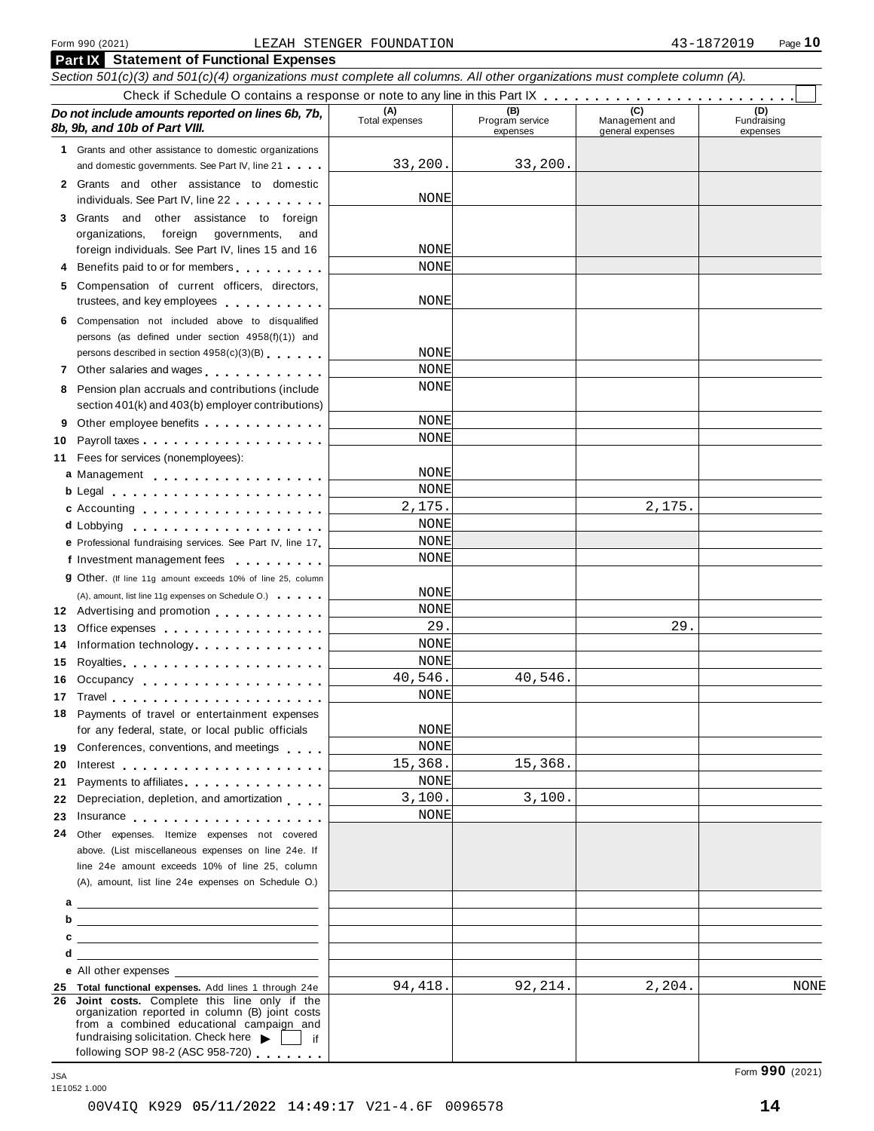|    | <b>Part IX</b> Statement of Functional Expenses                                                                                                                                                                                      |                                                             |         |                                           |                                |
|----|--------------------------------------------------------------------------------------------------------------------------------------------------------------------------------------------------------------------------------------|-------------------------------------------------------------|---------|-------------------------------------------|--------------------------------|
|    | Section 501(c)(3) and 501(c)(4) organizations must complete all columns. All other organizations must complete column (A).                                                                                                           |                                                             |         |                                           |                                |
|    |                                                                                                                                                                                                                                      |                                                             |         |                                           |                                |
|    | Do not include amounts reported on lines 6b, 7b,<br>8b, 9b, and 10b of Part VIII.                                                                                                                                                    | (A)<br>Total expenses<br>(B)<br>Program service<br>expenses |         | (C)<br>Management and<br>general expenses | (D)<br>Fundraising<br>expenses |
|    | 1 Grants and other assistance to domestic organizations                                                                                                                                                                              |                                                             |         |                                           |                                |
|    | and domestic governments. See Part IV, line 21                                                                                                                                                                                       | 33,200.                                                     | 33,200. |                                           |                                |
|    | 2 Grants and other assistance to domestic<br>individuals. See Part IV, line 22                                                                                                                                                       | NONE                                                        |         |                                           |                                |
|    | 3 Grants and<br>other assistance to foreign                                                                                                                                                                                          |                                                             |         |                                           |                                |
|    | foreign governments,<br>organizations,<br>and                                                                                                                                                                                        |                                                             |         |                                           |                                |
|    | foreign individuals. See Part IV, lines 15 and 16                                                                                                                                                                                    | NONE                                                        |         |                                           |                                |
|    | 4 Benefits paid to or for members                                                                                                                                                                                                    | NONE                                                        |         |                                           |                                |
|    | 5 Compensation of current officers, directors,<br>trustees, and key employees expressed as a state of the state of                                                                                                                   | NONE                                                        |         |                                           |                                |
|    | 6 Compensation not included above to disqualified                                                                                                                                                                                    |                                                             |         |                                           |                                |
|    | persons (as defined under section 4958(f)(1)) and                                                                                                                                                                                    |                                                             |         |                                           |                                |
|    | persons described in section 4958(c)(3)(B)                                                                                                                                                                                           | NONE                                                        |         |                                           |                                |
|    | 7 Other salaries and wages                                                                                                                                                                                                           | NONE                                                        |         |                                           |                                |
| 8  | Pension plan accruals and contributions (include                                                                                                                                                                                     | NONE                                                        |         |                                           |                                |
|    | section 401(k) and 403(b) employer contributions)                                                                                                                                                                                    |                                                             |         |                                           |                                |
| 9  |                                                                                                                                                                                                                                      | NONE                                                        |         |                                           |                                |
| 10 |                                                                                                                                                                                                                                      | NONE                                                        |         |                                           |                                |
| 11 | Fees for services (nonemployees):                                                                                                                                                                                                    |                                                             |         |                                           |                                |
|    | a Management                                                                                                                                                                                                                         | NONE                                                        |         |                                           |                                |
|    | b Legal experience in the set of the set of the set of the set of the set of the set of the set of the set of                                                                                                                        | NONE                                                        |         |                                           |                                |
|    | c Accounting                                                                                                                                                                                                                         | 2,175.                                                      |         | 2,175.                                    |                                |
|    | <b>d</b> Lobbying<br>. <b>.</b> .                                                                                                                                                                                                    | <b>NONE</b>                                                 |         |                                           |                                |
|    | e Professional fundraising services. See Part IV, line 17                                                                                                                                                                            | NONE                                                        |         |                                           |                                |
|    | f Investment management fees                                                                                                                                                                                                         | NONE                                                        |         |                                           |                                |
|    | <b>g</b> Other. (If line 11g amount exceeds 10% of line 25, column                                                                                                                                                                   |                                                             |         |                                           |                                |
|    | (A), amount, list line 11g expenses on Schedule O.)                                                                                                                                                                                  | NONE                                                        |         |                                           |                                |
|    | 12 Advertising and promotion                                                                                                                                                                                                         | NONE                                                        |         |                                           |                                |
| 13 | Office expenses expenses                                                                                                                                                                                                             | 29.                                                         |         | 29.                                       |                                |
| 14 | Information technology                                                                                                                                                                                                               | NONE                                                        |         |                                           |                                |
| 15 |                                                                                                                                                                                                                                      | NONE                                                        |         |                                           |                                |
|    | 16 Occupancy                                                                                                                                                                                                                         | 40,546.                                                     | 40,546. |                                           |                                |
|    | 17 Travel the contract of the contract of the contract of the contract of the contract of the contract of the                                                                                                                        | NONE                                                        |         |                                           |                                |
|    | 18 Payments of travel or entertainment expenses<br>for any federal, state, or local public officials                                                                                                                                 | NONE                                                        |         |                                           |                                |
|    | 19 Conferences, conventions, and meetings                                                                                                                                                                                            | NONE                                                        |         |                                           |                                |
| 20 |                                                                                                                                                                                                                                      | 15,368.                                                     | 15,368. |                                           |                                |
| 21 | Payments to affiliates <b>Example 20</b> and the payments to affiliate s                                                                                                                                                             | <b>NONE</b>                                                 |         |                                           |                                |
| 22 | Depreciation, depletion, and amortization                                                                                                                                                                                            | 3,100.                                                      | 3,100.  |                                           |                                |
| 23 | Insurance <b>All According to the Contract of the Contract of the Contract of the Contract of the Contract of the Contract of the Contract of the Contract of the Contract of the Contract of the Contract of the Contract of th</b> | NONE                                                        |         |                                           |                                |
| 24 | Other expenses. Itemize expenses not covered                                                                                                                                                                                         |                                                             |         |                                           |                                |
|    | above. (List miscellaneous expenses on line 24e. If                                                                                                                                                                                  |                                                             |         |                                           |                                |
|    | line 24e amount exceeds 10% of line 25, column                                                                                                                                                                                       |                                                             |         |                                           |                                |
|    | (A), amount, list line 24e expenses on Schedule O.)                                                                                                                                                                                  |                                                             |         |                                           |                                |
|    |                                                                                                                                                                                                                                      |                                                             |         |                                           |                                |
|    | $b$ $\overline{\phantom{a}}$                                                                                                                                                                                                         |                                                             |         |                                           |                                |
|    |                                                                                                                                                                                                                                      |                                                             |         |                                           |                                |
| d  | <u> 1989 - John Stein, Amerikaansk politiker (* 1918)</u>                                                                                                                                                                            |                                                             |         |                                           |                                |
|    | e All other expenses                                                                                                                                                                                                                 |                                                             |         |                                           |                                |
|    | 25 Total functional expenses. Add lines 1 through 24e                                                                                                                                                                                | 94,418.                                                     | 92,214. | 2,204.                                    | NONE                           |
|    | 26 Joint costs. Complete this line only if the<br>organization reported in column (B) joint costs<br>from a combined educational campaign and<br>fundraising solicitation. Check here $\blacktriangleright$     if                   |                                                             |         |                                           |                                |
|    | following SOP 98-2 (ASC 958-720)                                                                                                                                                                                                     |                                                             |         |                                           |                                |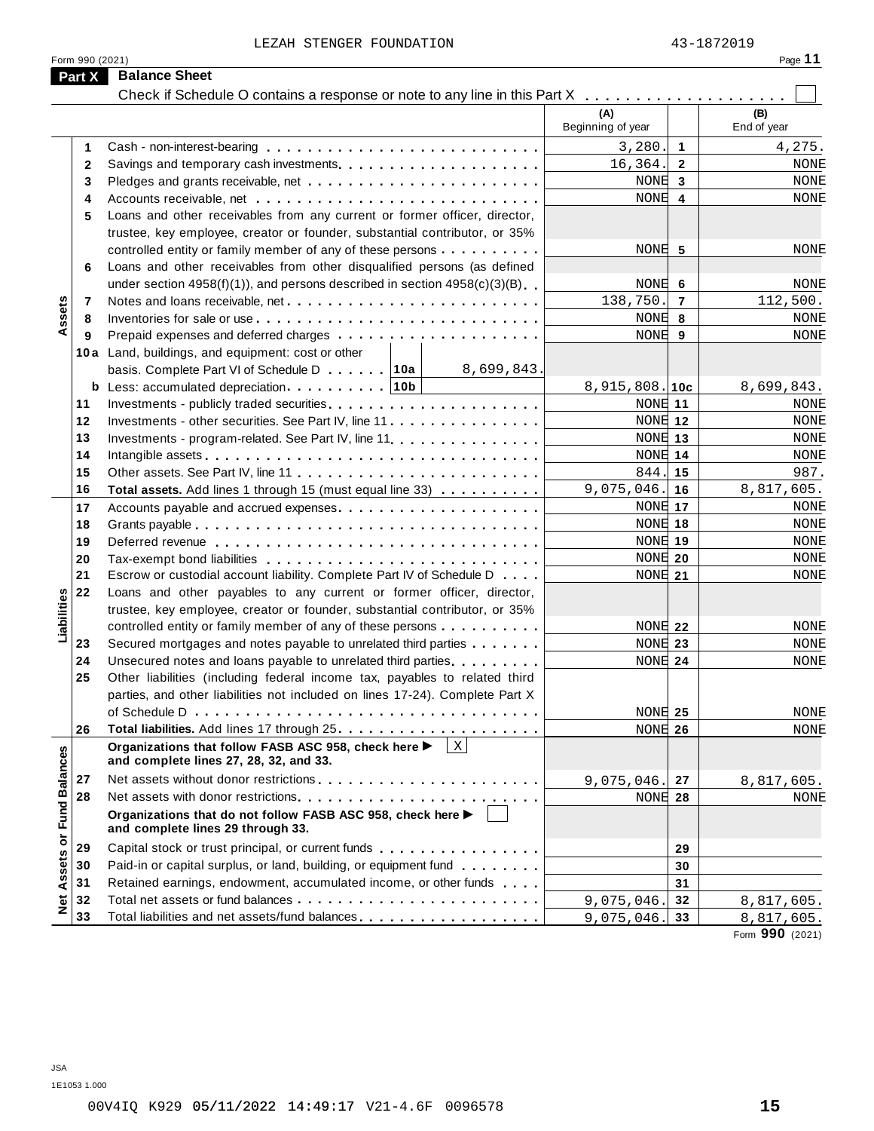LEZAH STENGER FOUNDATION 43-1872019

|                      | Form 990 (2021) |                                                                                                               |                          |                | Page 11            |
|----------------------|-----------------|---------------------------------------------------------------------------------------------------------------|--------------------------|----------------|--------------------|
|                      | Part X          | <b>Balance Sheet</b>                                                                                          |                          |                |                    |
|                      |                 |                                                                                                               |                          |                |                    |
|                      |                 |                                                                                                               | (A)<br>Beginning of year |                | (B)<br>End of year |
|                      | 1               |                                                                                                               | 3,280.                   | $\mathbf{1}$   | 4,275.             |
|                      | $\mathbf{2}$    |                                                                                                               | 16,364.                  | $\overline{2}$ | <b>NONE</b>        |
|                      | 3               |                                                                                                               | NONE 3                   |                | <b>NONE</b>        |
|                      | 4               |                                                                                                               | NONE                     | 4              | NONE               |
|                      | 5               | Loans and other receivables from any current or former officer, director,                                     |                          |                |                    |
|                      |                 | trustee, key employee, creator or founder, substantial contributor, or 35%                                    |                          |                |                    |
|                      |                 | controlled entity or family member of any of these persons                                                    | NONE 5                   |                | NONE               |
|                      | 6               | Loans and other receivables from other disqualified persons (as defined                                       |                          |                |                    |
|                      |                 | under section $4958(f)(1)$ , and persons described in section $4958(c)(3)(B)$                                 | NONE 6                   |                | NONE               |
|                      | 7               |                                                                                                               | 138,750.                 | 7              | 112,500.           |
| Assets               | 8               |                                                                                                               | NONE 8                   |                | <b>NONE</b>        |
|                      | 9               |                                                                                                               | NONE                     | 9              | NONE               |
|                      |                 | 10a Land, buildings, and equipment: cost or other                                                             |                          |                |                    |
|                      |                 | basis. Complete Part VI of Schedule D 10a<br>8,699,843.                                                       |                          |                |                    |
|                      |                 | <b>b</b> Less: accumulated depreciation $\ldots \ldots \ldots$   10b                                          | $8,915,808.$ 10c         |                | 8,699,843.         |
|                      | 11              |                                                                                                               | NONE 11                  |                | <b>NONE</b>        |
|                      | 12              | Investments - other securities. See Part IV, line 11                                                          | NONE 12                  |                | <b>NONE</b>        |
|                      | 13              | Investments - program-related. See Part IV, line 11                                                           | NONE 13                  |                | <b>NONE</b>        |
|                      | 14              |                                                                                                               | NONE 14                  |                | NONE               |
|                      | 15              |                                                                                                               | 844.                     | 15             | 987.               |
|                      | 16              | Total assets. Add lines 1 through 15 (must equal line 33)                                                     | 9,075,046.               | 16             | 8,817,605.         |
|                      | 17              |                                                                                                               | NONE 17                  |                | <b>NONE</b>        |
|                      | 18              |                                                                                                               | NONE 18                  |                | NONE               |
|                      | 19              |                                                                                                               | NONE 19                  |                | NONE               |
|                      | 20              |                                                                                                               | NONE 20                  |                | <b>NONE</b>        |
|                      | 21              | Escrow or custodial account liability. Complete Part IV of Schedule D                                         | NONE 21                  |                | NONE               |
|                      | 22              | Loans and other payables to any current or former officer, director,                                          |                          |                |                    |
|                      |                 | trustee, key employee, creator or founder, substantial contributor, or 35%                                    |                          |                |                    |
| Liabilities          |                 | controlled entity or family member of any of these persons                                                    | NONE 22                  |                | NONE               |
|                      | 23              | Secured mortgages and notes payable to unrelated third parties                                                | NONE 23                  |                | <b>NONE</b>        |
|                      | 24              | Unsecured notes and loans payable to unrelated third parties.                                                 | NONE 24                  |                | NONE               |
|                      | 25              | Other liabilities (including federal income tax, payables to related third                                    |                          |                |                    |
|                      |                 | parties, and other liabilities not included on lines 17-24). Complete Part X                                  |                          |                |                    |
|                      |                 |                                                                                                               | NONE 25                  |                | <b>NONE</b>        |
|                      | 26              |                                                                                                               | NONE 26                  |                | NONE               |
|                      |                 | $\mathbf X$<br>Organizations that follow FASB ASC 958, check here ▶<br>and complete lines 27, 28, 32, and 33. |                          |                |                    |
|                      | 27              |                                                                                                               | 9,075,046.               | 27             | 8,817,605.         |
|                      | 28              |                                                                                                               | NONE 28                  |                | NONE               |
| <b>Fund Balances</b> |                 | Organizations that do not follow FASB ASC 958, check here ▶<br>and complete lines 29 through 33.              |                          |                |                    |
|                      | 29              | Capital stock or trust principal, or current funds                                                            |                          | 29             |                    |
|                      | 30              | Paid-in or capital surplus, or land, building, or equipment fund                                              |                          | 30             |                    |
|                      | 31              | Retained earnings, endowment, accumulated income, or other funds                                              |                          | 31             |                    |
| Net Assets or        | 32              |                                                                                                               | 9,075,046                | 32             | 8,817,605.         |
|                      | 33              | Total liabilities and net assets/fund balances                                                                | 9,075,046.               | 33             | 8,817,605.         |
|                      |                 |                                                                                                               |                          |                |                    |

Form **990** (2021)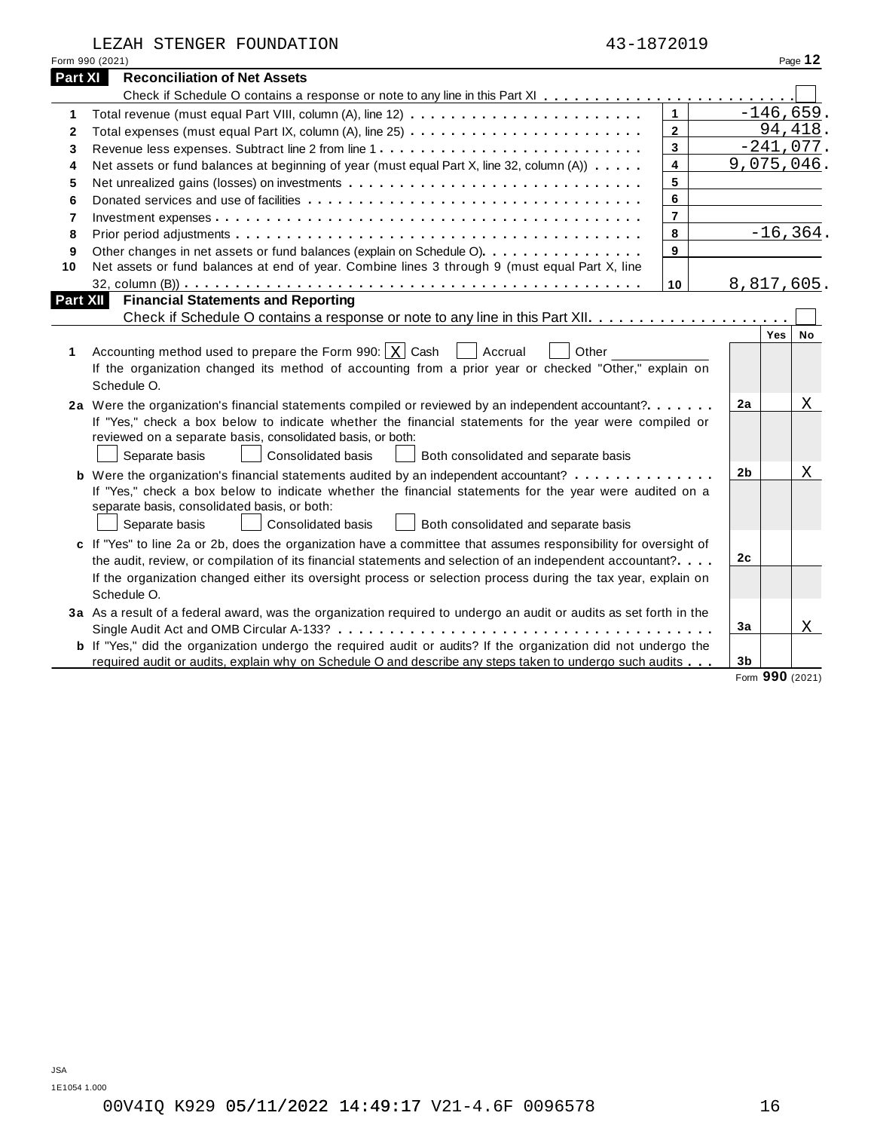| LEZAH STENGER FOUNDATION | 43-1872019 |
|--------------------------|------------|
|--------------------------|------------|

|                 | TRAH SILMGEK LOOMDAIIOM                                                                                                                                | 43-10/4019 |         |
|-----------------|--------------------------------------------------------------------------------------------------------------------------------------------------------|------------|---------|
| Form 990 (2021) |                                                                                                                                                        |            | Page 12 |
| Part XI I       | <b>Reconciliation of Net Assets</b>                                                                                                                    |            |         |
|                 | Check if Schedule O contains a response or note to any line in this Part XI $\ldots$ . $\ldots$ . $\ldots$ . $\ldots$ . $\ldots$ . $\ldots$ . $\ldots$ |            |         |

|              | Form 990 (2021)                                                                                                       |                |                                | Page 12             |  |
|--------------|-----------------------------------------------------------------------------------------------------------------------|----------------|--------------------------------|---------------------|--|
| Part XI      | <b>Reconciliation of Net Assets</b>                                                                                   |                |                                |                     |  |
|              |                                                                                                                       |                |                                |                     |  |
| 1            |                                                                                                                       | $\mathbf{1}$   |                                | $-146,659.$         |  |
| $\mathbf{2}$ |                                                                                                                       | $\overline{2}$ |                                | 94,418.             |  |
| 3            |                                                                                                                       | 3              |                                | $-241,077.$         |  |
| 4            | Net assets or fund balances at beginning of year (must equal Part X, line 32, column (A))                             | 4              |                                | 9,075,046.          |  |
| 5            |                                                                                                                       | 5              |                                |                     |  |
| 6            |                                                                                                                       | 6              |                                |                     |  |
| 7            |                                                                                                                       | $\overline{7}$ |                                |                     |  |
| 8            |                                                                                                                       | 8              |                                | $-16, 364.$         |  |
| 9            | Other changes in net assets or fund balances (explain on Schedule O)                                                  | 9              |                                |                     |  |
| 10           | Net assets or fund balances at end of year. Combine lines 3 through 9 (must equal Part X, line                        |                |                                |                     |  |
|              |                                                                                                                       | 10             |                                | 8,817,605.          |  |
| Part XII     | <b>Financial Statements and Reporting</b>                                                                             |                |                                |                     |  |
|              |                                                                                                                       |                |                                |                     |  |
|              |                                                                                                                       |                |                                | Yes<br>No           |  |
| 1            | Accounting method used to prepare the Form 990: $\vert x \vert$ Cash<br>Accrual<br>Other                              |                |                                |                     |  |
|              | If the organization changed its method of accounting from a prior year or checked "Other," explain on                 |                |                                |                     |  |
|              | Schedule O.                                                                                                           |                |                                |                     |  |
|              | 2a Were the organization's financial statements compiled or reviewed by an independent accountant?                    |                | 2a                             | X                   |  |
|              | If "Yes," check a box below to indicate whether the financial statements for the year were compiled or                |                |                                |                     |  |
|              | reviewed on a separate basis, consolidated basis, or both:                                                            |                |                                |                     |  |
|              | <b>Consolidated basis</b><br>Separate basis<br>Both consolidated and separate basis                                   |                |                                |                     |  |
|              | <b>b</b> Were the organization's financial statements audited by an independent accountant?                           |                | 2 <sub>b</sub>                 | Χ                   |  |
|              | If "Yes," check a box below to indicate whether the financial statements for the year were audited on a               |                |                                |                     |  |
|              | separate basis, consolidated basis, or both:                                                                          |                |                                |                     |  |
|              | Separate basis<br><b>Consolidated basis</b><br>Both consolidated and separate basis                                   |                |                                |                     |  |
|              | c If "Yes" to line 2a or 2b, does the organization have a committee that assumes responsibility for oversight of      |                |                                |                     |  |
|              | the audit, review, or compilation of its financial statements and selection of an independent accountant?             |                | 2c                             |                     |  |
|              | If the organization changed either its oversight process or selection process during the tax year, explain on         |                |                                |                     |  |
|              | Schedule O.                                                                                                           |                |                                |                     |  |
|              | 3a As a result of a federal award, was the organization required to undergo an audit or audits as set forth in the    |                |                                |                     |  |
|              |                                                                                                                       |                | 3a                             | X                   |  |
|              | <b>b</b> If "Yes," did the organization undergo the required audit or audits? If the organization did not undergo the |                |                                |                     |  |
|              | required audit or audits, explain why on Schedule O and describe any steps taken to undergo such audits               |                | 3 <sub>b</sub><br>$\mathbf{r}$ | $000 \text{ years}$ |  |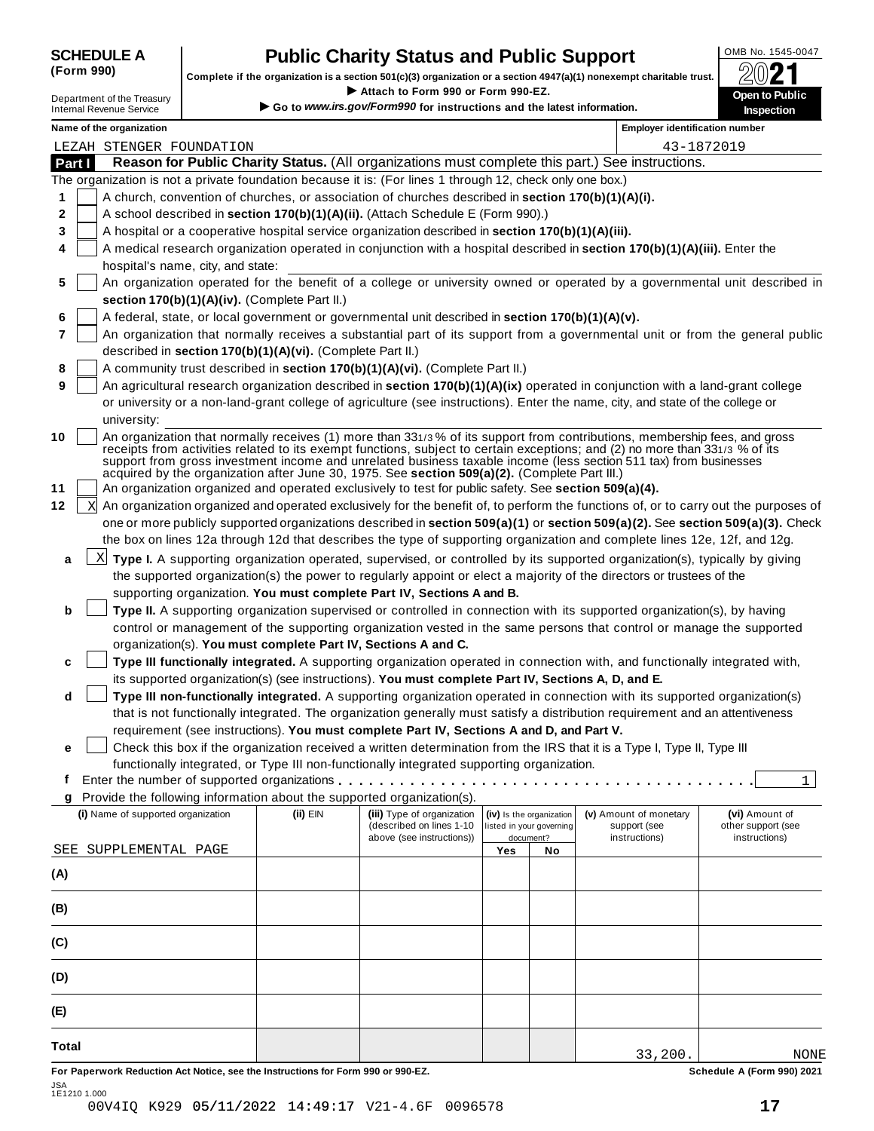## **SCHEDULE A Public Charity Status and Public Support**<br>(Form 990) **Complete if the examination is a section 501/oV2) organization or a section 4047/oV4) persencent charitable trust <b>20071**

Complete if the organization is a section 501(c)(3) organization or a section 4947(a)(1) nonexempt charitable trust.<br>
Department of the Treasury<br>
Internal Revenue Service<br> **Co to www.irs.gov/Form990 for instructions and th** Complete if the organization is a section 501(c)(3) organization or a section 4947(a)(1) nonexempt charitable trust.<br>
Department of the Treasury Complete if the organization is a section 501(c)(3) organization or a sectio

|              | Name of the organization                                                                                                                                                                                                                                                                                                                                                                                                                                                        |          |                                                       |     |                                       | <b>Employer identification number</b> |                                     |
|--------------|---------------------------------------------------------------------------------------------------------------------------------------------------------------------------------------------------------------------------------------------------------------------------------------------------------------------------------------------------------------------------------------------------------------------------------------------------------------------------------|----------|-------------------------------------------------------|-----|---------------------------------------|---------------------------------------|-------------------------------------|
|              | LEZAH STENGER FOUNDATION                                                                                                                                                                                                                                                                                                                                                                                                                                                        |          |                                                       |     |                                       |                                       | 43-1872019                          |
| Part I       | Reason for Public Charity Status. (All organizations must complete this part.) See instructions.                                                                                                                                                                                                                                                                                                                                                                                |          |                                                       |     |                                       |                                       |                                     |
|              | The organization is not a private foundation because it is: (For lines 1 through 12, check only one box.)                                                                                                                                                                                                                                                                                                                                                                       |          |                                                       |     |                                       |                                       |                                     |
| 1            | A church, convention of churches, or association of churches described in section 170(b)(1)(A)(i).                                                                                                                                                                                                                                                                                                                                                                              |          |                                                       |     |                                       |                                       |                                     |
| 2            | A school described in section 170(b)(1)(A)(ii). (Attach Schedule E (Form 990).)                                                                                                                                                                                                                                                                                                                                                                                                 |          |                                                       |     |                                       |                                       |                                     |
| 3            | A hospital or a cooperative hospital service organization described in section 170(b)(1)(A)(iii).                                                                                                                                                                                                                                                                                                                                                                               |          |                                                       |     |                                       |                                       |                                     |
| 4            | A medical research organization operated in conjunction with a hospital described in section 170(b)(1)(A)(iii). Enter the                                                                                                                                                                                                                                                                                                                                                       |          |                                                       |     |                                       |                                       |                                     |
|              | hospital's name, city, and state:                                                                                                                                                                                                                                                                                                                                                                                                                                               |          |                                                       |     |                                       |                                       |                                     |
| 5            | An organization operated for the benefit of a college or university owned or operated by a governmental unit described in                                                                                                                                                                                                                                                                                                                                                       |          |                                                       |     |                                       |                                       |                                     |
|              | section 170(b)(1)(A)(iv). (Complete Part II.)                                                                                                                                                                                                                                                                                                                                                                                                                                   |          |                                                       |     |                                       |                                       |                                     |
| 6            | A federal, state, or local government or governmental unit described in section 170(b)(1)(A)(v).                                                                                                                                                                                                                                                                                                                                                                                |          |                                                       |     |                                       |                                       |                                     |
| 7            | An organization that normally receives a substantial part of its support from a governmental unit or from the general public                                                                                                                                                                                                                                                                                                                                                    |          |                                                       |     |                                       |                                       |                                     |
|              | described in section 170(b)(1)(A)(vi). (Complete Part II.)                                                                                                                                                                                                                                                                                                                                                                                                                      |          |                                                       |     |                                       |                                       |                                     |
| 8            | A community trust described in section 170(b)(1)(A)(vi). (Complete Part II.)                                                                                                                                                                                                                                                                                                                                                                                                    |          |                                                       |     |                                       |                                       |                                     |
| 9            | An agricultural research organization described in section 170(b)(1)(A)(ix) operated in conjunction with a land-grant college                                                                                                                                                                                                                                                                                                                                                   |          |                                                       |     |                                       |                                       |                                     |
|              | or university or a non-land-grant college of agriculture (see instructions). Enter the name, city, and state of the college or                                                                                                                                                                                                                                                                                                                                                  |          |                                                       |     |                                       |                                       |                                     |
|              | university:                                                                                                                                                                                                                                                                                                                                                                                                                                                                     |          |                                                       |     |                                       |                                       |                                     |
| 10           | An organization that normally receives (1) more than 331/3% of its support from contributions, membership fees, and gross<br>receipts from activities related to its exempt functions, subject to certain exceptions; and (2) no more than 331/3 % of its<br>support from gross investment income and unrelated business taxable income (less section 511 tax) from businesses<br>acquired by the organization after June 30, 1975. See section 509(a)(2). (Complete Part III.) |          |                                                       |     |                                       |                                       |                                     |
| 11           | An organization organized and operated exclusively to test for public safety. See section 509(a)(4).                                                                                                                                                                                                                                                                                                                                                                            |          |                                                       |     |                                       |                                       |                                     |
| 12<br>X      | An organization organized and operated exclusively for the benefit of, to perform the functions of, or to carry out the purposes of                                                                                                                                                                                                                                                                                                                                             |          |                                                       |     |                                       |                                       |                                     |
|              | one or more publicly supported organizations described in section 509(a)(1) or section 509(a)(2). See section 509(a)(3). Check                                                                                                                                                                                                                                                                                                                                                  |          |                                                       |     |                                       |                                       |                                     |
|              | the box on lines 12a through 12d that describes the type of supporting organization and complete lines 12e, 12f, and 12g.                                                                                                                                                                                                                                                                                                                                                       |          |                                                       |     |                                       |                                       |                                     |
| a            | $\underline{x}$ Type I. A supporting organization operated, supervised, or controlled by its supported organization(s), typically by giving                                                                                                                                                                                                                                                                                                                                     |          |                                                       |     |                                       |                                       |                                     |
|              | the supported organization(s) the power to regularly appoint or elect a majority of the directors or trustees of the                                                                                                                                                                                                                                                                                                                                                            |          |                                                       |     |                                       |                                       |                                     |
|              | supporting organization. You must complete Part IV, Sections A and B.                                                                                                                                                                                                                                                                                                                                                                                                           |          |                                                       |     |                                       |                                       |                                     |
| b            | Type II. A supporting organization supervised or controlled in connection with its supported organization(s), by having                                                                                                                                                                                                                                                                                                                                                         |          |                                                       |     |                                       |                                       |                                     |
|              | control or management of the supporting organization vested in the same persons that control or manage the supported                                                                                                                                                                                                                                                                                                                                                            |          |                                                       |     |                                       |                                       |                                     |
|              | organization(s). You must complete Part IV, Sections A and C.                                                                                                                                                                                                                                                                                                                                                                                                                   |          |                                                       |     |                                       |                                       |                                     |
| c            | Type III functionally integrated. A supporting organization operated in connection with, and functionally integrated with,                                                                                                                                                                                                                                                                                                                                                      |          |                                                       |     |                                       |                                       |                                     |
|              | its supported organization(s) (see instructions). You must complete Part IV, Sections A, D, and E.                                                                                                                                                                                                                                                                                                                                                                              |          |                                                       |     |                                       |                                       |                                     |
| d            | Type III non-functionally integrated. A supporting organization operated in connection with its supported organization(s)                                                                                                                                                                                                                                                                                                                                                       |          |                                                       |     |                                       |                                       |                                     |
|              | that is not functionally integrated. The organization generally must satisfy a distribution requirement and an attentiveness                                                                                                                                                                                                                                                                                                                                                    |          |                                                       |     |                                       |                                       |                                     |
|              | requirement (see instructions). You must complete Part IV, Sections A and D, and Part V.                                                                                                                                                                                                                                                                                                                                                                                        |          |                                                       |     |                                       |                                       |                                     |
| е            | Check this box if the organization received a written determination from the IRS that it is a Type I, Type II, Type III                                                                                                                                                                                                                                                                                                                                                         |          |                                                       |     |                                       |                                       |                                     |
|              | functionally integrated, or Type III non-functionally integrated supporting organization.                                                                                                                                                                                                                                                                                                                                                                                       |          |                                                       |     |                                       |                                       |                                     |
|              |                                                                                                                                                                                                                                                                                                                                                                                                                                                                                 |          |                                                       |     |                                       |                                       | 1                                   |
| q            | Provide the following information about the supported organization(s).                                                                                                                                                                                                                                                                                                                                                                                                          |          |                                                       |     |                                       |                                       |                                     |
|              | (i) Name of supported organization                                                                                                                                                                                                                                                                                                                                                                                                                                              | (ii) EIN | (iii) Type of organization                            |     | (iv) Is the organization              | (v) Amount of monetary                | (vi) Amount of                      |
|              |                                                                                                                                                                                                                                                                                                                                                                                                                                                                                 |          | (described on lines 1-10<br>above (see instructions)) |     | listed in your governing<br>document? | support (see                          | other support (see<br>instructions) |
|              | SEE SUPPLEMENTAL PAGE                                                                                                                                                                                                                                                                                                                                                                                                                                                           |          |                                                       | Yes | No                                    | instructions)                         |                                     |
|              |                                                                                                                                                                                                                                                                                                                                                                                                                                                                                 |          |                                                       |     |                                       |                                       |                                     |
| (A)          |                                                                                                                                                                                                                                                                                                                                                                                                                                                                                 |          |                                                       |     |                                       |                                       |                                     |
|              |                                                                                                                                                                                                                                                                                                                                                                                                                                                                                 |          |                                                       |     |                                       |                                       |                                     |
| (B)          |                                                                                                                                                                                                                                                                                                                                                                                                                                                                                 |          |                                                       |     |                                       |                                       |                                     |
|              |                                                                                                                                                                                                                                                                                                                                                                                                                                                                                 |          |                                                       |     |                                       |                                       |                                     |
| (C)          |                                                                                                                                                                                                                                                                                                                                                                                                                                                                                 |          |                                                       |     |                                       |                                       |                                     |
|              |                                                                                                                                                                                                                                                                                                                                                                                                                                                                                 |          |                                                       |     |                                       |                                       |                                     |
| (D)          |                                                                                                                                                                                                                                                                                                                                                                                                                                                                                 |          |                                                       |     |                                       |                                       |                                     |
|              |                                                                                                                                                                                                                                                                                                                                                                                                                                                                                 |          |                                                       |     |                                       |                                       |                                     |
| (E)          |                                                                                                                                                                                                                                                                                                                                                                                                                                                                                 |          |                                                       |     |                                       |                                       |                                     |
|              |                                                                                                                                                                                                                                                                                                                                                                                                                                                                                 |          |                                                       |     |                                       |                                       |                                     |
| <b>Total</b> |                                                                                                                                                                                                                                                                                                                                                                                                                                                                                 |          |                                                       |     |                                       |                                       |                                     |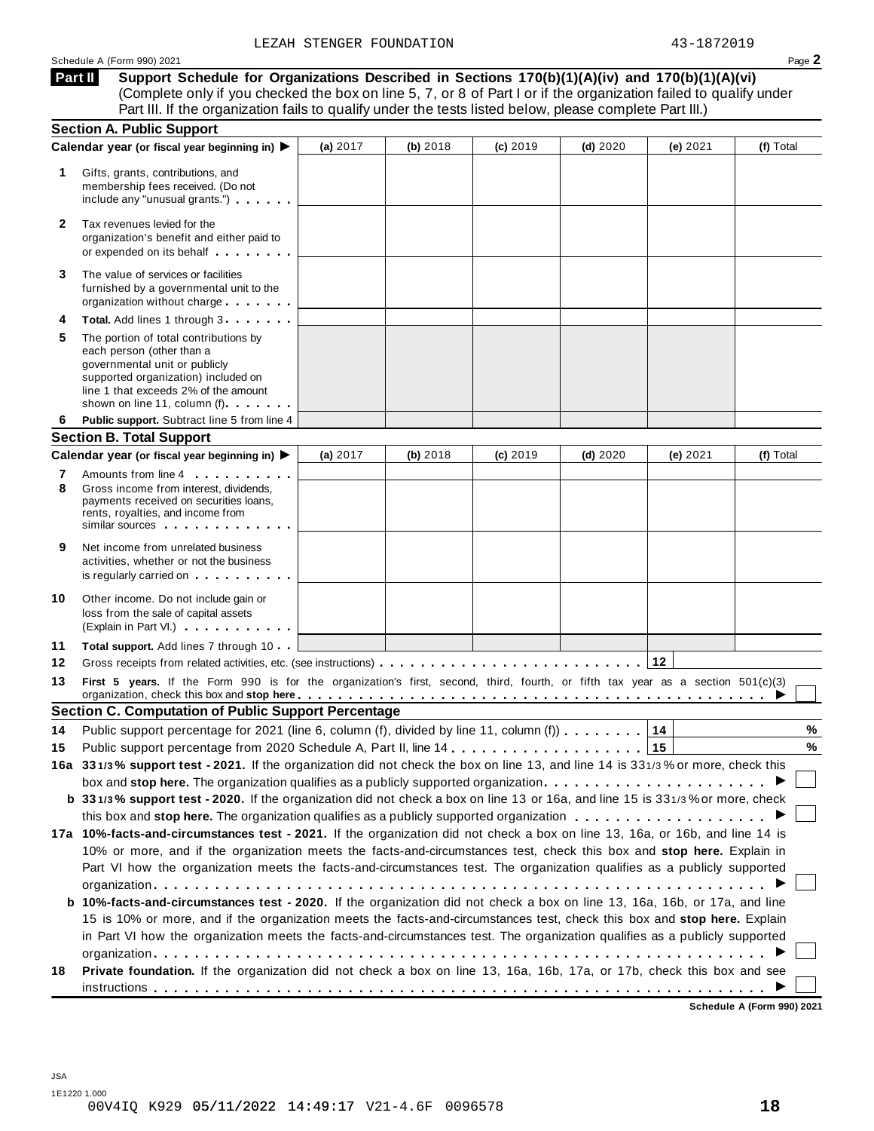**Support Schedule for Organizations Described in Sections 170(b)(1)(A)(iv) and 170(b)(1)(A)(vi)** (Complete only if you checked the box on line 5, 7, or 8 of Part I or if the organization failed to qualify under Part III. If the organization fails to qualify under the tests listed below, please complete Part III.) **Part II**

|        | <b>Section A. Public Support</b>                                                                                                                                                                                                                                                    |            |          |            |          |          |           |
|--------|-------------------------------------------------------------------------------------------------------------------------------------------------------------------------------------------------------------------------------------------------------------------------------------|------------|----------|------------|----------|----------|-----------|
|        | Calendar year (or fiscal year beginning in) ▶                                                                                                                                                                                                                                       | (a) 2017   | (b) 2018 | $(c)$ 2019 | (d) 2020 | (e) 2021 | (f) Total |
| 1      | Gifts, grants, contributions, and<br>membership fees received. (Do not<br>include any "unusual grants.")                                                                                                                                                                            |            |          |            |          |          |           |
| 2      | Tax revenues levied for the<br>organization's benefit and either paid to<br>or expended on its behalf                                                                                                                                                                               |            |          |            |          |          |           |
| 3      | The value of services or facilities<br>furnished by a governmental unit to the<br>organization without charge                                                                                                                                                                       |            |          |            |          |          |           |
| 4      | Total. Add lines 1 through 3                                                                                                                                                                                                                                                        |            |          |            |          |          |           |
| 5      | The portion of total contributions by<br>each person (other than a<br>governmental unit or publicly<br>supported organization) included on<br>line 1 that exceeds 2% of the amount<br>shown on line 11, column (f)                                                                  |            |          |            |          |          |           |
| 6      | Public support. Subtract line 5 from line 4                                                                                                                                                                                                                                         |            |          |            |          |          |           |
|        | <b>Section B. Total Support</b>                                                                                                                                                                                                                                                     |            |          |            |          |          |           |
|        | Calendar year (or fiscal year beginning in)                                                                                                                                                                                                                                         | (a) $2017$ | (b) 2018 | $(c)$ 2019 | (d) 2020 | (e) 2021 | (f) Total |
| 7<br>8 | Amounts from line 4<br>Gross income from interest, dividends.<br>payments received on securities loans,<br>rents, royalties, and income from<br>similar sources experiences                                                                                                         |            |          |            |          |          |           |
| 9      | Net income from unrelated business<br>activities, whether or not the business<br>is regularly carried on each property of the set of the set of the set of the set of the set of the set of the                                                                                     |            |          |            |          |          |           |
| 10     | Other income. Do not include gain or<br>loss from the sale of capital assets<br>(Explain in Part VI.)                                                                                                                                                                               |            |          |            |          |          |           |
| 11     | <b>Total support.</b> Add lines 7 through 10                                                                                                                                                                                                                                        |            |          |            |          |          |           |
| 12     |                                                                                                                                                                                                                                                                                     |            |          |            |          | 12       |           |
| 13     | First 5 years. If the Form 990 is for the organization's first, second, third, fourth, or fifth tax year as a section 501(c)(3)<br>organization, check this box and stop here entitled as a series of the series of the series of the series of the series of $\blacktriangleright$ |            |          |            |          |          |           |
|        | <b>Section C. Computation of Public Support Percentage</b>                                                                                                                                                                                                                          |            |          |            |          |          |           |
| 14     | Public support percentage for 2021 (line 6, column (f), divided by line 11, column (f)                                                                                                                                                                                              |            |          |            |          | 14       | %         |
| 15     |                                                                                                                                                                                                                                                                                     |            |          |            |          | 15       | %         |
|        | 16a 331/3% support test - 2021. If the organization did not check the box on line 13, and line 14 is 331/3% or more, check this                                                                                                                                                     |            |          |            |          |          |           |
|        | box and stop here. The organization qualifies as a publicly supported organization                                                                                                                                                                                                  |            |          |            |          |          |           |
|        | b 331/3% support test - 2020. If the organization did not check a box on line 13 or 16a, and line 15 is 331/3% or more, check                                                                                                                                                       |            |          |            |          |          |           |
|        |                                                                                                                                                                                                                                                                                     |            |          |            |          |          |           |
|        | 17a 10%-facts-and-circumstances test - 2021. If the organization did not check a box on line 13, 16a, or 16b, and line 14 is                                                                                                                                                        |            |          |            |          |          |           |
|        | 10% or more, and if the organization meets the facts-and-circumstances test, check this box and stop here. Explain in                                                                                                                                                               |            |          |            |          |          |           |
|        | Part VI how the organization meets the facts-and-circumstances test. The organization qualifies as a publicly supported                                                                                                                                                             |            |          |            |          |          |           |
|        |                                                                                                                                                                                                                                                                                     |            |          |            |          |          |           |
|        | b 10%-facts-and-circumstances test - 2020. If the organization did not check a box on line 13, 16a, 16b, or 17a, and line                                                                                                                                                           |            |          |            |          |          |           |
|        | 15 is 10% or more, and if the organization meets the facts-and-circumstances test, check this box and stop here. Explain                                                                                                                                                            |            |          |            |          |          |           |
|        | in Part VI how the organization meets the facts-and-circumstances test. The organization qualifies as a publicly supported                                                                                                                                                          |            |          |            |          |          |           |
| 18     | Private foundation. If the organization did not check a box on line 13, 16a, 16b, 17a, or 17b, check this box and see                                                                                                                                                               |            |          |            |          |          |           |
|        |                                                                                                                                                                                                                                                                                     |            |          |            |          |          |           |

**Schedule A (Form 990) 2021**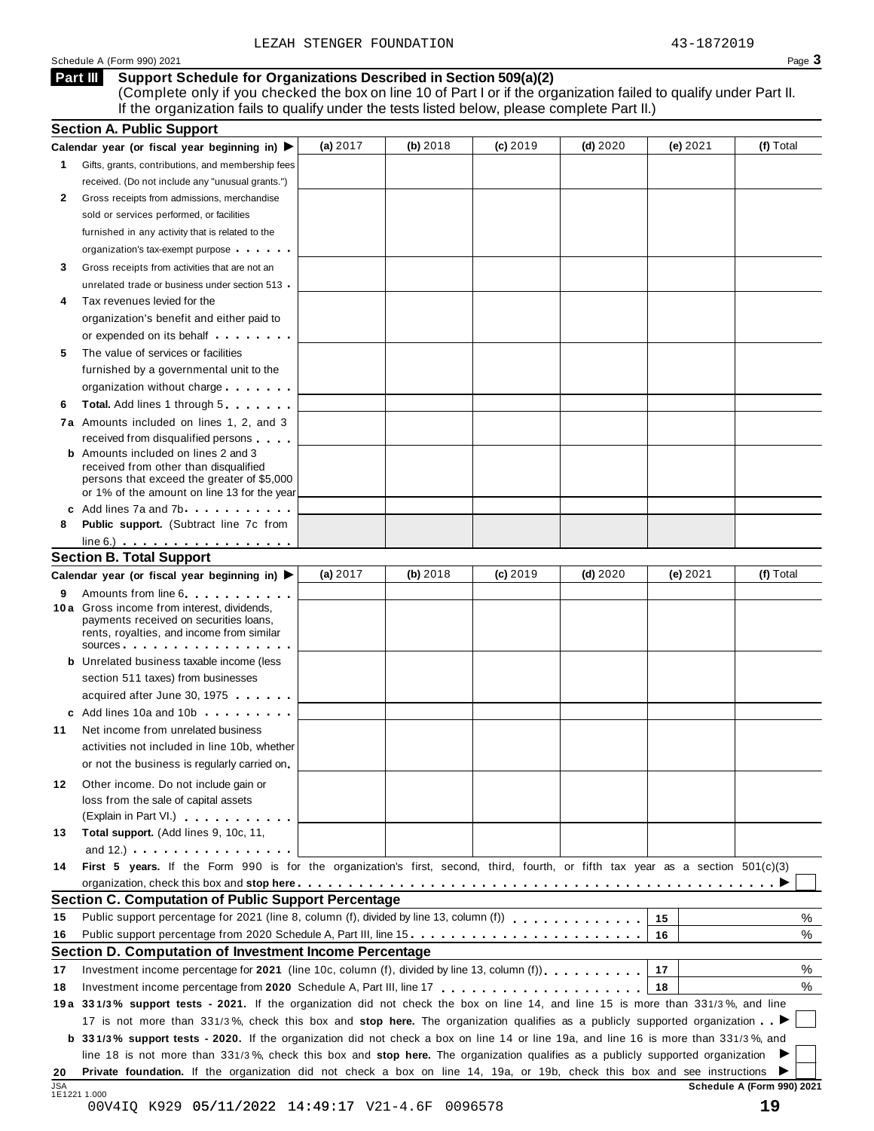| Schedule<br>1990) 2021<br>(Form | . .<br>Page |
|---------------------------------|-------------|
|---------------------------------|-------------|

#### **Support Schedule for Organizations Described in Section 509(a)(2) Part III**

(Complete only if you checked the box on line 10 of Part I or if the organization failed to qualify under Part II. If the organization fails to qualify under the tests listed below, please complete Part II.)

|            | <b>Section A. Public Support</b>                                                                                                    |            |          |            |            |          |                            |
|------------|-------------------------------------------------------------------------------------------------------------------------------------|------------|----------|------------|------------|----------|----------------------------|
|            | Calendar year (or fiscal year beginning in) $\blacktriangleright$                                                                   | (a) 2017   | (b) 2018 | $(c)$ 2019 | $(d)$ 2020 | (e) 2021 | (f) Total                  |
| 1.         | Gifts, grants, contributions, and membership fees                                                                                   |            |          |            |            |          |                            |
|            | received. (Do not include any "unusual grants.")                                                                                    |            |          |            |            |          |                            |
| 2          | Gross receipts from admissions, merchandise                                                                                         |            |          |            |            |          |                            |
|            | sold or services performed, or facilities                                                                                           |            |          |            |            |          |                            |
|            | furnished in any activity that is related to the                                                                                    |            |          |            |            |          |                            |
|            | organization's tax-exempt purpose                                                                                                   |            |          |            |            |          |                            |
| 3          | Gross receipts from activities that are not an                                                                                      |            |          |            |            |          |                            |
|            | unrelated trade or business under section 513                                                                                       |            |          |            |            |          |                            |
| 4          | Tax revenues levied for the                                                                                                         |            |          |            |            |          |                            |
|            | organization's benefit and either paid to                                                                                           |            |          |            |            |          |                            |
|            | or expended on its behalf <b>contained</b> on $\theta$                                                                              |            |          |            |            |          |                            |
| 5          | The value of services or facilities                                                                                                 |            |          |            |            |          |                            |
|            | furnished by a governmental unit to the                                                                                             |            |          |            |            |          |                            |
|            |                                                                                                                                     |            |          |            |            |          |                            |
|            | organization without charge                                                                                                         |            |          |            |            |          |                            |
| 6          | <b>Total.</b> Add lines 1 through 5                                                                                                 |            |          |            |            |          |                            |
|            | 7a Amounts included on lines 1, 2, and 3                                                                                            |            |          |            |            |          |                            |
|            | received from disqualified persons                                                                                                  |            |          |            |            |          |                            |
|            | <b>b</b> Amounts included on lines 2 and 3<br>received from other than disqualified                                                 |            |          |            |            |          |                            |
|            | persons that exceed the greater of \$5,000                                                                                          |            |          |            |            |          |                            |
|            | or 1% of the amount on line 13 for the year                                                                                         |            |          |            |            |          |                            |
|            | c Add lines 7a and 7b                                                                                                               |            |          |            |            |          |                            |
| 8          | <b>Public support.</b> (Subtract line 7c from                                                                                       |            |          |            |            |          |                            |
|            | $line 6.)$                                                                                                                          |            |          |            |            |          |                            |
|            | <b>Section B. Total Support</b>                                                                                                     |            |          |            |            |          |                            |
|            | Calendar year (or fiscal year beginning in) ▶                                                                                       | (a) $2017$ | (b) 2018 | $(c)$ 2019 | $(d)$ 2020 | (e) 2021 | (f) Total                  |
| 9          | Amounts from line 6                                                                                                                 |            |          |            |            |          |                            |
|            | <b>10a</b> Gross income from interest, dividends,                                                                                   |            |          |            |            |          |                            |
|            | payments received on securities loans,<br>rents, royalties, and income from similar                                                 |            |          |            |            |          |                            |
|            | SOUICES                                                                                                                             |            |          |            |            |          |                            |
|            | <b>b</b> Unrelated business taxable income (less                                                                                    |            |          |            |            |          |                            |
|            | section 511 taxes) from businesses                                                                                                  |            |          |            |            |          |                            |
|            | acquired after June 30, 1975                                                                                                        |            |          |            |            |          |                            |
|            | c Add lines 10a and 10b                                                                                                             |            |          |            |            |          |                            |
| 11         | Net income from unrelated business                                                                                                  |            |          |            |            |          |                            |
|            | activities not included in line 10b, whether                                                                                        |            |          |            |            |          |                            |
|            | or not the business is regularly carried on                                                                                         |            |          |            |            |          |                            |
|            |                                                                                                                                     |            |          |            |            |          |                            |
| 12.        | Other income. Do not include gain or                                                                                                |            |          |            |            |          |                            |
|            | loss from the sale of capital assets                                                                                                |            |          |            |            |          |                            |
|            | (Explain in Part VI.)                                                                                                               |            |          |            |            |          |                            |
| 13         | Total support. (Add lines 9, 10c, 11,                                                                                               |            |          |            |            |          |                            |
|            | and $12.$ ) $\cdots$ $\cdots$ $\cdots$ $\cdots$ $\cdots$                                                                            |            |          |            |            |          |                            |
| 14         | First 5 years. If the Form 990 is for the organization's first, second, third, fourth, or fifth tax year as a section 501(c)(3)     |            |          |            |            |          |                            |
|            |                                                                                                                                     |            |          |            |            |          |                            |
|            | Section C. Computation of Public Support Percentage                                                                                 |            |          |            |            |          |                            |
| 15         | Public support percentage for 2021 (line 8, column (f), divided by line 13, column (f)                                              |            |          |            |            | 15       | %                          |
| 16         | Public support percentage from 2020 Schedule A, Part III, line 15.                                                                  |            |          |            |            | 16       | %                          |
|            | Section D. Computation of Investment Income Percentage                                                                              |            |          |            |            |          |                            |
| 17         |                                                                                                                                     |            |          |            |            | 17       | %                          |
| 18         |                                                                                                                                     |            |          |            |            | 18       | %                          |
|            | 19a 331/3% support tests - 2021. If the organization did not check the box on line 14, and line 15 is more than 331/3%, and line    |            |          |            |            |          |                            |
|            | 17 is not more than 331/3%, check this box and stop here. The organization qualifies as a publicly supported organization           |            |          |            |            |          |                            |
|            | b 331/3% support tests - 2020. If the organization did not check a box on line 14 or line 19a, and line 16 is more than 331/3%, and |            |          |            |            |          |                            |
|            | line 18 is not more than 331/3%, check this box and stop here. The organization qualifies as a publicly supported organization      |            |          |            |            |          |                            |
| 20         | Private foundation. If the organization did not check a box on line 14, 19a, or 19b, check this box and see instructions            |            |          |            |            |          |                            |
| <b>JSA</b> |                                                                                                                                     |            |          |            |            |          | Schedule A (Form 990) 2021 |
|            | 1E1221 1.000<br>00V4IQ K929 05/11/2022 14:49:17 V21-4.6F 0096578                                                                    |            |          |            |            |          | 19                         |
|            |                                                                                                                                     |            |          |            |            |          |                            |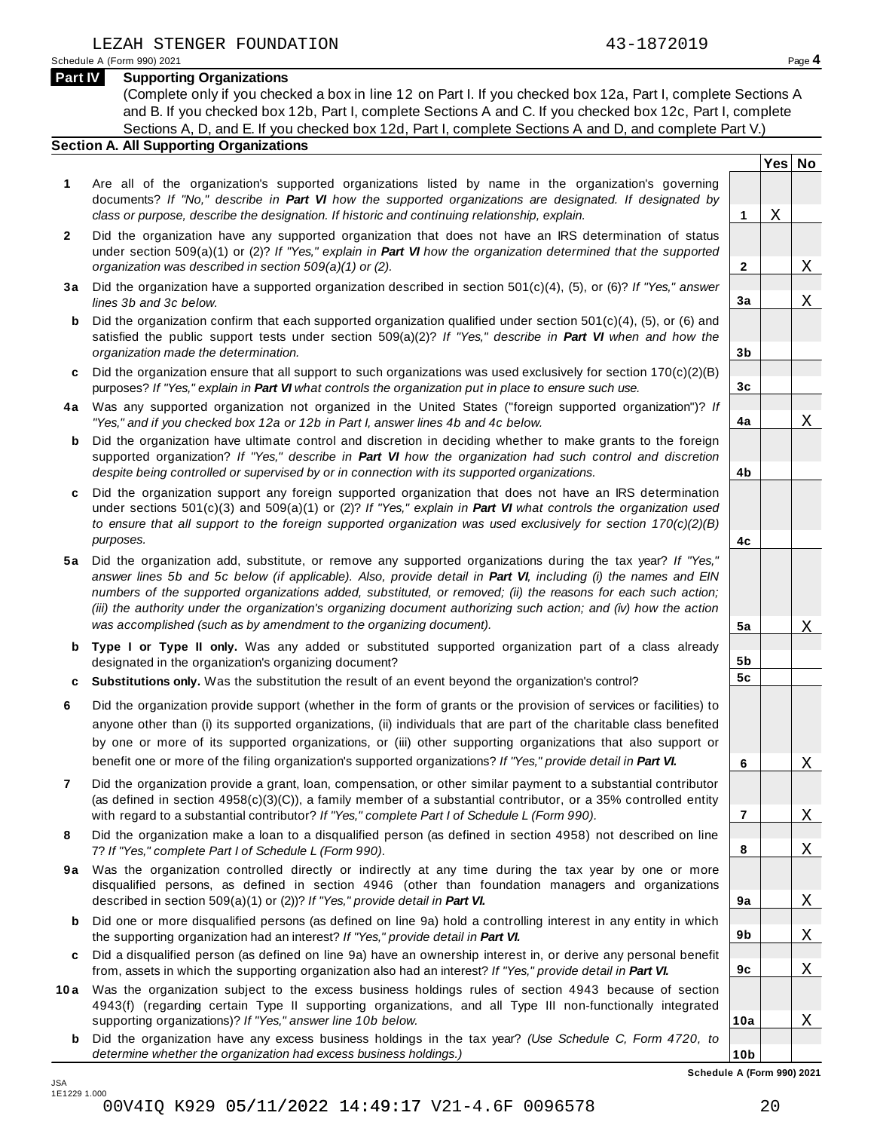**Yes No**

 $\overline{\text{X}}$ 

X

X

X

X

X

X

X

X

X

X

X

**2**

**3a**

**3b**

**3c**

**4a**

**4b**

**4c**

**5a**

**5b 5c**

**6**

**7**

**8**

**9a**

**9b**

**9c**

**10a**

**10b**

#### **Part IV Supporting Organizations**

(Complete only if you checked a box in line 12 on Part I. If you checked box 12a, Part I, complete Sections A and B. If you checked box 12b, Part I, complete Sections A and C. If you checked box 12c, Part I, complete Sections A, D, and E. If you checked box 12d, Part I, complete Sections A and D, and complete Part V.)

#### **Section A. All Supporting Organizations**

- **1** Are all of the organization's supported organizations listed by name in the organization's governing documents? *If "No," describe in Part VI how the supported organizations are designated. If designated by class or purpose, describe the designation. If historic and continuing relationship, explain.* **1**
- **2** Did the organization have any supported organization that does not have an IRS determination of status under section 509(a)(1) or (2)? *If"Yes," explain in Part VI how the organization determined that the supported organization was described in section 509(a)(1) or (2).*
- **3 a** Did the organization have a supported organization described in section 501(c)(4), (5), or (6)? *If "Yes," answer lines 3b and 3c below.*
- **b** Did the organization confirm that each supported organization qualified under section 501(c)(4), (5), or (6) and | satisfied the public support tests under section 509(a)(2)? *If "Yes," describe in Part VI when and how the organization made the determination.*
- **c** Did the organization ensure that all support to such organizations was used exclusively for section 170(c)(2)(B) purposes? *If"Yes," explain in Part VI what controls the organization put in place to ensure such use.*
- **4 a** Was any supported organization not organized in the United States ("foreign supported organization")? *If "Yes," and if you checked box 12a or 12b in Part I, answer lines 4b and 4c below.*
- **b** Did the organization have ultimate control and discretion in deciding whether to make grants to the foreign | supported organization? *If "Yes," describe in Part VI how the organization had such control and discretion despite being controlled or supervised by or in connection with its supported organizations.*
- **c** Did the organization support any foreign supported organization that does not have an IRS determination | under sections 501(c)(3) and 509(a)(1) or (2)? *If "Yes," explain in Part VI what controls the organization used to ensure that all support to the foreign supported organization was used exclusively for section 170(c)(2)(B) purposes.*
- **5 a** Did the organization add, substitute, or remove any supported organizations during the tax year? *If "Yes,"* answer lines 5b and 5c below (if applicable). Also, provide detail in Part VI, including (i) the names and EIN *numbers of the supported organizations added, substituted, or removed; (ii) the reasons for each such action;* (iii) the authority under the organization's organizing document authorizing such action; and (iv) how the action *was accomplished (such as by amendment to the organizing document).*
- **b Type I or Type II only.** Was any added or substituted supported organization part of a class already designated in the organization's organizing document?
- **c Substitutions only.** Was the substitution the result of an event beyond the organization's control?
- **6** Did the organization provide support (whether in the form of grants or the provision of services or facilities) to anyone other than (i) its supported organizations, (ii) individuals that are part of the charitable class benefited by one or more of its supported organizations, or (iii) other supporting organizations that also support or benefit one or more of the filing organization's supported organizations? *If"Yes," provide detail in Part VI.*
- **7** Did the organization provide a grant, loan, compensation, or other similar payment to a substantial contributor (as defined in section 4958(c)(3)(C)), a family member of a substantial contributor, or a 35% controlled entity with regard to a substantial contributor? *If"Yes," complete Part I of Schedule L (Form 990).*
- **8** Did the organization make a loan to a disqualified person (as defined in section 4958) not described on line 7? *If "Yes," complete Part I of Schedule L (Form 990).*
- **9a** Was the organization controlled directly or indirectly at any time during the tax year by one or more | disqualified persons, as defined in section 4946 (other than foundation managers and organizations described in section 509(a)(1) or (2))? *If"Yes," provide detail in Part VI.*
- **b** Did one or more disqualified persons (as defined on line 9a) hold a controlling interest in any entity in which | the supporting organization had an interest? *If"Yes," provide detail in Part VI.*
- **c** Did a disqualified person (as defined on line 9a) have an ownership interest in, or derive any personal benefit from, assets in which the supporting organization also had an interest? *If"Yes," provide detail in Part VI.*
- **10a** Was the organization subject to the excess business holdings rules of section 4943 because of section | 4943(f) (regarding certain Type II supporting organizations, and all Type III non-functionally integrated supporting organizations)? *If"Yes," answer line 10b below.*
	- **b** Did the organization have any excess business holdings in the tax year? *(Use Schedule C, Form 4720, to determine whether the organization had excess business holdings.)*

**Schedule A (Form 990) 2021**

JSA 1E1229 1.000 00V4IQ K929 05/11/2022 14:49:17 V21-4.6F 0096578 20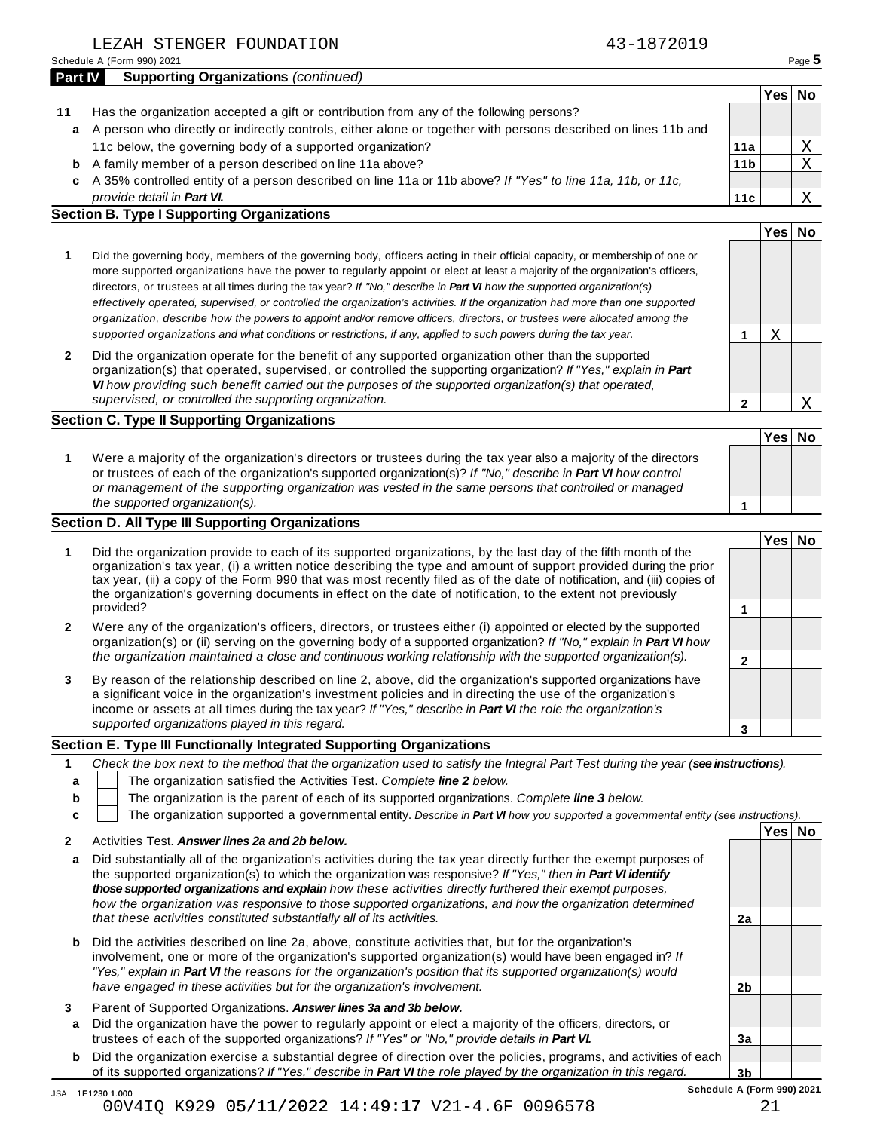Schedule <sup>A</sup> (Form 990) <sup>2021</sup> Page **5**

| 43-1872019 |  |
|------------|--|
|------------|--|

| <b>Part IV</b> | <b>Supporting Organizations (continued)</b>                                                                      |                 |      |    |
|----------------|------------------------------------------------------------------------------------------------------------------|-----------------|------|----|
|                |                                                                                                                  |                 | Yesl | Nο |
| 11             | Has the organization accepted a gift or contribution from any of the following persons?                          |                 |      |    |
|                | a A person who directly or indirectly controls, either alone or together with persons described on lines 11b and |                 |      |    |
|                | 11c below, the governing body of a supported organization?                                                       | 11a             |      | Χ  |
|                | <b>b</b> A family member of a person described on line 11a above?                                                | 11 <sub>b</sub> |      |    |
|                | c A 35% controlled entity of a person described on line 11a or 11b above? If "Yes" to line 11a, 11b, or 11c,     |                 |      |    |
|                | provide detail in Part VI.                                                                                       | 11c             |      |    |

- *provide detail in Part VI.* **Section B. Type I Supporting Organizations**
	- **1 Yes No 1** Did the governing body, members of the governing body, officers acting in their official capacity, or membership of one or more supported organizations have the power to regularly appoint or elect at least a majority of the organization's officers, directors, or trustees at all times during the tax year? *If"No," describe in Part VI how the supported organization(s)* effectively operated, supervised, or controlled the organization's activities. If the organization had more than one supported organization, describe how the powers to appoint and/or remove officers, directors, or trustees were allocated among the X

**2**

X

**2** Did the organization operate for the benefit of any supported organization other than the supported organization(s) that operated, supervised, or controlled the supporting organization? *If "Yes," explain in Part VI how providing such benefit carried out the purposes of the supported organization(s) that operated, supervised, or controlled the supporting organization.*

supported organizations and what conditions or restrictions, if any, applied to such powers during the tax year.

#### **Section C. Type II Supporting Organizations**

**1 Yes No 1** Were a majority of the organization's directors or trustees during the tax year also a majority of the directors or trustees of each of the organization's supported organization(s)? *If"No," describe in Part VI how control or management of the supporting organization was vested in the same persons that controlled or managed the supported organization(s).*

### **Section D. All Type III Supporting Organizations**

|   |                                                                                                                                                                                                                                                                                                                                                                                                                                                                                          | Yes⊺ |  |
|---|------------------------------------------------------------------------------------------------------------------------------------------------------------------------------------------------------------------------------------------------------------------------------------------------------------------------------------------------------------------------------------------------------------------------------------------------------------------------------------------|------|--|
|   | Did the organization provide to each of its supported organizations, by the last day of the fifth month of the<br>organization's tax year, (i) a written notice describing the type and amount of support provided during the prior<br>tax year, (ii) a copy of the Form 990 that was most recently filed as of the date of notification, and (iii) copies of<br>the organization's governing documents in effect on the date of notification, to the extent not previously<br>provided? |      |  |
|   |                                                                                                                                                                                                                                                                                                                                                                                                                                                                                          |      |  |
| 2 | Were any of the organization's officers, directors, or trustees either (i) appointed or elected by the supported<br>organization(s) or (ii) serving on the governing body of a supported organization? If "No," explain in Part VI how                                                                                                                                                                                                                                                   |      |  |
|   | the organization maintained a close and continuous working relationship with the supported organization(s).                                                                                                                                                                                                                                                                                                                                                                              |      |  |
| 3 | By reason of the relationship described on line 2, above, did the organization's supported organizations have<br>a significant voice in the organization's investment policies and in directing the use of the organization's<br>income or assets at all times during the tax year? If "Yes," describe in Part VI the role the organization's                                                                                                                                            |      |  |
|   | supported organizations played in this regard.                                                                                                                                                                                                                                                                                                                                                                                                                                           |      |  |

#### **Section E. Type III Functionally Integrated Supporting Organizations**

|   | Check the box next to the method that the organization used to satisfy the Integral Part Test during the year (see instructions). |  |  |  |
|---|-----------------------------------------------------------------------------------------------------------------------------------|--|--|--|
|   | The organization satisfied the Activities Test. Complete line 2 below.                                                            |  |  |  |
| b | The organization is the parent of each of its supported organizations. Complete line 3 below.                                     |  |  |  |
|   | The organization supported a governmental entity. Describe in Part VI how you supported a governmental entity (see instructions). |  |  |  |
|   | Yesl<br>Nο<br>Activities Test. Answer lines 2a and 2b below.                                                                      |  |  |  |

- **a** Did substantially all of the organization's activities during the tax year directly further the exempt purposes of the supported organization(s) to which the organization was responsive? *If "Yes," then in Part VI identify those supported organizations and explain how these activities directly furthered their exempt purposes, how the organization was responsive to those supported organizations, and how the organization determined that these activities constituted substantially all of its activities.* **2a**
- **b** Did the activities described on line 2a, above, constitute activities that, but for the organization's involvement, one or more of the organization's supported organization(s) would have been engaged in? *If "Yes," explain in Part VI the reasons for the organization's position that its supported organization(s) would have engaged in these activities but for the organization's involvement.*
- **3** Parent of Supported Organizations. *Answer lines 3a and 3b below.*
- **a** Did the organization have the power to regularly appoint or elect a majority of the officers, directors, or trustees of each of the supported organizations? *If"Yes" or "No," provide details in Part VI.*
- **b** Did the organization exercise a substantial degree of direction over the policies, programs, and activities of each of its supported organizations? *If"Yes," describe in Part VI the role played by the organization in this regard.*

**2b**

**3a**

JSA 1E1230 1.000 00V4IQ K929 05/11/2022 14:49:17 V21-4.6F 0096578 21

| ۰,<br>۹ |  |
|---------|--|
|         |  |
|         |  |
|         |  |
|         |  |
|         |  |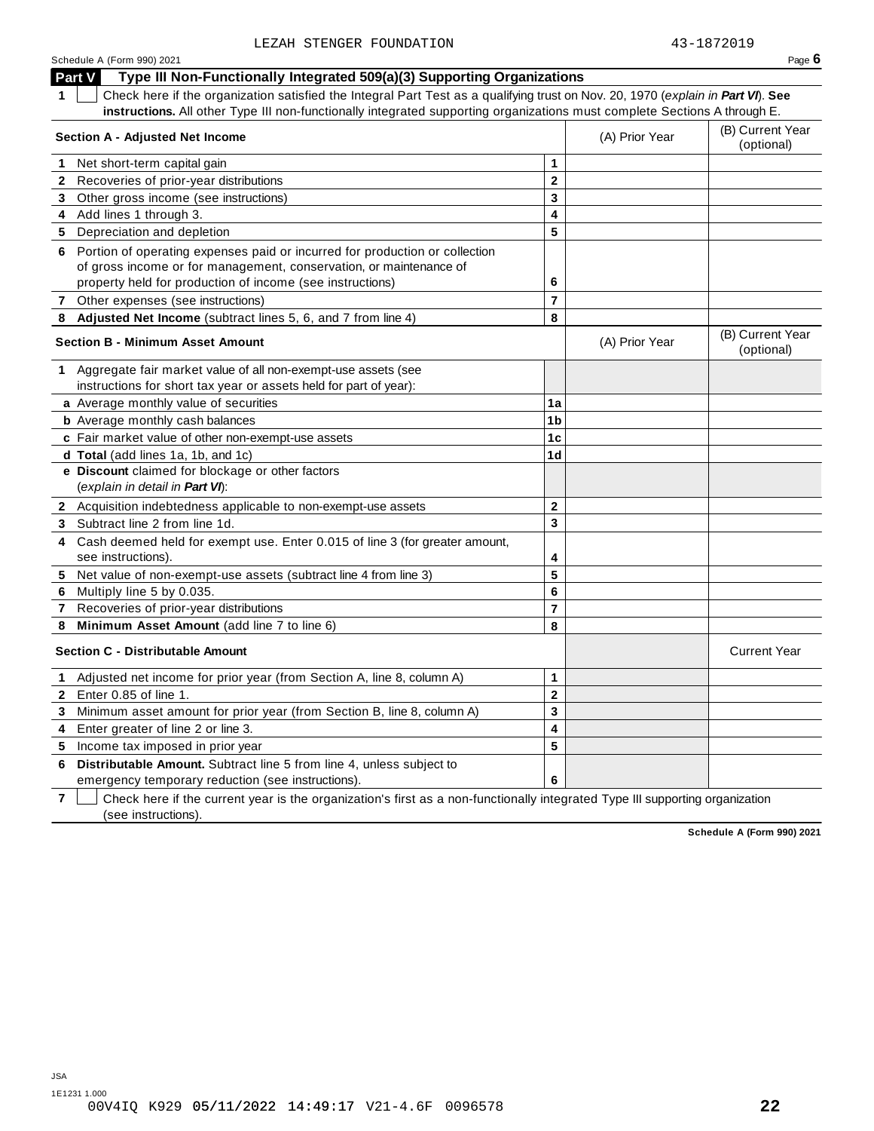#### Schedule <sup>A</sup> (Form 990) <sup>2021</sup> Page **6 Part V Type III Non-Functionally Integrated 509(a)(3) Supporting Organizations 1** Check here if the organization satisfied the Integral Part Test as a qualifying trust on Nov. 20, 1970 (*explain in Part VI*). **See instructions.** All other Type III non-functionally integrated supporting organizations must complete Sections A through E. (B) Current Year **Section <sup>A</sup> - Adjusted Net Income** (A) Prior Year (optional) **1** Net short-term capital gain **1 1 2 3 4 5 2** Recoveries of prior-year distributions **3** Other gross income (see instructions) **4** Add lines 1 through 3. **5** Depreciation and depletion **6** Portion of operating expenses paid or incurred for production or collection of gross income or for management, conservation, or maintenance of property held for production of income (see instructions) **6 7** Other expenses (see instructions) **7 8 Adjusted Net Income** (subtract lines 5, 6, and 7 from line 4) **8** (B) Current Year **Section <sup>B</sup> - Minimum Asset Amount** (A) Prior Year (optional) **1** Aggregate fair market value of all non-exempt-use assets (see instructions for short tax year or assets held for part of year): **a** Average monthly value of securities **1a 1b 1c 1d b** Average monthly cash balances **c** Fair market value of other non-exempt-use assets **d Total** (add lines 1a, 1b, and 1c) **e Discount** claimed for blockage or other factors (*explain in detail in Part VI*): **2** Acquisition indebtedness applicable to non-exempt-use assets **2 3 4 5 6 7 8 3** Subtract line 2 from line 1d. **4** Cash deemed held for exempt use. Enter 0.015 of line 3 (for greater amount, see instructions). **5** Net value of non-exempt-use assets (subtract line 4 from line 3) **6** Multiply line 5 by 0.035. **7** Recoveries of prior-year distributions **8 Minimum Asset Amount** (add line 7 to line 6) **Section C - Distributable Amount** Current Year **Current Year Amount** Current Year Amount **1** Adjusted net income for prior year (from Section A, line 8, column A) **1 2 3 4 5 2** Enter 0.85 of line 1. **3** Minimum asset amount for prior year (from Section B, line 8, column A) **4** Enter greater of line 2 or line 3. **5** Income tax imposed in prior year **6 Distributable Amount.** Subtract line 5 from line 4, unless subject to

emergency temporary reduction (see instructions).

**7** Check here if the current year is the organization's first as a non-functionally integrated Type III supporting organization (see instructions).

**6**

**Schedule A (Form 990) 2021**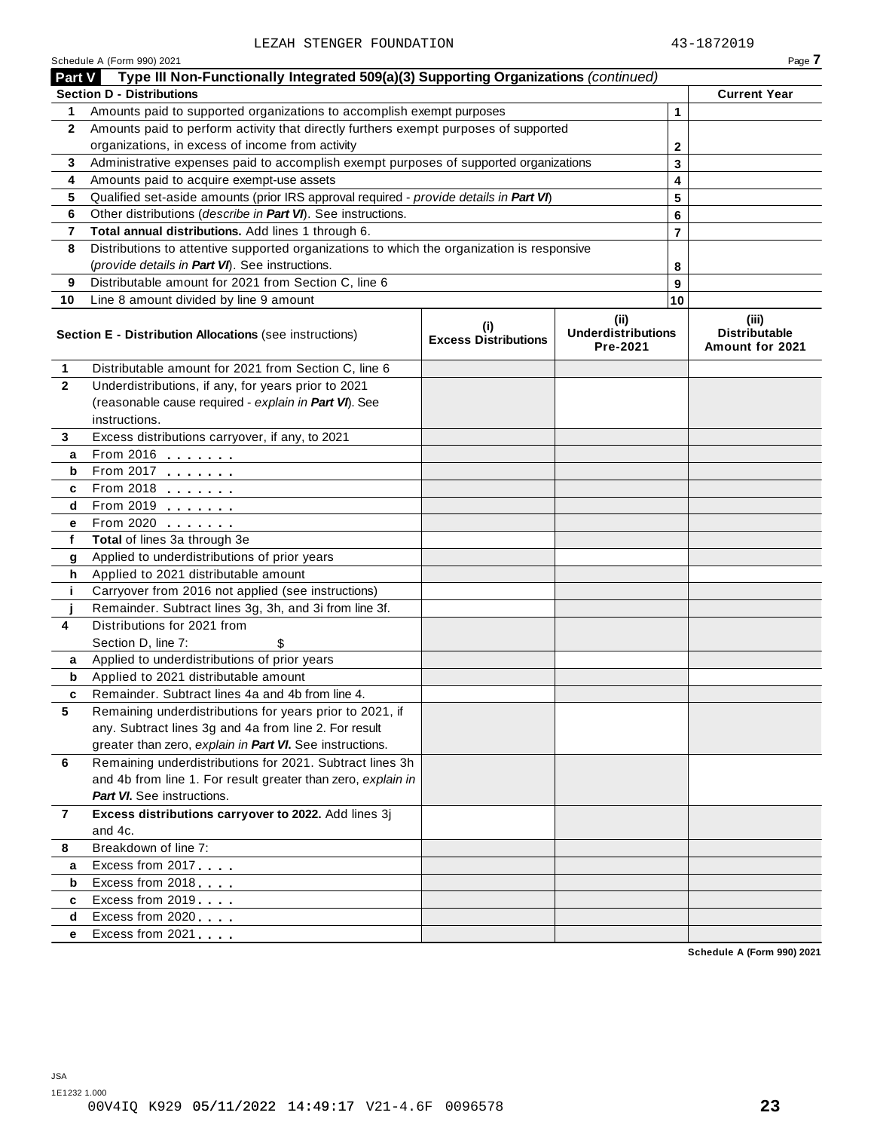|              | Part V Type III Non-Functionally Integrated 509(a)(3) Supporting Organizations (continued)                                                          |  |  |              |                                                  |  |  |  |
|--------------|-----------------------------------------------------------------------------------------------------------------------------------------------------|--|--|--------------|--------------------------------------------------|--|--|--|
|              | <b>Section D - Distributions</b>                                                                                                                    |  |  |              | <b>Current Year</b>                              |  |  |  |
| 1            | Amounts paid to supported organizations to accomplish exempt purposes                                                                               |  |  | 1            |                                                  |  |  |  |
| $\mathbf{2}$ | Amounts paid to perform activity that directly furthers exempt purposes of supported                                                                |  |  |              |                                                  |  |  |  |
|              | organizations, in excess of income from activity                                                                                                    |  |  | $\mathbf{2}$ |                                                  |  |  |  |
| 3            | Administrative expenses paid to accomplish exempt purposes of supported organizations                                                               |  |  | 3            |                                                  |  |  |  |
| 4            | Amounts paid to acquire exempt-use assets                                                                                                           |  |  | 4            |                                                  |  |  |  |
| 5            | Qualified set-aside amounts (prior IRS approval required - provide details in Part VI)                                                              |  |  | 5            |                                                  |  |  |  |
| 6            | Other distributions (describe in Part VI). See instructions.                                                                                        |  |  | 6            |                                                  |  |  |  |
| 7            | Total annual distributions. Add lines 1 through 6.                                                                                                  |  |  | 7            |                                                  |  |  |  |
| 8            | Distributions to attentive supported organizations to which the organization is responsive                                                          |  |  |              |                                                  |  |  |  |
|              | (provide details in Part VI). See instructions.                                                                                                     |  |  | 8            |                                                  |  |  |  |
| 9            | Distributable amount for 2021 from Section C, line 6                                                                                                |  |  | 9            |                                                  |  |  |  |
| 10           | Line 8 amount divided by line 9 amount                                                                                                              |  |  | 10           |                                                  |  |  |  |
|              | (i)<br>$\sf (i)$<br><b>Underdistributions</b><br>Section E - Distribution Allocations (see instructions)<br><b>Excess Distributions</b><br>Pre-2021 |  |  |              | (iii)<br><b>Distributable</b><br>Amount for 2021 |  |  |  |
| 1            | Distributable amount for 2021 from Section C, line 6                                                                                                |  |  |              |                                                  |  |  |  |
| $\mathbf{2}$ | Underdistributions, if any, for years prior to 2021                                                                                                 |  |  |              |                                                  |  |  |  |
|              | (reasonable cause required - explain in Part VI). See                                                                                               |  |  |              |                                                  |  |  |  |
|              | instructions.                                                                                                                                       |  |  |              |                                                  |  |  |  |
| 3            | Excess distributions carryover, if any, to 2021                                                                                                     |  |  |              |                                                  |  |  |  |
| a            | From 2016                                                                                                                                           |  |  |              |                                                  |  |  |  |
| b            | From 2017 $\frac{1}{\sqrt{2}}$                                                                                                                      |  |  |              |                                                  |  |  |  |
| c            | From 2018 $\frac{1}{2}$                                                                                                                             |  |  |              |                                                  |  |  |  |
| d            | From 2019 $\frac{1}{\sqrt{1-\frac{1}{2}}}\$                                                                                                         |  |  |              |                                                  |  |  |  |
| е            | From 2020                                                                                                                                           |  |  |              |                                                  |  |  |  |
| f            | Total of lines 3a through 3e                                                                                                                        |  |  |              |                                                  |  |  |  |
| g            | Applied to underdistributions of prior years                                                                                                        |  |  |              |                                                  |  |  |  |
| h            | Applied to 2021 distributable amount                                                                                                                |  |  |              |                                                  |  |  |  |
| j.           | Carryover from 2016 not applied (see instructions)                                                                                                  |  |  |              |                                                  |  |  |  |
|              | Remainder. Subtract lines 3g, 3h, and 3i from line 3f.                                                                                              |  |  |              |                                                  |  |  |  |
| 4            | Distributions for 2021 from                                                                                                                         |  |  |              |                                                  |  |  |  |
|              | Section D, line 7:<br>Applied to underdistributions of prior years                                                                                  |  |  |              |                                                  |  |  |  |
| a<br>b       | Applied to 2021 distributable amount                                                                                                                |  |  |              |                                                  |  |  |  |
| c            | Remainder. Subtract lines 4a and 4b from line 4.                                                                                                    |  |  |              |                                                  |  |  |  |
|              | Remaining underdistributions for years prior to 2021, if                                                                                            |  |  |              |                                                  |  |  |  |
|              | any. Subtract lines 3g and 4a from line 2. For result                                                                                               |  |  |              |                                                  |  |  |  |
|              | greater than zero, explain in Part VI. See instructions.                                                                                            |  |  |              |                                                  |  |  |  |
| 6            | Remaining underdistributions for 2021. Subtract lines 3h                                                                                            |  |  |              |                                                  |  |  |  |
|              | and 4b from line 1. For result greater than zero, explain in                                                                                        |  |  |              |                                                  |  |  |  |
|              | <b>Part VI.</b> See instructions.                                                                                                                   |  |  |              |                                                  |  |  |  |
| 7            | Excess distributions carryover to 2022. Add lines 3j                                                                                                |  |  |              |                                                  |  |  |  |
|              | and 4c.                                                                                                                                             |  |  |              |                                                  |  |  |  |
| 8            | Breakdown of line 7:                                                                                                                                |  |  |              |                                                  |  |  |  |
| a            | Excess from 2017                                                                                                                                    |  |  |              |                                                  |  |  |  |
| b            | Excess from 2018                                                                                                                                    |  |  |              |                                                  |  |  |  |
| C            | Excess from 2019                                                                                                                                    |  |  |              |                                                  |  |  |  |
| d            | Excess from 2020                                                                                                                                    |  |  |              |                                                  |  |  |  |
| е            | Excess from 2021                                                                                                                                    |  |  |              |                                                  |  |  |  |
|              |                                                                                                                                                     |  |  |              |                                                  |  |  |  |

**Schedule A (Form 990) 2021**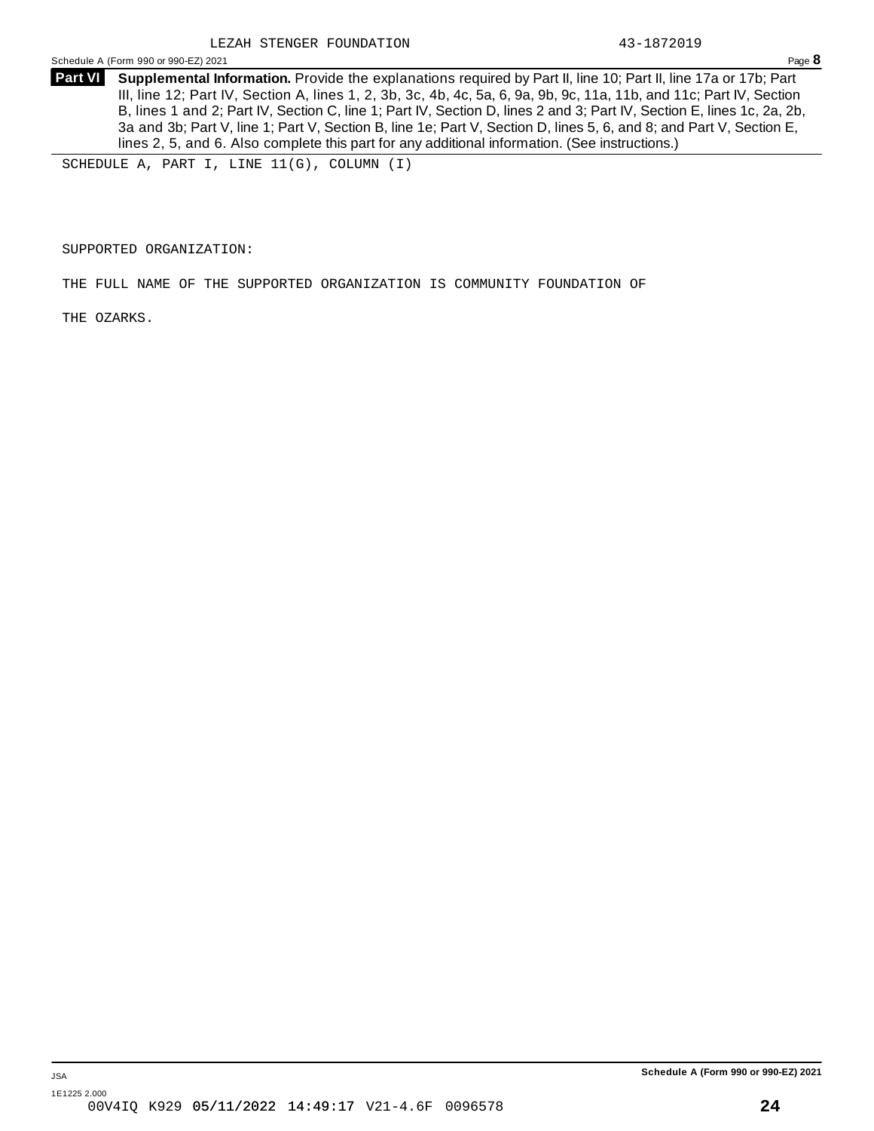Schedule <sup>A</sup> (Form <sup>990</sup> or 990-EZ) <sup>2021</sup> Page **8**

**Supplemental Information.** Provide the explanations required by Part II, line 10; Part II, line 17a or 17b; Part **Part VI** III, line 12; Part IV, Section A, lines 1, 2, 3b, 3c, 4b, 4c, 5a, 6, 9a, 9b, 9c, 11a, 11b, and 11c; Part IV, Section B, lines 1 and 2; Part IV, Section C, line 1; Part IV, Section D, lines 2 and 3; Part IV, Section E, lines 1c, 2a, 2b, 3a and 3b; Part V, line 1; Part V, Section B, line 1e; Part V, Section D, lines 5, 6, and 8; and Part V, Section E, lines 2, 5, and 6. Also complete this part for any additional information. (See instructions.)

SCHEDULE A, PART I, LINE 11(G), COLUMN (I)

SUPPORTED ORGANIZATION:

THE FULL NAME OF THE SUPPORTED ORGANIZATION IS COMMUNITY FOUNDATION OF

THE OZARKS.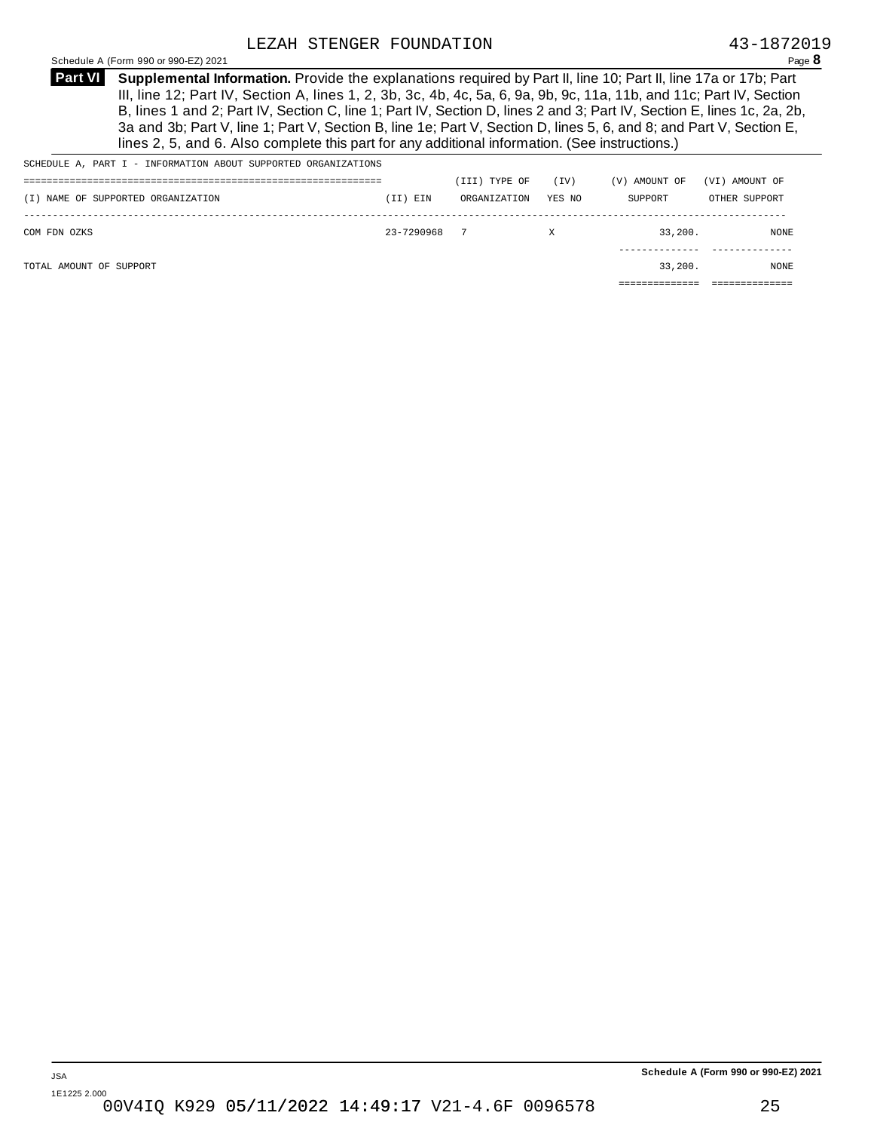**Supplemental Information.** Provide the explanations required by Part II, line 10; Part II, line 17a or 17b; Part **Part VI** III, line 12; Part IV, Section A, lines 1, 2, 3b, 3c, 4b, 4c, 5a, 6, 9a, 9b, 9c, 11a, 11b, and 11c; Part IV, Section B, lines 1 and 2; Part IV, Section C, line 1; Part IV, Section D, lines 2 and 3; Part IV, Section E, lines 1c, 2a, 2b, 3a and 3b; Part V, line 1; Part V, Section B, line 1e; Part V, Section D, lines 5, 6, and 8; and Part V, Section E, lines 2, 5, and 6. Also complete this part for any additional information. (See instructions.)

| SCHEDULE A, PART I - INFORMATION ABOUT SUPPORTED ORGANIZATIONS |            |               |        |               |                |
|----------------------------------------------------------------|------------|---------------|--------|---------------|----------------|
|                                                                |            | (III) TYPE OF | (IV)   | (V) AMOUNT OF | (VI) AMOUNT OF |
| (I) NAME OF SUPPORTED ORGANIZATION                             | (II) EIN   | ORGANIZATION  | YES NO | SUPPORT       | OTHER SUPPORT  |
|                                                                |            |               |        |               |                |
| COM FDN OZKS                                                   | 23-7290968 | - 7           | Χ      | 33.200.       | NONE           |
|                                                                |            |               |        |               |                |
| TOTAL AMOUNT OF SUPPORT                                        |            |               |        | 33.200.       | <b>NONE</b>    |
|                                                                |            |               |        |               |                |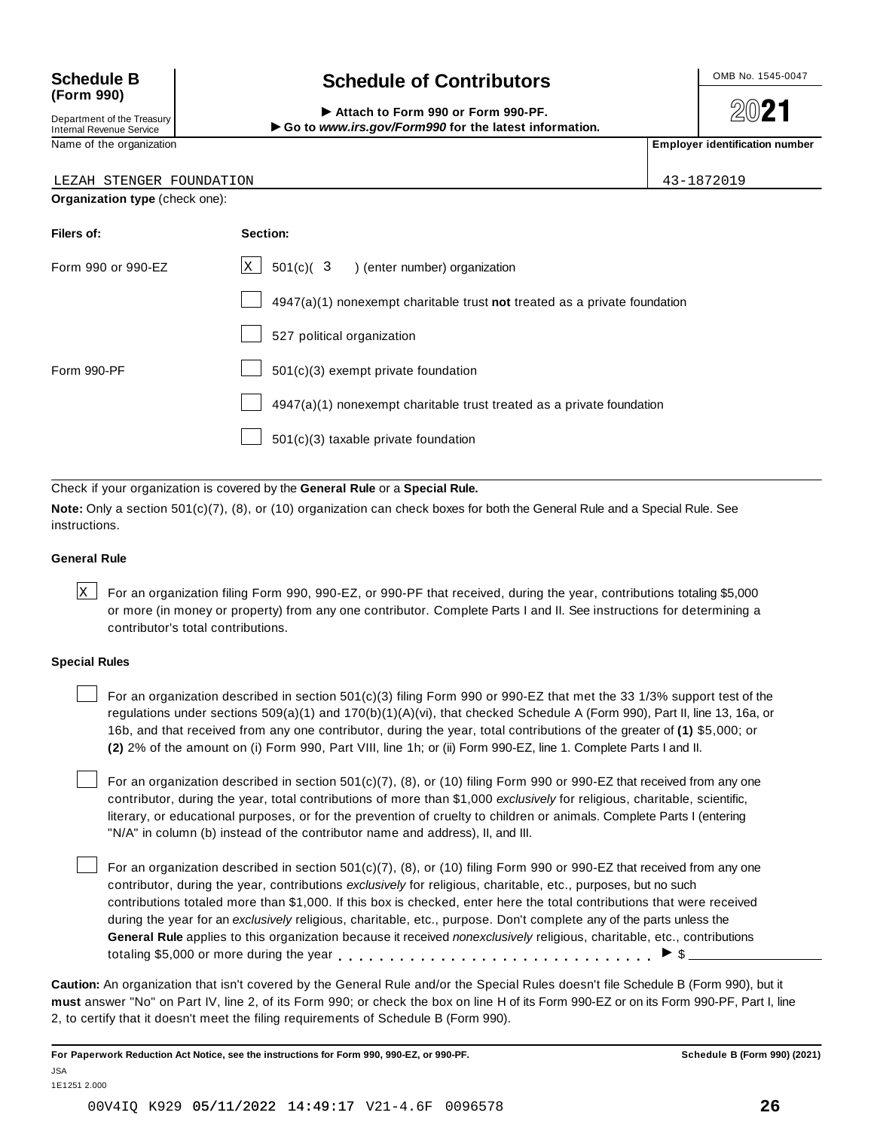## **(Form 990)**

Department of the Treasury<br>Internal Revenue Service

### Schedule B  $\left\{\n\begin{array}{c}\n\text{OnB No. 1545-0047}\n\end{array}\n\right\}$

**2021** 

 $\text{Department of the Treasury}\n\begin{array}{r|l}\n\text{Department of the Treasury}\n\end{array}\n\begin{array}{r|l}\n\end{array}\n\begin{array}{r|l}\n\end{array}\n\begin{array}{r|l}\n\end{array}\n\begin{array}{r|l}\n\end{array}\n\begin{array}{r|l}\n\end{array}\n\end{array}\n\begin{array}{r|l}\n\end{array}\n\begin{array}{r|l}\n\end{array}\n\begin{array}{r|l}\n\end{array}\n\end{array}\n\begin{array}{r|l}\n\end{array}\n\begin{array}{r|l}\n\end{array}\n\end{array}\n\begin{array}{r|l$ 

| LEZAH STENGER FOUNDATION       |                                                                             | 43-1872019 |
|--------------------------------|-----------------------------------------------------------------------------|------------|
| Organization type (check one): |                                                                             |            |
| Filers of:                     | Section:                                                                    |            |
| Form 990 or 990-EZ             | $X$ 501(c)( 3 ) (enter number) organization                                 |            |
|                                | $4947(a)(1)$ nonexempt charitable trust not treated as a private foundation |            |
|                                | 527 political organization                                                  |            |
| Form 990-PF                    | 501(c)(3) exempt private foundation                                         |            |
|                                | 4947(a)(1) nonexempt charitable trust treated as a private foundation       |            |
|                                | 501(c)(3) taxable private foundation                                        |            |

Check if your organization is covered by the **General Rule** or a **Special Rule.**

**Note:** Only a section 501(c)(7), (8), or (10) organization can check boxes for both the General Rule and a Special Rule. See instructions.

#### **General Rule**

 $\times$  For an organization filing Form 990, 990-EZ, or 990-PF that received, during the year, contributions totaling \$5,000 or more (in money or property) from any one contributor. Complete Parts I and II. See instructions for determining a contributor's total contributions.

#### **Special Rules**

For an organization described in section 501(c)(3) filing Form 990 or 990-EZ that met the 33 1/3% support test of the regulations under sections 509(a)(1) and 170(b)(1)(A)(vi), that checked Schedule A (Form 990), Part II, line 13, 16a, or 16b, and that received from any one contributor, during the year, total contributions of the greater of **(1)** \$5,000; or **(2)** 2% of the amount on (i) Form 990, Part VIII, line 1h; or (ii) Form 990-EZ, line 1. Complete Parts I and II.

For an organization described in section 501(c)(7), (8), or (10) filing Form 990 or 990-EZ that received from any one contributor, during the year, total contributions of more than \$1,000 *exclusively* for religious, charitable, scientific, literary, or educational purposes, or for the prevention of cruelty to children or animals. Complete Parts I (entering "N/A" in column (b) instead of the contributor name and address), II, and III.

For an organization described in section 501(c)(7), (8), or (10) filing Form 990 or 990-EZ that received from any one contributor, during the year, contributions *exclusively* for religious, charitable, etc., purposes, but no such contributions totaled more than \$1,000. If this box is checked, enter here the total contributions that were received during the year for an *exclusively* religious, charitable, etc., purpose. Don't complete any of the parts unless the **General Rule** applies to this organization because it received *nonexclusively* religious, charitable, etc., contributions totaling \$5,000 or more during the year  $\ldots \ldots \ldots \ldots \ldots \ldots \ldots \ldots \ldots \vdots$ 

**Caution:** An organization that isn't covered by the General Rule and/or the Special Rules doesn't file Schedule B (Form 990), but it **must** answer "No" on Part IV, line 2, of its Form 990; or check the box on line H of its Form 990-EZ or on its Form 990-PF, Part I, line 2, to certify that it doesn't meet the filing requirements of Schedule B (Form 990).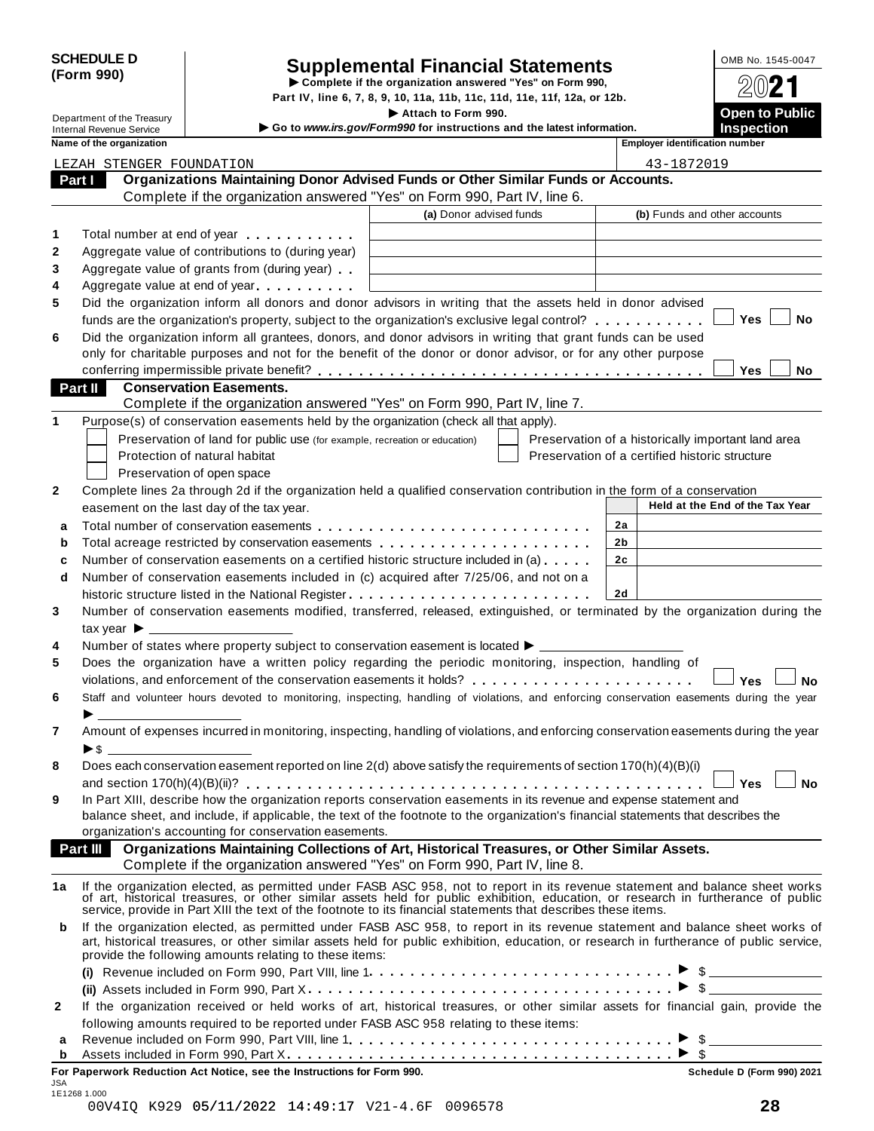|            | <b>SCHEDULE D</b> |
|------------|-------------------|
| (Form 990) |                   |

# SCHEDULE D<br>
Supplemental Financial Statements<br>
Form 990)<br>
Part IV, line 6, 7, 8, 9, 10, 11a, 11b, 11c, 11d, 11e, 11f, 12a, or 12b.<br>
Part IV, line 6, 7, 8, 9, 10, 11a, 11b, 11c, 11d, 11e, 11f, 12a, or 12b.

|              |                                                                                           |                                                                            | Part IV, line 6, 7, 8, 9, 10, 11a, 11b, 11c, 11d, 11e, 11f, 12a, or 12b.                                                                                                                                                                                                                                                                            |                                                    |                                            |
|--------------|-------------------------------------------------------------------------------------------|----------------------------------------------------------------------------|-----------------------------------------------------------------------------------------------------------------------------------------------------------------------------------------------------------------------------------------------------------------------------------------------------------------------------------------------------|----------------------------------------------------|--------------------------------------------|
|              | Department of the Treasury<br><b>Internal Revenue Service</b><br>Name of the organization |                                                                            | Attach to Form 990.<br>Go to www.irs.gov/Form990 for instructions and the latest information.                                                                                                                                                                                                                                                       | <b>Employer identification number</b>              | <b>Open to Public</b><br><b>Inspection</b> |
|              |                                                                                           |                                                                            |                                                                                                                                                                                                                                                                                                                                                     |                                                    |                                            |
|              | LEZAH STENGER FOUNDATION                                                                  |                                                                            | Organizations Maintaining Donor Advised Funds or Other Similar Funds or Accounts.                                                                                                                                                                                                                                                                   | 43-1872019                                         |                                            |
| Part I       |                                                                                           |                                                                            | Complete if the organization answered "Yes" on Form 990, Part IV, line 6.                                                                                                                                                                                                                                                                           |                                                    |                                            |
|              |                                                                                           |                                                                            | (a) Donor advised funds                                                                                                                                                                                                                                                                                                                             |                                                    | (b) Funds and other accounts               |
|              |                                                                                           |                                                                            |                                                                                                                                                                                                                                                                                                                                                     |                                                    |                                            |
| 1            |                                                                                           | Total number at end of year example.                                       |                                                                                                                                                                                                                                                                                                                                                     |                                                    |                                            |
| 2            |                                                                                           | Aggregate value of contributions to (during year)                          |                                                                                                                                                                                                                                                                                                                                                     |                                                    |                                            |
| 3            |                                                                                           | Aggregate value of grants from (during year)                               |                                                                                                                                                                                                                                                                                                                                                     |                                                    |                                            |
| 4            |                                                                                           | Aggregate value at end of year                                             |                                                                                                                                                                                                                                                                                                                                                     |                                                    |                                            |
| 5            |                                                                                           |                                                                            | Did the organization inform all donors and donor advisors in writing that the assets held in donor advised                                                                                                                                                                                                                                          |                                                    | Yes<br>No                                  |
|              |                                                                                           |                                                                            | funds are the organization's property, subject to the organization's exclusive legal control?                                                                                                                                                                                                                                                       |                                                    |                                            |
| 6            |                                                                                           |                                                                            | Did the organization inform all grantees, donors, and donor advisors in writing that grant funds can be used<br>only for charitable purposes and not for the benefit of the donor or donor advisor, or for any other purpose                                                                                                                        |                                                    |                                            |
|              |                                                                                           |                                                                            |                                                                                                                                                                                                                                                                                                                                                     |                                                    | Yes<br>No                                  |
|              | Part II                                                                                   | <b>Conservation Easements.</b>                                             |                                                                                                                                                                                                                                                                                                                                                     |                                                    |                                            |
|              |                                                                                           |                                                                            | Complete if the organization answered "Yes" on Form 990, Part IV, line 7.                                                                                                                                                                                                                                                                           |                                                    |                                            |
| 1            |                                                                                           |                                                                            | Purpose(s) of conservation easements held by the organization (check all that apply).                                                                                                                                                                                                                                                               |                                                    |                                            |
|              |                                                                                           | Preservation of land for public use (for example, recreation or education) |                                                                                                                                                                                                                                                                                                                                                     | Preservation of a historically important land area |                                            |
|              |                                                                                           | Protection of natural habitat                                              |                                                                                                                                                                                                                                                                                                                                                     | Preservation of a certified historic structure     |                                            |
|              |                                                                                           | Preservation of open space                                                 |                                                                                                                                                                                                                                                                                                                                                     |                                                    |                                            |
| $\mathbf{2}$ |                                                                                           |                                                                            | Complete lines 2a through 2d if the organization held a qualified conservation contribution in the form of a conservation                                                                                                                                                                                                                           |                                                    |                                            |
|              |                                                                                           | easement on the last day of the tax year.                                  |                                                                                                                                                                                                                                                                                                                                                     |                                                    | Held at the End of the Tax Year            |
| a            |                                                                                           |                                                                            |                                                                                                                                                                                                                                                                                                                                                     | 2a                                                 |                                            |
| b            |                                                                                           |                                                                            |                                                                                                                                                                                                                                                                                                                                                     | 2b                                                 |                                            |
| c            |                                                                                           |                                                                            | Number of conservation easements on a certified historic structure included in (a)                                                                                                                                                                                                                                                                  | 2 <sub>c</sub>                                     |                                            |
| d            |                                                                                           |                                                                            | Number of conservation easements included in (c) acquired after 7/25/06, and not on a                                                                                                                                                                                                                                                               |                                                    |                                            |
|              |                                                                                           |                                                                            |                                                                                                                                                                                                                                                                                                                                                     | 2d                                                 |                                            |
| 3            |                                                                                           |                                                                            | Number of conservation easements modified, transferred, released, extinguished, or terminated by the organization during the                                                                                                                                                                                                                        |                                                    |                                            |
|              | tax year $\blacktriangleright$ $\perp$                                                    |                                                                            |                                                                                                                                                                                                                                                                                                                                                     |                                                    |                                            |
| 4            |                                                                                           |                                                                            | Number of states where property subject to conservation easement is located ▶ _________                                                                                                                                                                                                                                                             |                                                    |                                            |
| 5            |                                                                                           |                                                                            | Does the organization have a written policy regarding the periodic monitoring, inspection, handling of                                                                                                                                                                                                                                              |                                                    |                                            |
|              |                                                                                           |                                                                            | violations, and enforcement of the conservation easements it holds?                                                                                                                                                                                                                                                                                 |                                                    | Yes<br><b>No</b>                           |
| 6            |                                                                                           |                                                                            | Staff and volunteer hours devoted to monitoring, inspecting, handling of violations, and enforcing conservation easements during the year                                                                                                                                                                                                           |                                                    |                                            |
|              |                                                                                           |                                                                            |                                                                                                                                                                                                                                                                                                                                                     |                                                    |                                            |
| 7            | $\blacktriangleright$ s $\perp$                                                           |                                                                            | Amount of expenses incurred in monitoring, inspecting, handling of violations, and enforcing conservation easements during the year                                                                                                                                                                                                                 |                                                    |                                            |
| 8            |                                                                                           |                                                                            | Does each conservation easement reported on line 2(d) above satisfy the requirements of section 170(h)(4)(B)(i)                                                                                                                                                                                                                                     |                                                    |                                            |
|              |                                                                                           |                                                                            |                                                                                                                                                                                                                                                                                                                                                     |                                                    | <b>No</b><br><b>Yes</b>                    |
| 9            |                                                                                           |                                                                            | In Part XIII, describe how the organization reports conservation easements in its revenue and expense statement and                                                                                                                                                                                                                                 |                                                    |                                            |
|              |                                                                                           |                                                                            | balance sheet, and include, if applicable, the text of the footnote to the organization's financial statements that describes the                                                                                                                                                                                                                   |                                                    |                                            |
|              |                                                                                           | organization's accounting for conservation easements.                      |                                                                                                                                                                                                                                                                                                                                                     |                                                    |                                            |
|              | <b>Part III</b>                                                                           |                                                                            | Organizations Maintaining Collections of Art, Historical Treasures, or Other Similar Assets.<br>Complete if the organization answered "Yes" on Form 990, Part IV, line 8.                                                                                                                                                                           |                                                    |                                            |
| 1a           |                                                                                           |                                                                            | If the organization elected, as permitted under FASB ASC 958, not to report in its revenue statement and balance sheet works<br>of art, historical treasures, or other similar assets held for public exhibition, education, or r<br>service, provide in Part XIII the text of the footnote to its financial statements that describes these items. |                                                    |                                            |
| b            |                                                                                           | provide the following amounts relating to these items:                     | If the organization elected, as permitted under FASB ASC 958, to report in its revenue statement and balance sheet works of<br>art, historical treasures, or other similar assets held for public exhibition, education, or research in furtherance of public service,                                                                              |                                                    |                                            |
|              |                                                                                           |                                                                            |                                                                                                                                                                                                                                                                                                                                                     |                                                    |                                            |
|              |                                                                                           |                                                                            |                                                                                                                                                                                                                                                                                                                                                     |                                                    |                                            |
| $\mathbf{2}$ |                                                                                           |                                                                            | If the organization received or held works of art, historical treasures, or other similar assets for financial gain, provide the                                                                                                                                                                                                                    |                                                    |                                            |
|              |                                                                                           |                                                                            | following amounts required to be reported under FASB ASC 958 relating to these items:                                                                                                                                                                                                                                                               |                                                    |                                            |
| a            |                                                                                           |                                                                            |                                                                                                                                                                                                                                                                                                                                                     |                                                    |                                            |
| b            |                                                                                           |                                                                            |                                                                                                                                                                                                                                                                                                                                                     |                                                    |                                            |

**For Paperwork Reduction Act Notice, see the Instructions for Form 990. Schedule D (Form 990) 2021**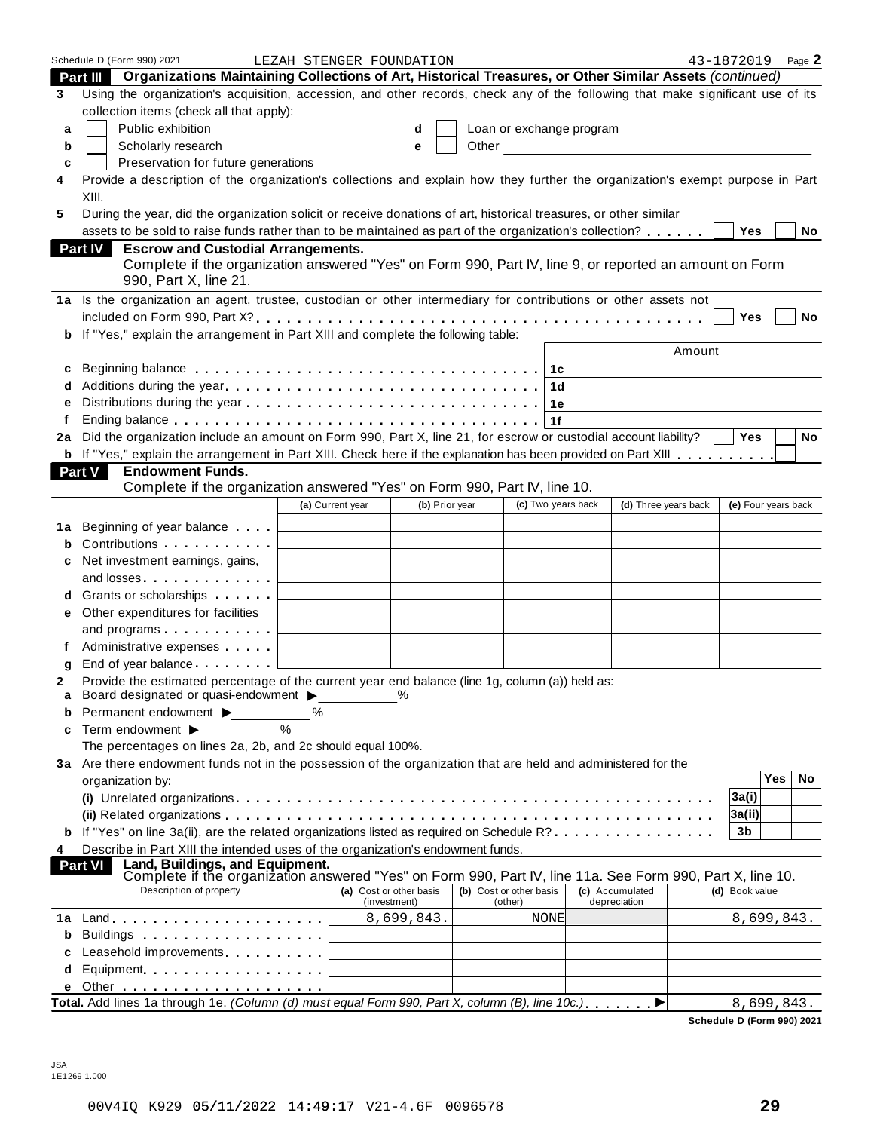|    | Schedule D (Form 990) 2021                                                                                                                                                  | LEZAH STENGER FOUNDATION              |                |                          |                        | 43-1872019          |            | Page 2    |
|----|-----------------------------------------------------------------------------------------------------------------------------------------------------------------------------|---------------------------------------|----------------|--------------------------|------------------------|---------------------|------------|-----------|
|    | Part III Organizations Maintaining Collections of Art, Historical Treasures, or Other Similar Assets (continued)                                                            |                                       |                |                          |                        |                     |            |           |
| 3  | Using the organization's acquisition, accession, and other records, check any of the following that make significant use of its<br>collection items (check all that apply): |                                       |                |                          |                        |                     |            |           |
| a  | Public exhibition                                                                                                                                                           |                                       | d              | Loan or exchange program |                        |                     |            |           |
|    |                                                                                                                                                                             |                                       |                |                          |                        |                     |            |           |
| b  | Scholarly research                                                                                                                                                          |                                       | e              |                          | Other <u>contracts</u> |                     |            |           |
| c  | Preservation for future generations                                                                                                                                         |                                       |                |                          |                        |                     |            |           |
| 4  | Provide a description of the organization's collections and explain how they further the organization's exempt purpose in Part<br>XIII.                                     |                                       |                |                          |                        |                     |            |           |
| 5  | During the year, did the organization solicit or receive donations of art, historical treasures, or other similar                                                           |                                       |                |                          |                        |                     |            |           |
|    | assets to be sold to raise funds rather than to be maintained as part of the organization's collection?                                                                     |                                       |                |                          |                        | Yes                 |            | No        |
|    |                                                                                                                                                                             |                                       |                |                          |                        |                     |            |           |
|    | <b>Escrow and Custodial Arrangements.</b><br><b>Part IV</b><br>Complete if the organization answered "Yes" on Form 990, Part IV, line 9, or reported an amount on Form      |                                       |                |                          |                        |                     |            |           |
|    | 990, Part X, line 21.                                                                                                                                                       |                                       |                |                          |                        |                     |            |           |
|    | 1a Is the organization an agent, trustee, custodian or other intermediary for contributions or other assets not                                                             |                                       |                |                          |                        |                     |            |           |
|    |                                                                                                                                                                             |                                       |                |                          |                        | Yes                 |            | No        |
| b  | If "Yes," explain the arrangement in Part XIII and complete the following table:                                                                                            |                                       |                |                          |                        |                     |            |           |
|    |                                                                                                                                                                             |                                       |                |                          | Amount                 |                     |            |           |
| c  |                                                                                                                                                                             |                                       |                |                          |                        |                     |            |           |
|    |                                                                                                                                                                             |                                       |                | 1d                       |                        |                     |            |           |
| e  |                                                                                                                                                                             |                                       |                | 1е                       |                        |                     |            |           |
|    |                                                                                                                                                                             |                                       |                | 1f                       |                        |                     |            |           |
| 2a | Did the organization include an amount on Form 990, Part X, line 21, for escrow or custodial account liability?                                                             |                                       |                |                          |                        | <b>Yes</b>          |            | <b>No</b> |
|    | b If "Yes," explain the arrangement in Part XIII. Check here if the explanation has been provided on Part XIII                                                              |                                       |                |                          |                        |                     |            |           |
|    | <b>Endowment Funds.</b><br>Part V                                                                                                                                           |                                       |                |                          |                        |                     |            |           |
|    | Complete if the organization answered "Yes" on Form 990, Part IV, line 10.                                                                                                  |                                       |                |                          |                        |                     |            |           |
|    |                                                                                                                                                                             | (a) Current year                      | (b) Prior year | (c) Two years back       | (d) Three years back   | (e) Four years back |            |           |
|    |                                                                                                                                                                             |                                       |                |                          |                        |                     |            |           |
| 1a | Beginning of year balance $\qquad \qquad \downarrow$                                                                                                                        |                                       |                |                          |                        |                     |            |           |
| b  | Contributions <b>Contributions</b>                                                                                                                                          |                                       |                |                          |                        |                     |            |           |
| c  | Net investment earnings, gains,                                                                                                                                             |                                       |                |                          |                        |                     |            |           |
|    | and losses $\ldots$ $\ldots$ $\ldots$ $\ldots$                                                                                                                              |                                       |                |                          |                        |                     |            |           |
| d  | Grants or scholarships                                                                                                                                                      |                                       |                |                          |                        |                     |            |           |
|    | e Other expenditures for facilities                                                                                                                                         |                                       |                |                          |                        |                     |            |           |
|    | and programs $\ldots \ldots \ldots$                                                                                                                                         |                                       |                |                          |                        |                     |            |           |
| f  | Administrative expenses L                                                                                                                                                   |                                       |                |                          |                        |                     |            |           |
| g  | End of year balance $\ldots \ldots \ldots \sqcup$                                                                                                                           |                                       |                |                          |                        |                     |            |           |
| 2  | Provide the estimated percentage of the current year end balance (line 1g, column (a)) held as:                                                                             |                                       | $\frac{0}{0}$  |                          |                        |                     |            |           |
| а  | Board designated or quasi-endowment >                                                                                                                                       |                                       |                |                          |                        |                     |            |           |
| b  | Permanent endowment ▶<br>%                                                                                                                                                  | %                                     |                |                          |                        |                     |            |           |
| c  | Term endowment ▶                                                                                                                                                            |                                       |                |                          |                        |                     |            |           |
|    | The percentages on lines 2a, 2b, and 2c should equal 100%.                                                                                                                  |                                       |                |                          |                        |                     |            |           |
|    | 3a Are there endowment funds not in the possession of the organization that are held and administered for the                                                               |                                       |                |                          |                        |                     | <b>Yes</b> | No        |
|    | organization by:                                                                                                                                                            |                                       |                |                          |                        |                     |            |           |
|    |                                                                                                                                                                             |                                       |                |                          |                        | 3a(i)               |            |           |
|    |                                                                                                                                                                             |                                       |                |                          |                        | 3a(ii)              |            |           |
|    | If "Yes" on line 3a(ii), are the related organizations listed as required on Schedule R?                                                                                    |                                       |                |                          |                        | 3 <sub>b</sub>      |            |           |
| 4  | Describe in Part XIII the intended uses of the organization's endowment funds.                                                                                              |                                       |                |                          |                        |                     |            |           |
|    | Land, Buildings, and Equipment.<br><b>Part VI</b><br>Complete if the organization answered "Yes" on Form 990, Part IV, line 11a. See Form 990, Part X, line 10.             |                                       |                |                          |                        |                     |            |           |
|    | Description of property                                                                                                                                                     | (a) Cost or other basis               |                | (b) Cost or other basis  | (c) Accumulated        | (d) Book value      |            |           |
|    |                                                                                                                                                                             |                                       | (investment)   | (other)                  | depreciation           |                     |            |           |
| 1a | $Land.$                                                                                                                                                                     |                                       | 8,699,843.     | NONE                     |                        |                     | 8,699,843. |           |
| b  |                                                                                                                                                                             | and the control of the control of the |                |                          |                        |                     |            |           |
| c  | Leasehold improvements <b>Leasehold</b> improvements                                                                                                                        |                                       |                |                          |                        |                     |            |           |
| d  |                                                                                                                                                                             |                                       |                |                          |                        |                     |            |           |
| e  |                                                                                                                                                                             |                                       |                |                          |                        |                     |            |           |
|    | Total. Add lines 1a through 1e. (Column (d) must equal Form 990, Part X, column (B), line 10c.).                                                                            |                                       |                |                          |                        |                     | 8,699,843. |           |

**Schedule D (Form 990) 2021**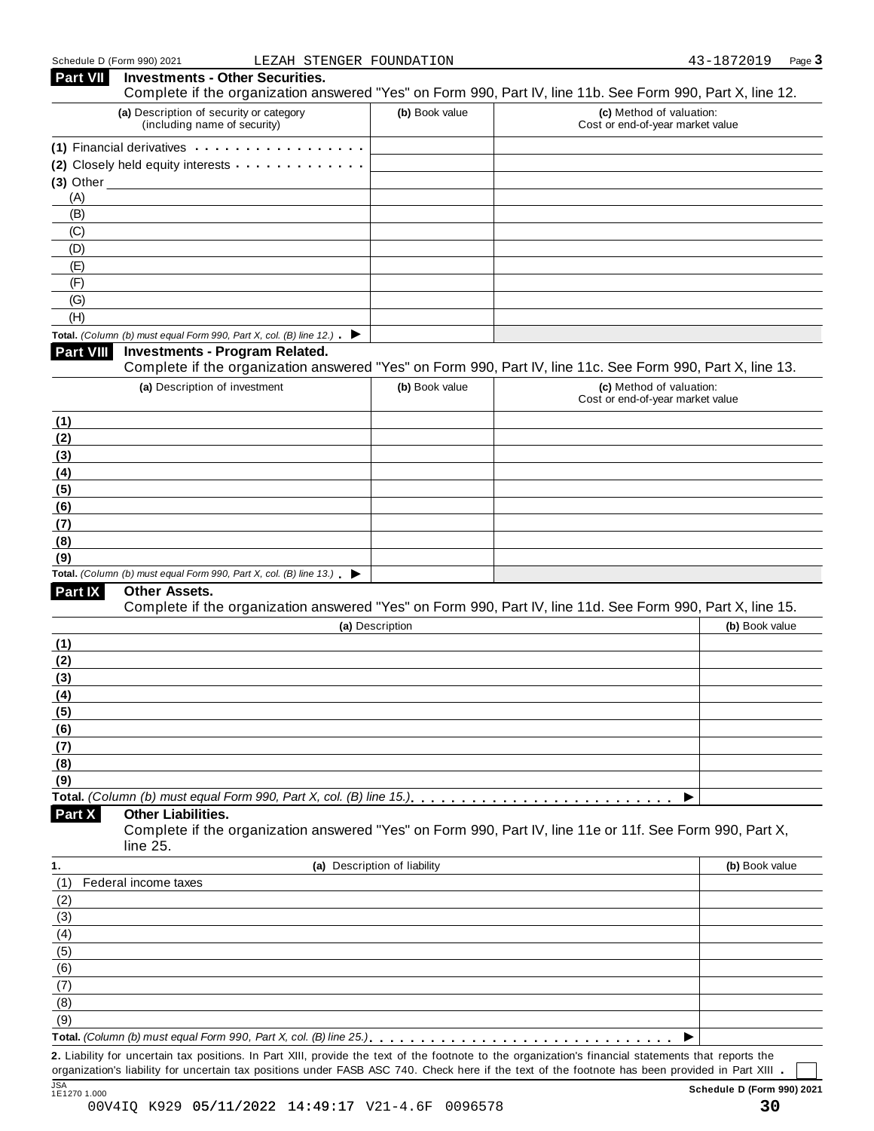| <b>Part VII</b>  | <b>Investments - Other Securities.</b><br>Complete if the organization answered "Yes" on Form 990, Part IV, line 11b. See Form 990, Part X, line 12.                                                                          |                              |                                                              |                |
|------------------|-------------------------------------------------------------------------------------------------------------------------------------------------------------------------------------------------------------------------------|------------------------------|--------------------------------------------------------------|----------------|
|                  | (a) Description of security or category<br>(including name of security)                                                                                                                                                       | (b) Book value               | (c) Method of valuation:<br>Cost or end-of-year market value |                |
|                  | (1) Financial derivatives experiences and the set of the set of the set of the set of the set of the set of the set of the set of the set of the set of the set of the set of the set of the set of the set of the set of the |                              |                                                              |                |
|                  | (2) Closely held equity interests                                                                                                                                                                                             |                              |                                                              |                |
|                  | $(3)$ Other                                                                                                                                                                                                                   |                              |                                                              |                |
| (A)              |                                                                                                                                                                                                                               |                              |                                                              |                |
| (B)              |                                                                                                                                                                                                                               |                              |                                                              |                |
| (C)              |                                                                                                                                                                                                                               |                              |                                                              |                |
| (D)              |                                                                                                                                                                                                                               |                              |                                                              |                |
| (E)<br>(F)       |                                                                                                                                                                                                                               |                              |                                                              |                |
| (G)              |                                                                                                                                                                                                                               |                              |                                                              |                |
| (H)              |                                                                                                                                                                                                                               |                              |                                                              |                |
|                  | Total. (Column (b) must equal Form 990, Part X, col. (B) line 12.) $\blacktriangleright$                                                                                                                                      |                              |                                                              |                |
| <b>Part VIII</b> | <b>Investments - Program Related.</b>                                                                                                                                                                                         |                              |                                                              |                |
|                  | Complete if the organization answered "Yes" on Form 990, Part IV, line 11c. See Form 990, Part X, line 13.                                                                                                                    |                              |                                                              |                |
|                  | (a) Description of investment                                                                                                                                                                                                 | (b) Book value               | (c) Method of valuation:<br>Cost or end-of-year market value |                |
| (1)              |                                                                                                                                                                                                                               |                              |                                                              |                |
| (2)              |                                                                                                                                                                                                                               |                              |                                                              |                |
| (3)<br>(4)       |                                                                                                                                                                                                                               |                              |                                                              |                |
| (5)              |                                                                                                                                                                                                                               |                              |                                                              |                |
| (6)              |                                                                                                                                                                                                                               |                              |                                                              |                |
| (7)              |                                                                                                                                                                                                                               |                              |                                                              |                |
| (8)              |                                                                                                                                                                                                                               |                              |                                                              |                |
| (9)              |                                                                                                                                                                                                                               |                              |                                                              |                |
|                  | Total. (Column (b) must equal Form 990, Part X, col. (B) line $13$ .)                                                                                                                                                         |                              |                                                              |                |
| Part IX          | Other Assets.<br>Complete if the organization answered "Yes" on Form 990, Part IV, line 11d. See Form 990, Part X, line 15.                                                                                                   |                              |                                                              |                |
|                  |                                                                                                                                                                                                                               | (a) Description              |                                                              | (b) Book value |
| (1)              |                                                                                                                                                                                                                               |                              |                                                              |                |
| (2)              |                                                                                                                                                                                                                               |                              |                                                              |                |
| (3)              |                                                                                                                                                                                                                               |                              |                                                              |                |
| (4)              |                                                                                                                                                                                                                               |                              |                                                              |                |
| (5)              |                                                                                                                                                                                                                               |                              |                                                              |                |
| (6)              |                                                                                                                                                                                                                               |                              |                                                              |                |
| (7)              |                                                                                                                                                                                                                               |                              |                                                              |                |
| (8)              |                                                                                                                                                                                                                               |                              |                                                              |                |
| (9)              |                                                                                                                                                                                                                               |                              |                                                              |                |
| Part X           | <b>Other Liabilities.</b><br>Complete if the organization answered "Yes" on Form 990, Part IV, line 11e or 11f. See Form 990, Part X,                                                                                         |                              |                                                              |                |
| 1.               | line 25.                                                                                                                                                                                                                      |                              |                                                              |                |
|                  |                                                                                                                                                                                                                               | (a) Description of liability |                                                              | (b) Book value |
| (1)              | Federal income taxes                                                                                                                                                                                                          |                              |                                                              |                |
| (2)              |                                                                                                                                                                                                                               |                              |                                                              |                |
| (3)              |                                                                                                                                                                                                                               |                              |                                                              |                |
| (4)              |                                                                                                                                                                                                                               |                              |                                                              |                |
| (5)              |                                                                                                                                                                                                                               |                              |                                                              |                |
| (6)              |                                                                                                                                                                                                                               |                              |                                                              |                |
| (7)              |                                                                                                                                                                                                                               |                              |                                                              |                |
| (8)<br>(9)       |                                                                                                                                                                                                                               |                              |                                                              |                |
|                  |                                                                                                                                                                                                                               |                              |                                                              |                |
|                  | 2. Liability for uncertain tax positions. In Part XIII, provide the text of the footnote to the organization's financial statements that reports the                                                                          |                              |                                                              |                |
|                  |                                                                                                                                                                                                                               |                              |                                                              |                |

organization's liability for uncertain tax positions under FASB ASC 740. Check here if the text of the footnote has been provided in Part XIII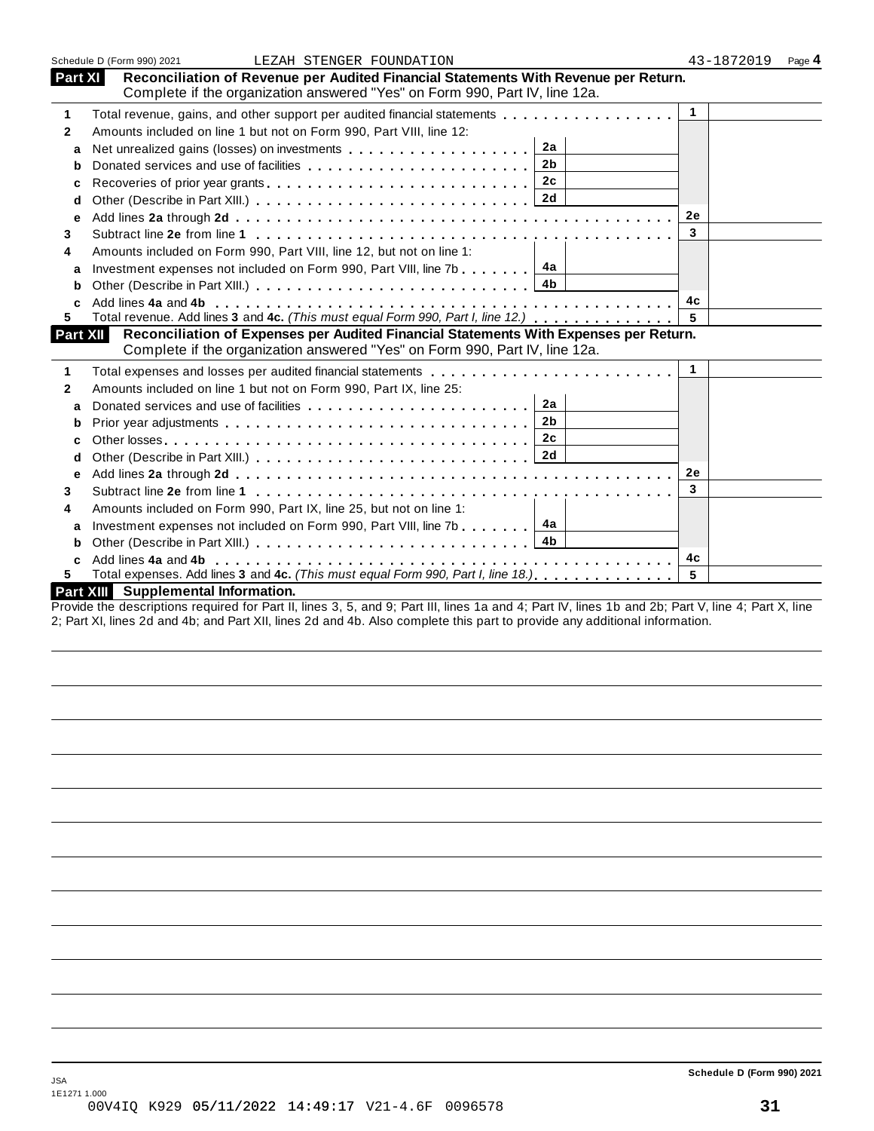|              | Schedule D (Form 990) 2021<br>LEZAH STENGER FOUNDATION                                                                                                                                                             |                 | 43-1872019 | Page 4 |
|--------------|--------------------------------------------------------------------------------------------------------------------------------------------------------------------------------------------------------------------|-----------------|------------|--------|
| Part XI      | Reconciliation of Revenue per Audited Financial Statements With Revenue per Return.                                                                                                                                |                 |            |        |
|              | Complete if the organization answered "Yes" on Form 990, Part IV, line 12a.                                                                                                                                        |                 |            |        |
| 1            | Total revenue, gains, and other support per audited financial statements                                                                                                                                           | $\overline{1}$  |            |        |
| $\mathbf{2}$ | Amounts included on line 1 but not on Form 990, Part VIII, line 12:                                                                                                                                                |                 |            |        |
| a            | 2a                                                                                                                                                                                                                 |                 |            |        |
| b            | 2 <sub>b</sub>                                                                                                                                                                                                     |                 |            |        |
| c            | 2c                                                                                                                                                                                                                 |                 |            |        |
| d            |                                                                                                                                                                                                                    |                 |            |        |
| е            |                                                                                                                                                                                                                    | <b>2e</b>       |            |        |
| 3            |                                                                                                                                                                                                                    | 3               |            |        |
| 4            | Amounts included on Form 990, Part VIII, line 12, but not on line 1:                                                                                                                                               |                 |            |        |
| a            | 4a<br>Investment expenses not included on Form 990, Part VIII, line 7b                                                                                                                                             |                 |            |        |
| b            | 4 <sub>b</sub>                                                                                                                                                                                                     |                 |            |        |
|              |                                                                                                                                                                                                                    | 4с              |            |        |
| 5.           | Total revenue. Add lines 3 and 4c. (This must equal Form 990, Part I, line 12.)                                                                                                                                    |                 |            |        |
| Part XII     | Reconciliation of Expenses per Audited Financial Statements With Expenses per Return.                                                                                                                              |                 |            |        |
|              | Complete if the organization answered "Yes" on Form 990, Part IV, line 12a.                                                                                                                                        |                 |            |        |
| 1            |                                                                                                                                                                                                                    | $\overline{1}$  |            |        |
| $\mathbf{2}$ | Amounts included on line 1 but not on Form 990, Part IX, line 25:                                                                                                                                                  |                 |            |        |
| a            | 2a<br>Donated services and use of facilities<br>expansion of the services and use of facilities<br>Services<br>1990<br>1991<br>1991<br>1991<br>1991<br>1991<br>1991<br>1991<br>1991<br>1991<br>1991<br>1991<br>199 |                 |            |        |
| b            | 2 <sub>b</sub>                                                                                                                                                                                                     |                 |            |        |
| c            | 2c                                                                                                                                                                                                                 |                 |            |        |
| d            |                                                                                                                                                                                                                    |                 |            |        |
| е            |                                                                                                                                                                                                                    | <b>2e</b>       |            |        |
| 3            |                                                                                                                                                                                                                    | 3               |            |        |
| 4            | Amounts included on Form 990, Part IX, line 25, but not on line 1:                                                                                                                                                 |                 |            |        |
| a            | Investment expenses not included on Form 990, Part VIII, line 7b 4a                                                                                                                                                |                 |            |        |
| b            |                                                                                                                                                                                                                    |                 |            |        |
|              |                                                                                                                                                                                                                    | 4c              |            |        |
| 5            | Total expenses. Add lines 3 and 4c. (This must equal Form 990, Part I, line 18.)                                                                                                                                   | $5\overline{5}$ |            |        |
|              | Part XIII Supplemental Information.                                                                                                                                                                                |                 |            |        |

Provide the descriptions required for Part II, lines 3, 5, and 9; Part III, lines 1a and 4; Part IV, lines 1b and 2b; Part V, line 4; Part X, line 2; Part XI, lines 2d and 4b; and Part XII, lines 2d and 4b. Also complete this part to provide any additional information.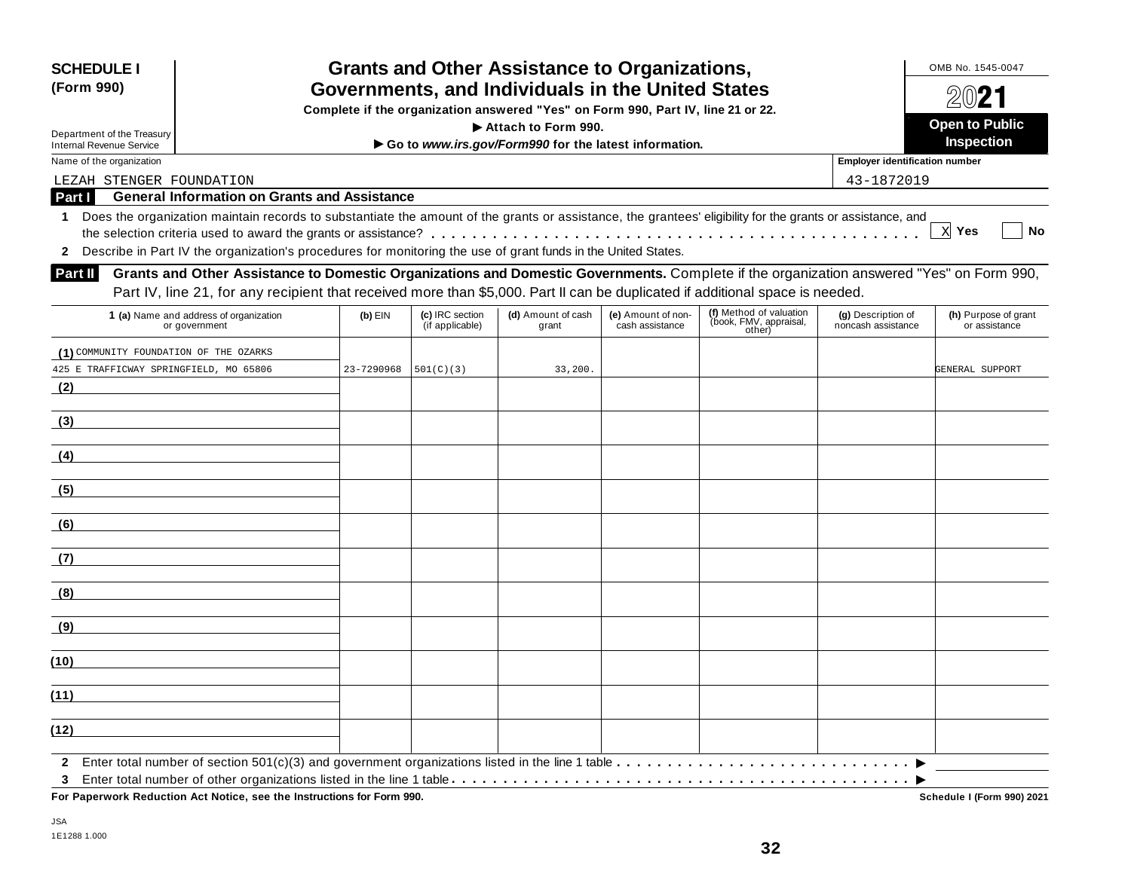| <b>SCHEDULE I</b><br>(Form 990)                                                                                                                                                                                                                                                      |                                                                                  | OMB No. 1545-0047<br>2021          |                                                       |                                       |                                                             |                                          |                                            |
|--------------------------------------------------------------------------------------------------------------------------------------------------------------------------------------------------------------------------------------------------------------------------------------|----------------------------------------------------------------------------------|------------------------------------|-------------------------------------------------------|---------------------------------------|-------------------------------------------------------------|------------------------------------------|--------------------------------------------|
|                                                                                                                                                                                                                                                                                      | Complete if the organization answered "Yes" on Form 990, Part IV, line 21 or 22. |                                    |                                                       |                                       |                                                             |                                          |                                            |
| Department of the Treasury                                                                                                                                                                                                                                                           |                                                                                  |                                    | Attach to Form 990.                                   |                                       |                                                             |                                          | <b>Open to Public</b><br><b>Inspection</b> |
| <b>Internal Revenue Service</b>                                                                                                                                                                                                                                                      |                                                                                  |                                    | Go to www.irs.gov/Form990 for the latest information. |                                       |                                                             |                                          |                                            |
| Name of the organization                                                                                                                                                                                                                                                             |                                                                                  |                                    |                                                       |                                       |                                                             | <b>Employer identification number</b>    |                                            |
| LEZAH STENGER FOUNDATION<br><b>General Information on Grants and Assistance</b>                                                                                                                                                                                                      |                                                                                  |                                    |                                                       |                                       |                                                             | 43-1872019                               |                                            |
| Part I                                                                                                                                                                                                                                                                               |                                                                                  |                                    |                                                       |                                       |                                                             |                                          |                                            |
| Does the organization maintain records to substantiate the amount of the grants or assistance, the grantees' eligibility for the grants or assistance, and<br>1.                                                                                                                     |                                                                                  |                                    |                                                       |                                       |                                                             |                                          | $X$ Yes<br><b>No</b>                       |
| Describe in Part IV the organization's procedures for monitoring the use of grant funds in the United States.                                                                                                                                                                        |                                                                                  |                                    |                                                       |                                       |                                                             |                                          |                                            |
| Grants and Other Assistance to Domestic Organizations and Domestic Governments. Complete if the organization answered "Yes" on Form 990,<br>Part II<br>Part IV, line 21, for any recipient that received more than \$5,000. Part II can be duplicated if additional space is needed. |                                                                                  |                                    |                                                       |                                       |                                                             |                                          |                                            |
| 1 (a) Name and address of organization<br>or government                                                                                                                                                                                                                              | $(b)$ EIN                                                                        | (c) IRC section<br>(if applicable) | (d) Amount of cash<br>grant                           | (e) Amount of non-<br>cash assistance | (f) Method of valuation<br>(book, FMV, appraisal,<br>other) | (g) Description of<br>noncash assistance | (h) Purpose of grant<br>or assistance      |
| (1) COMMUNITY FOUNDATION OF THE OZARKS                                                                                                                                                                                                                                               |                                                                                  |                                    |                                                       |                                       |                                                             |                                          |                                            |
| 425 E TRAFFICWAY SPRINGFIELD, MO 65806                                                                                                                                                                                                                                               | 23-7290968                                                                       | 501(C) (3)                         | 33,200.                                               |                                       |                                                             |                                          | GENERAL SUPPORT                            |
| (2)                                                                                                                                                                                                                                                                                  |                                                                                  |                                    |                                                       |                                       |                                                             |                                          |                                            |
|                                                                                                                                                                                                                                                                                      |                                                                                  |                                    |                                                       |                                       |                                                             |                                          |                                            |
| (3)                                                                                                                                                                                                                                                                                  |                                                                                  |                                    |                                                       |                                       |                                                             |                                          |                                            |
| (4)                                                                                                                                                                                                                                                                                  |                                                                                  |                                    |                                                       |                                       |                                                             |                                          |                                            |
| (5)                                                                                                                                                                                                                                                                                  |                                                                                  |                                    |                                                       |                                       |                                                             |                                          |                                            |
| (6)                                                                                                                                                                                                                                                                                  |                                                                                  |                                    |                                                       |                                       |                                                             |                                          |                                            |
| (7)                                                                                                                                                                                                                                                                                  |                                                                                  |                                    |                                                       |                                       |                                                             |                                          |                                            |
| (8)                                                                                                                                                                                                                                                                                  |                                                                                  |                                    |                                                       |                                       |                                                             |                                          |                                            |
| (9)                                                                                                                                                                                                                                                                                  |                                                                                  |                                    |                                                       |                                       |                                                             |                                          |                                            |
| (10)                                                                                                                                                                                                                                                                                 |                                                                                  |                                    |                                                       |                                       |                                                             |                                          |                                            |
| (11)                                                                                                                                                                                                                                                                                 |                                                                                  |                                    |                                                       |                                       |                                                             |                                          |                                            |
| (12)                                                                                                                                                                                                                                                                                 |                                                                                  |                                    |                                                       |                                       |                                                             |                                          |                                            |
| $\mathbf{2}$                                                                                                                                                                                                                                                                         |                                                                                  |                                    |                                                       |                                       |                                                             |                                          |                                            |

**For Paperwork Reduction Act Notice, see the Instructions for Form 990. Schedule I (Form 990) 2021**

Schedule I (Form 990) 2021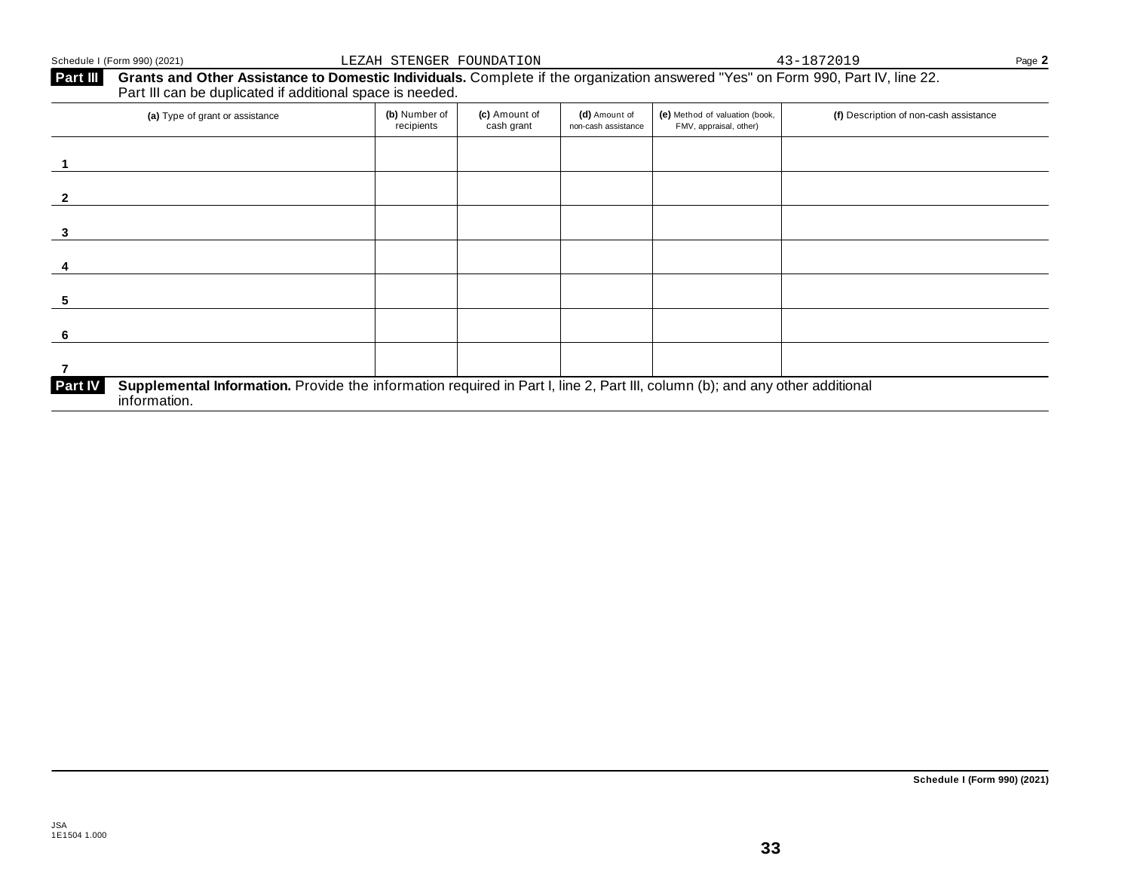#### Schedule I (Form 990) (2021) Page **2** LEZAH STENGER FOUNDATION 43-1872019

### **Part III** Grants and Other Assistance to Domestic Individuals. Complete if the organization answered "Yes" on Form 990, Part IV, line 22.<br>Part III can be duplicated if additional space is needed.

| (a) Type of grant or assistance                                                                                                                                | (b) Number of<br>recipients | (c) Amount of<br>cash grant | (d) Amount of<br>non-cash assistance | (e) Method of valuation (book,<br>FMV, appraisal, other) | (f) Description of non-cash assistance |
|----------------------------------------------------------------------------------------------------------------------------------------------------------------|-----------------------------|-----------------------------|--------------------------------------|----------------------------------------------------------|----------------------------------------|
|                                                                                                                                                                |                             |                             |                                      |                                                          |                                        |
|                                                                                                                                                                |                             |                             |                                      |                                                          |                                        |
|                                                                                                                                                                |                             |                             |                                      |                                                          |                                        |
|                                                                                                                                                                |                             |                             |                                      |                                                          |                                        |
| 5                                                                                                                                                              |                             |                             |                                      |                                                          |                                        |
| 6                                                                                                                                                              |                             |                             |                                      |                                                          |                                        |
|                                                                                                                                                                |                             |                             |                                      |                                                          |                                        |
| Supplemental Information. Provide the information required in Part I, line 2, Part III, column (b); and any other additional<br><b>Part IV</b><br>information. |                             |                             |                                      |                                                          |                                        |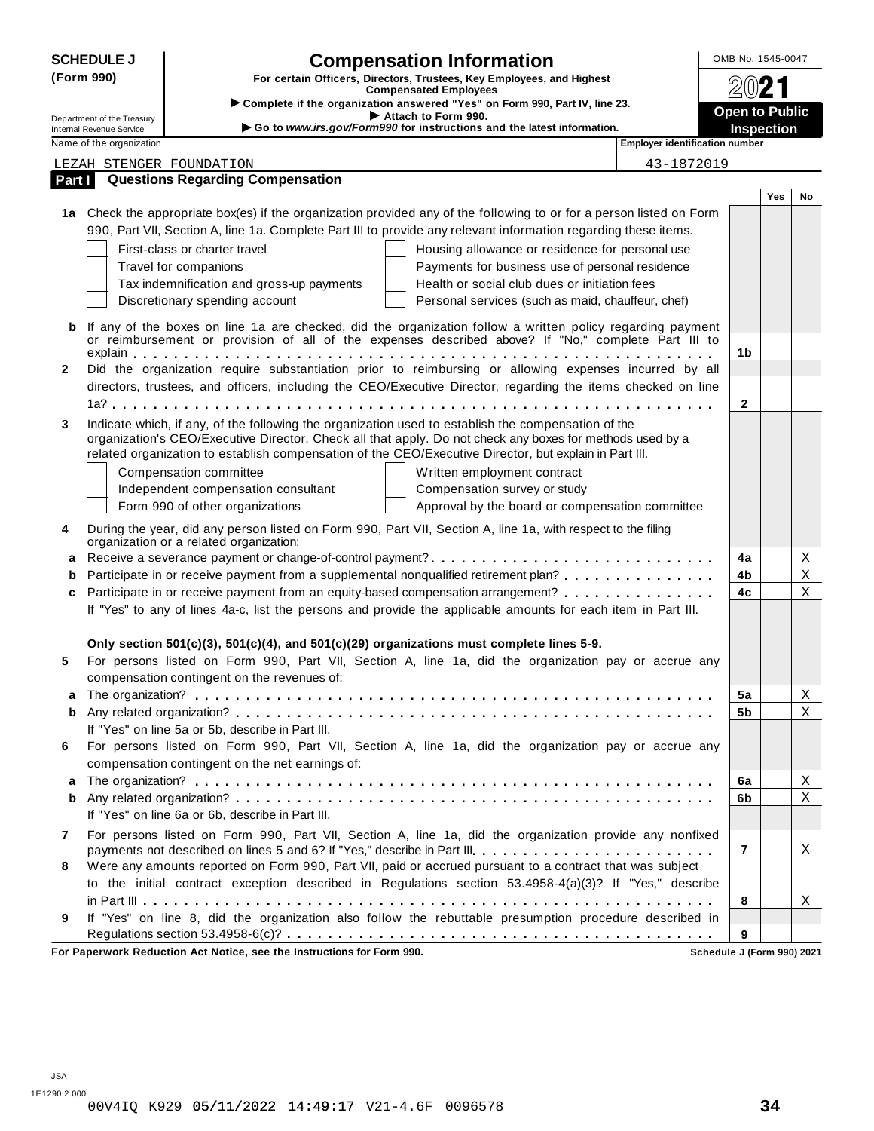|              | <b>SCHEDULE J</b>                                      | <b>Compensation Information</b>                                                                                                                                                                                                         | OMB No. 1545-0047                          |     |    |
|--------------|--------------------------------------------------------|-----------------------------------------------------------------------------------------------------------------------------------------------------------------------------------------------------------------------------------------|--------------------------------------------|-----|----|
| (Form 990)   |                                                        | For certain Officers, Directors, Trustees, Key Employees, and Highest                                                                                                                                                                   | 2021                                       |     |    |
|              |                                                        | <b>Compensated Employees</b><br>Complete if the organization answered "Yes" on Form 990, Part IV, line 23.                                                                                                                              |                                            |     |    |
|              | Department of the Treasury<br>Internal Revenue Service | Attach to Form 990.<br>Go to www.irs.gov/Form990 for instructions and the latest information.                                                                                                                                           | <b>Open to Public</b><br><b>Inspection</b> |     |    |
|              | Name of the organization                               | <b>Employer identification number</b>                                                                                                                                                                                                   |                                            |     |    |
|              |                                                        | 43-1872019<br>LEZAH STENGER FOUNDATION                                                                                                                                                                                                  |                                            |     |    |
| Part I       |                                                        | <b>Questions Regarding Compensation</b>                                                                                                                                                                                                 |                                            |     |    |
|              |                                                        |                                                                                                                                                                                                                                         |                                            | Yes | No |
|              |                                                        | 1a Check the appropriate box(es) if the organization provided any of the following to or for a person listed on Form<br>990, Part VII, Section A, line 1a. Complete Part III to provide any relevant information regarding these items. |                                            |     |    |
|              |                                                        | First-class or charter travel<br>Housing allowance or residence for personal use                                                                                                                                                        |                                            |     |    |
|              |                                                        | Payments for business use of personal residence<br>Travel for companions                                                                                                                                                                |                                            |     |    |
|              |                                                        | Health or social club dues or initiation fees<br>Tax indemnification and gross-up payments                                                                                                                                              |                                            |     |    |
|              |                                                        | Discretionary spending account<br>Personal services (such as maid, chauffeur, chef)                                                                                                                                                     |                                            |     |    |
|              |                                                        | If any of the boxes on line 1a are checked, did the organization follow a written policy regarding payment                                                                                                                              |                                            |     |    |
| b            |                                                        | or reimbursement or provision of all of the expenses described above? If "No," complete Part III to                                                                                                                                     |                                            |     |    |
|              |                                                        |                                                                                                                                                                                                                                         | 1b                                         |     |    |
| $\mathbf{2}$ |                                                        | Did the organization require substantiation prior to reimbursing or allowing expenses incurred by all                                                                                                                                   |                                            |     |    |
|              |                                                        | directors, trustees, and officers, including the CEO/Executive Director, regarding the items checked on line                                                                                                                            |                                            |     |    |
|              |                                                        |                                                                                                                                                                                                                                         | $\mathbf{2}$                               |     |    |
| 3            |                                                        | Indicate which, if any, of the following the organization used to establish the compensation of the<br>organization's CEO/Executive Director. Check all that apply. Do not check any boxes for methods used by a                        |                                            |     |    |
|              |                                                        | related organization to establish compensation of the CEO/Executive Director, but explain in Part III.                                                                                                                                  |                                            |     |    |
|              |                                                        | Compensation committee<br>Written employment contract                                                                                                                                                                                   |                                            |     |    |
|              |                                                        | Independent compensation consultant<br>Compensation survey or study                                                                                                                                                                     |                                            |     |    |
|              |                                                        | Form 990 of other organizations<br>Approval by the board or compensation committee                                                                                                                                                      |                                            |     |    |
| 4            |                                                        | During the year, did any person listed on Form 990, Part VII, Section A, line 1a, with respect to the filing<br>organization or a related organization:                                                                                 |                                            |     |    |
| a            |                                                        |                                                                                                                                                                                                                                         | 4a                                         |     | X  |
| b            |                                                        | Participate in or receive payment from a supplemental nonqualified retirement plan?                                                                                                                                                     | 4b                                         |     | X  |
| c            |                                                        | Participate in or receive payment from an equity-based compensation arrangement?                                                                                                                                                        | 4c                                         |     | X  |
|              |                                                        | If "Yes" to any of lines 4a-c, list the persons and provide the applicable amounts for each item in Part III.                                                                                                                           |                                            |     |    |
|              |                                                        | Only section $501(c)(3)$ , $501(c)(4)$ , and $501(c)(29)$ organizations must complete lines 5-9.                                                                                                                                        |                                            |     |    |
| 5            |                                                        | For persons listed on Form 990, Part VII, Section A, line 1a, did the organization pay or accrue any                                                                                                                                    |                                            |     |    |
|              |                                                        | compensation contingent on the revenues of:                                                                                                                                                                                             |                                            |     |    |
| a            |                                                        |                                                                                                                                                                                                                                         | 5a                                         |     | X  |
| b            |                                                        |                                                                                                                                                                                                                                         | 5b                                         |     | X  |
| 6            |                                                        | If "Yes" on line 5a or 5b, describe in Part III.<br>For persons listed on Form 990, Part VII, Section A, line 1a, did the organization pay or accrue any                                                                                |                                            |     |    |
|              |                                                        | compensation contingent on the net earnings of:                                                                                                                                                                                         |                                            |     |    |
| a            |                                                        |                                                                                                                                                                                                                                         | 6a                                         |     | X  |
| b            |                                                        |                                                                                                                                                                                                                                         | 6b                                         |     | X  |
|              |                                                        | If "Yes" on line 6a or 6b, describe in Part III.                                                                                                                                                                                        |                                            |     |    |
| 7            |                                                        | For persons listed on Form 990, Part VII, Section A, line 1a, did the organization provide any nonfixed                                                                                                                                 |                                            |     |    |
|              |                                                        | payments not described on lines 5 and 6? If "Yes," describe in Part III.                                                                                                                                                                | $\overline{7}$                             |     | X  |
| 8            |                                                        | Were any amounts reported on Form 990, Part VII, paid or accrued pursuant to a contract that was subject                                                                                                                                |                                            |     |    |
|              |                                                        | to the initial contract exception described in Regulations section 53.4958-4(a)(3)? If "Yes," describe                                                                                                                                  |                                            |     |    |
|              |                                                        |                                                                                                                                                                                                                                         | 8                                          |     | X  |
| 9            |                                                        | If "Yes" on line 8, did the organization also follow the rebuttable presumption procedure described in                                                                                                                                  |                                            |     |    |
|              |                                                        |                                                                                                                                                                                                                                         | 9                                          |     |    |

**For Paperwork Reduction Act Notice, see the Instructions for Form 990. Schedule J (Form 990) 2021**

JSA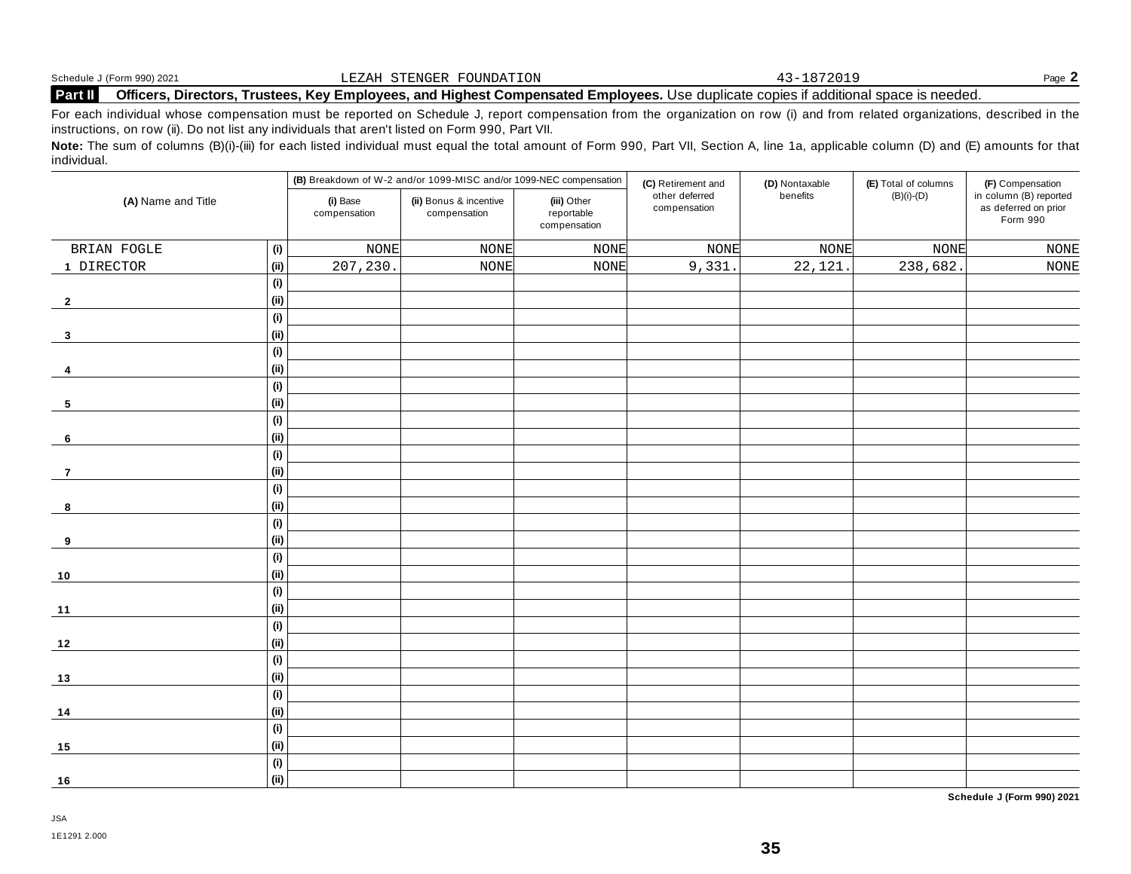|                | Schedule J (Form 990) 2021 | FOUNDATION<br>TENGER <sup>-</sup><br>⊐EZAH -                                                                      | $\sim$ | $P$ age. |
|----------------|----------------------------|-------------------------------------------------------------------------------------------------------------------|--------|----------|
| <b>Part II</b> | Officers.<br>Directors.    | . Trustees, Kev Emplovees, and Highest Compensated Emplovees. Use duplicate copies if additional space is needed. |        |          |

For each individual whose compensation must be reported on Schedule J, report compensation from the organization on row (i) and from related organizations, described in the instructions, on row (ii). Do not list any individuals that aren't listed on Form 990, Part VII.

Note: The sum of columns (B)(i)-(iii) for each listed individual must equal the total amount of Form 990, Part VII, Section A, line 1a, applicable column (D) and (E) amounts for that individual.

|                    |                              | (B) Breakdown of W-2 and/or 1099-MISC and/or 1099-NEC compensation |                                        |                                           | (C) Retirement and             | (D) Nontaxable | (E) Total of columns | (F) Compensation                                           |
|--------------------|------------------------------|--------------------------------------------------------------------|----------------------------------------|-------------------------------------------|--------------------------------|----------------|----------------------|------------------------------------------------------------|
| (A) Name and Title |                              | (i) Base<br>compensation                                           | (ii) Bonus & incentive<br>compensation | (iii) Other<br>reportable<br>compensation | other deferred<br>compensation | benefits       | $(B)(i)-(D)$         | in column (B) reported<br>as deferred on prior<br>Form 990 |
| BRIAN FOGLE        | (i)                          | <b>NONE</b>                                                        | <b>NONE</b>                            | <b>NONE</b>                               | <b>NONE</b>                    | <b>NONE</b>    | NONE                 | $\rm{NONE}$                                                |
| 1 DIRECTOR         | (i)                          | 207,230.                                                           | NONE                                   | <b>NONE</b>                               | 9,331                          | 22,121         | 238,682.             | $\rm{NONE}$                                                |
|                    | (i)                          |                                                                    |                                        |                                           |                                |                |                      |                                                            |
| $\overline{2}$     | (ii)                         |                                                                    |                                        |                                           |                                |                |                      |                                                            |
|                    | (i)                          |                                                                    |                                        |                                           |                                |                |                      |                                                            |
| $\mathbf{3}$       | (ii)                         |                                                                    |                                        |                                           |                                |                |                      |                                                            |
|                    | (i)                          |                                                                    |                                        |                                           |                                |                |                      |                                                            |
| 4                  | (ii)                         |                                                                    |                                        |                                           |                                |                |                      |                                                            |
|                    | (i)                          |                                                                    |                                        |                                           |                                |                |                      |                                                            |
| 5                  | (ii)                         |                                                                    |                                        |                                           |                                |                |                      |                                                            |
|                    | $\qquad \qquad \textbf{(i)}$ |                                                                    |                                        |                                           |                                |                |                      |                                                            |
| 6                  | (ii)                         |                                                                    |                                        |                                           |                                |                |                      |                                                            |
|                    | $\qquad \qquad \textbf{(i)}$ |                                                                    |                                        |                                           |                                |                |                      |                                                            |
| $\overline{7}$     | (ii)                         |                                                                    |                                        |                                           |                                |                |                      |                                                            |
|                    | (i)                          |                                                                    |                                        |                                           |                                |                |                      |                                                            |
| 8                  | (ii)                         |                                                                    |                                        |                                           |                                |                |                      |                                                            |
|                    | (i)                          |                                                                    |                                        |                                           |                                |                |                      |                                                            |
| 9                  | (ii)                         |                                                                    |                                        |                                           |                                |                |                      |                                                            |
|                    | (i)                          |                                                                    |                                        |                                           |                                |                |                      |                                                            |
| 10                 | (ii)                         |                                                                    |                                        |                                           |                                |                |                      |                                                            |
|                    | (i)                          |                                                                    |                                        |                                           |                                |                |                      |                                                            |
| $11$               | (ii)                         |                                                                    |                                        |                                           |                                |                |                      |                                                            |
|                    | $\qquad \qquad \textbf{(i)}$ |                                                                    |                                        |                                           |                                |                |                      |                                                            |
| $12$               | (ii)                         |                                                                    |                                        |                                           |                                |                |                      |                                                            |
|                    | (i)                          |                                                                    |                                        |                                           |                                |                |                      |                                                            |
| 13                 | (ii)                         |                                                                    |                                        |                                           |                                |                |                      |                                                            |
|                    | (i)                          |                                                                    |                                        |                                           |                                |                |                      |                                                            |
| $14$               | (ii)                         |                                                                    |                                        |                                           |                                |                |                      |                                                            |
|                    | (i)                          |                                                                    |                                        |                                           |                                |                |                      |                                                            |
| 15                 | (ii)                         |                                                                    |                                        |                                           |                                |                |                      |                                                            |
|                    | (i)                          |                                                                    |                                        |                                           |                                |                |                      |                                                            |
| 16                 | (ii)                         |                                                                    |                                        |                                           |                                |                |                      |                                                            |

**Schedule J (Form 990) 2021**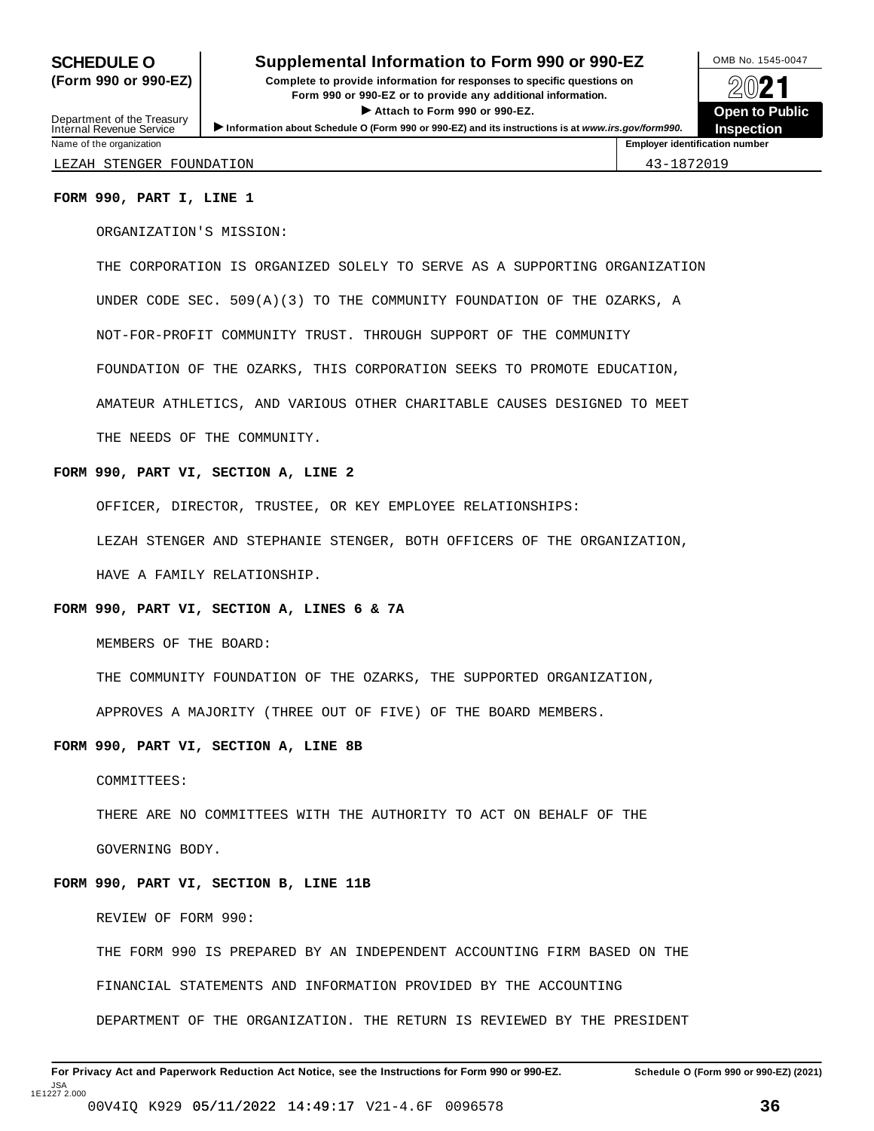### **SCHEDULE O** Supplemental Information to Form 990 or 990-EZ DMB No. 1545-0047

**(Form 990 or 990-EZ) Complete to provide information for responses to specific questions on** plete to provide information for responses to specific questions on  $\bigotimes_{\mathbb{Z}}\mathbb{Q}$  21 I **Attach to Form <sup>990</sup> or 990-EZ. Open to Public** Department of the Treasury <br>Depen to Public<br>Name of the organization<br>Name of the organization<br>Name of the organization<br>Name of the organization



Department of the Treasury<br>Internal Revenue Service

LEZAH STENGER FOUNDATION 43-1872019

#### **FORM 990, PART I, LINE 1**

ORGANIZATION'S MISSION:

THE CORPORATION IS ORGANIZED SOLELY TO SERVE AS A SUPPORTING ORGANIZATION UNDER CODE SEC. 509(A)(3) TO THE COMMUNITY FOUNDATION OF THE OZARKS, A NOT-FOR-PROFIT COMMUNITY TRUST. THROUGH SUPPORT OF THE COMMUNITY FOUNDATION OF THE OZARKS, THIS CORPORATION SEEKS TO PROMOTE EDUCATION, AMATEUR ATHLETICS, AND VARIOUS OTHER CHARITABLE CAUSES DESIGNED TO MEET THE NEEDS OF THE COMMUNITY.

#### **FORM 990, PART VI, SECTION A, LINE 2**

OFFICER, DIRECTOR, TRUSTEE, OR KEY EMPLOYEE RELATIONSHIPS:

LEZAH STENGER AND STEPHANIE STENGER, BOTH OFFICERS OF THE ORGANIZATION,

HAVE A FAMILY RELATIONSHIP.

#### **FORM 990, PART VI, SECTION A, LINES 6 & 7A**

MEMBERS OF THE BOARD:

THE COMMUNITY FOUNDATION OF THE OZARKS, THE SUPPORTED ORGANIZATION,

APPROVES A MAJORITY (THREE OUT OF FIVE) OF THE BOARD MEMBERS.

#### **FORM 990, PART VI, SECTION A, LINE 8B**

COMMITTEES:

THERE ARE NO COMMITTEES WITH THE AUTHORITY TO ACT ON BEHALF OF THE

GOVERNING BODY.

#### **FORM 990, PART VI, SECTION B, LINE 11B**

REVIEW OF FORM 990:

THE FORM 990 IS PREPARED BY AN INDEPENDENT ACCOUNTING FIRM BASED ON THE

FINANCIAL STATEMENTS AND INFORMATION PROVIDED BY THE ACCOUNTING

DEPARTMENT OF THE ORGANIZATION. THE RETURN IS REVIEWED BY THE PRESIDENT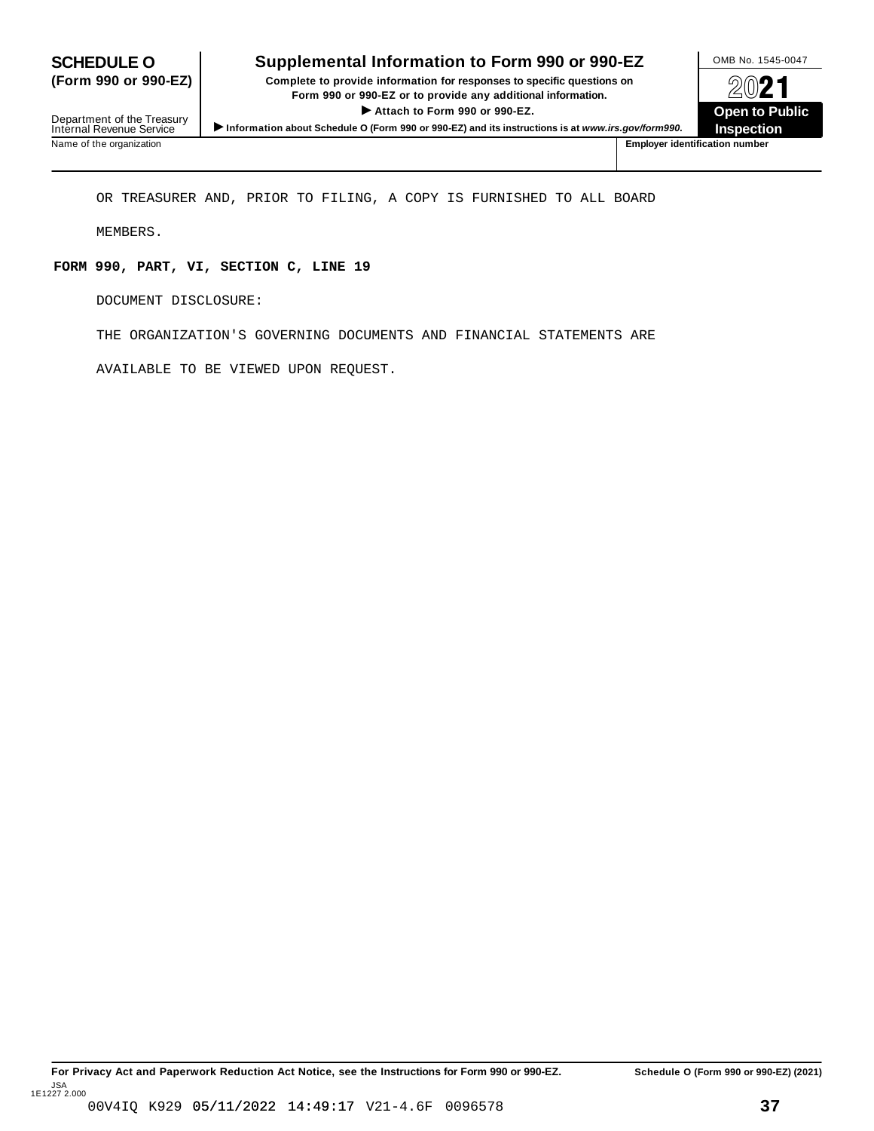### Department of the Treasury<br>Internal Revenue Service Information about Schedule O (Form 990 or 990-EZ) and its instructions is at www.irs.gov/form990.<br>Name of the organization<br>Name of the organization number

## **SCHEDULE O Supplemental Information to Form 990 or 990-EZ** OMB No. 1545-0047<br> **Complete to provide information for responses to specific questions on <br>
<b>OMD** 1

**(Form 990 or 990-EZ) Complete to provide information for responses to specific questions on** Plete to provide information for responses to specific questions on<br>
Form 990 or 990-EZ or to provide any additional information.<br>
▶ Attach to Form 990 or 990-EZ.<br>
Open to Public  $\blacktriangleright$  Attach to Form 990 or 990-EZ.

**Inspection**

OR TREASURER AND, PRIOR TO FILING, A COPY IS FURNISHED TO ALL BOARD

MEMBERS.

#### **FORM 990, PART, VI, SECTION C, LINE 19**

DOCUMENT DISCLOSURE:

THE ORGANIZATION'S GOVERNING DOCUMENTS AND FINANCIAL STATEMENTS ARE

AVAILABLE TO BE VIEWED UPON REQUEST.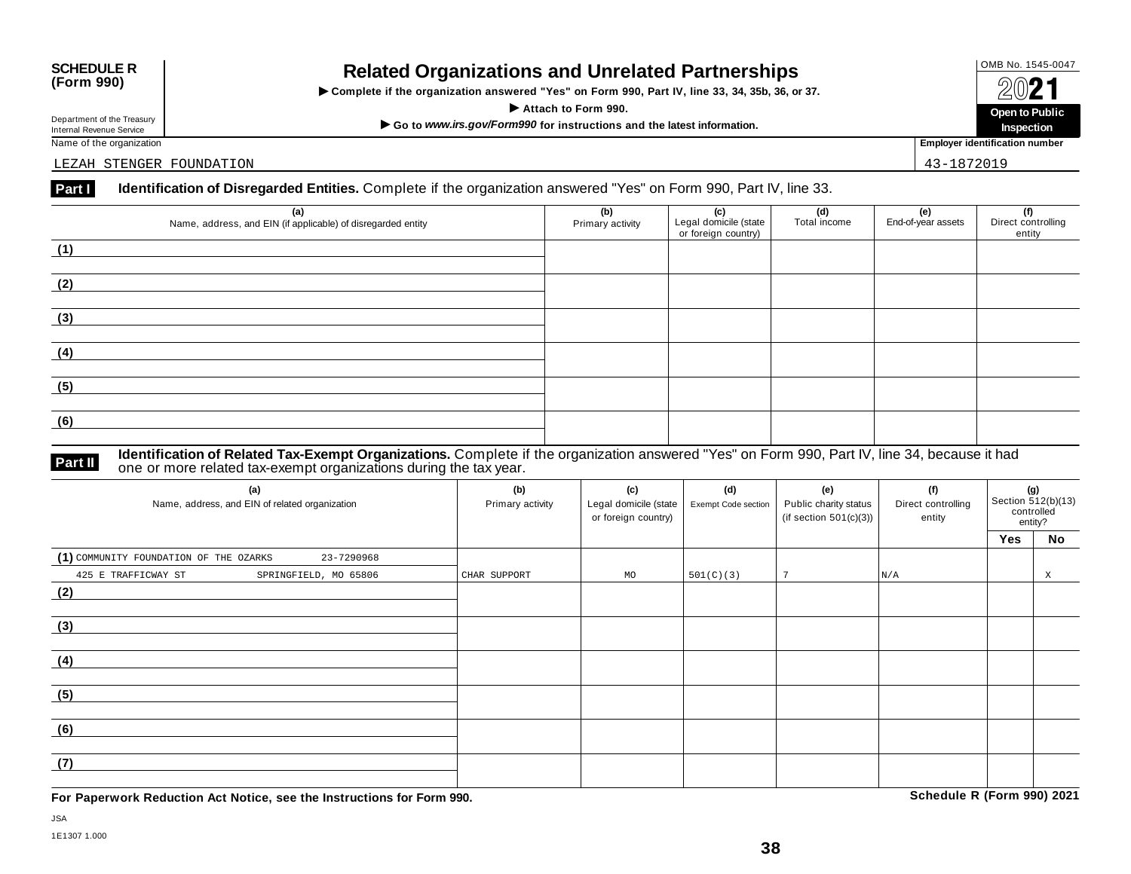### OMB No. 1545-0047 **SCHEDULE R (Form 990) Related Organizations and Unrelated Partnerships**

 $\triangleright$  Complete if the organization answered "Yes" on Form 990, Part IV, line 33, 34, 35b, 36, or 37.  $\angle$  **COLP**  $\angle$  **Public Form 990. COLP <b>Dependent in the state of the state of the state of the state of the state of the state of the state of the state of the state of the state of the state of the state of the s** 

Department of the Treasury<br>
Internal Revenue Service<br>
Name of the organization<br>
Name of the organization<br>
Name of the organization<br> **Name of the organization** 

Department of the Treasury<br>Internal Revenue Service

LEZAH STENGER FOUNDATION 43-1872019

#### **Part I Identification of Disregarded Entities.** Complete if the organization answered "Yes" on Form 990, Part IV, line 33.

| (a)<br>Name, address, and EIN (if applicable) of disregarded entity | (b)<br>Primary activity | (c)<br>Legal domicile (state<br>or foreign country) | (d)<br>Total income | (e)<br>End-of-year assets | (f)<br>Direct controlling<br>entity |
|---------------------------------------------------------------------|-------------------------|-----------------------------------------------------|---------------------|---------------------------|-------------------------------------|
| (1)                                                                 |                         |                                                     |                     |                           |                                     |
| (2)                                                                 |                         |                                                     |                     |                           |                                     |
| (3)                                                                 |                         |                                                     |                     |                           |                                     |
| (4)                                                                 |                         |                                                     |                     |                           |                                     |
| (5)                                                                 |                         |                                                     |                     |                           |                                     |
| (6)                                                                 |                         |                                                     |                     |                           |                                     |

#### **Identification of Related Tax-Exempt Organizations.** Complete if the organization answered "Yes" on Form 990, Part IV, line 34, because it had **Part II** dentification of Related Tax-Exempt organizations. Complete if one or more related tax-exempt organizations during the tax year.

| (a)<br>Name, address, and EIN of related organization | (b)<br>Primary activity | (c)<br>Legal domicile (state<br>or foreign country) | (d)<br>Exempt Code section | (e)<br>Public charity status<br>(if section $501(c)(3)$ ) | (f)<br>Direct controlling<br>entity | <b>(g)</b><br>Section 512(b)(13)<br>controlled<br>entity? |    |
|-------------------------------------------------------|-------------------------|-----------------------------------------------------|----------------------------|-----------------------------------------------------------|-------------------------------------|-----------------------------------------------------------|----|
|                                                       |                         |                                                     |                            |                                                           |                                     | Yes                                                       | No |
| (1) COMMUNITY FOUNDATION OF THE OZARKS<br>23-7290968  |                         |                                                     |                            |                                                           |                                     |                                                           |    |
| 425 E TRAFFICWAY ST<br>SPRINGFIELD, MO 65806          | CHAR SUPPORT            | MO                                                  | 501(C)(3)                  |                                                           | N/A                                 |                                                           | X  |
| (2)                                                   |                         |                                                     |                            |                                                           |                                     |                                                           |    |
|                                                       |                         |                                                     |                            |                                                           |                                     |                                                           |    |
| (3)                                                   |                         |                                                     |                            |                                                           |                                     |                                                           |    |
|                                                       |                         |                                                     |                            |                                                           |                                     |                                                           |    |
| (4)                                                   |                         |                                                     |                            |                                                           |                                     |                                                           |    |
|                                                       |                         |                                                     |                            |                                                           |                                     |                                                           |    |
| (5)                                                   |                         |                                                     |                            |                                                           |                                     |                                                           |    |
|                                                       |                         |                                                     |                            |                                                           |                                     |                                                           |    |
| (6)                                                   |                         |                                                     |                            |                                                           |                                     |                                                           |    |
|                                                       |                         |                                                     |                            |                                                           |                                     |                                                           |    |
| (7)                                                   |                         |                                                     |                            |                                                           |                                     |                                                           |    |
|                                                       |                         |                                                     |                            |                                                           |                                     |                                                           |    |

**For Paperwork Reduction Act Notice, see the Instructions for Form 990. Schedule R (Form 990) 2021**

**Inspection**

JSA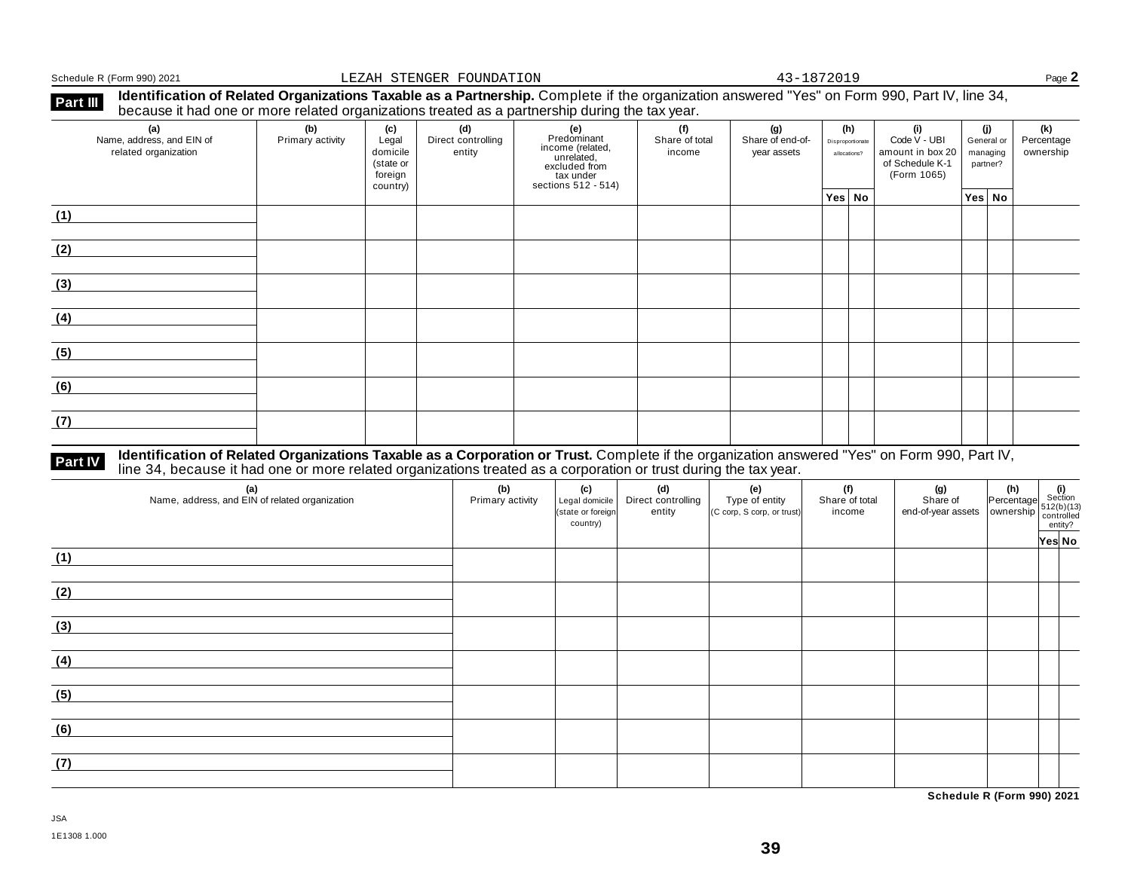Schedule R (Form 990) 2021 **Page 2 Page 2 Page 2** 

| <b>Part III</b> | Identification of Related Organizations Taxable as a Partnership. Complete if the organization answered "Yes" on Form 990, Part IV, line 34, |  |
|-----------------|----------------------------------------------------------------------------------------------------------------------------------------------|--|
|                 | because it had one or more related organizations treated as a partnership during the tax year.                                               |  |

| because it had one or more related eigenizations ireated as a partirership danny the tax year. |                         |                                                              |                                     |                                                                                                           |                                 |                                        |                                         |                                                                           |                                           |                                |
|------------------------------------------------------------------------------------------------|-------------------------|--------------------------------------------------------------|-------------------------------------|-----------------------------------------------------------------------------------------------------------|---------------------------------|----------------------------------------|-----------------------------------------|---------------------------------------------------------------------------|-------------------------------------------|--------------------------------|
| (a)<br>Name, address, and EIN of<br>related organization                                       | (b)<br>Primary activity | (c)<br>Legal<br>domicile<br>(state or<br>foreign<br>country) | (d)<br>Direct controlling<br>entity | (e)<br>Predominant<br>income (related,<br>unrelated,<br>excluded from<br>tax under<br>sections 512 - 514) | (f)<br>Share of total<br>income | (g)<br>Share of end-of-<br>year assets | (h)<br>Disproportionate<br>allocations? | (i)<br>Code V - UBI<br>amount in box 20<br>of Schedule K-1<br>(Form 1065) | (j)<br>General or<br>managing<br>partner? | (k)<br>Percentage<br>ownership |
|                                                                                                |                         |                                                              |                                     |                                                                                                           |                                 |                                        | Yes No                                  |                                                                           | $Yes $ No                                 |                                |
| (1)                                                                                            |                         |                                                              |                                     |                                                                                                           |                                 |                                        |                                         |                                                                           |                                           |                                |
| (2)                                                                                            |                         |                                                              |                                     |                                                                                                           |                                 |                                        |                                         |                                                                           |                                           |                                |
| (3)                                                                                            |                         |                                                              |                                     |                                                                                                           |                                 |                                        |                                         |                                                                           |                                           |                                |
| (4)                                                                                            |                         |                                                              |                                     |                                                                                                           |                                 |                                        |                                         |                                                                           |                                           |                                |
| (5)                                                                                            |                         |                                                              |                                     |                                                                                                           |                                 |                                        |                                         |                                                                           |                                           |                                |
| (6)                                                                                            |                         |                                                              |                                     |                                                                                                           |                                 |                                        |                                         |                                                                           |                                           |                                |
| (7)                                                                                            |                         |                                                              |                                     |                                                                                                           |                                 |                                        |                                         |                                                                           |                                           |                                |

## **Part IV** Identification of Related Organizations Taxable as a Corporation or Trust. Complete if the organization answered "Yes" on Form 990, Part IV,<br>line 34, because it had one or more related organizations treated as a

| (a)<br>Name, address, and EIN of related organization | (b)<br>Primary activity | (c)<br>Legal domicile<br>(state or foreign<br>country) | (d)<br>Direct controlling<br>entity | (e)<br>Type of entity<br>(C corp, S corp, or trust) | (f)<br>Share of total<br>income | $\begin{array}{ c c c }\n\hline\n\text{(g)} & \text{(h)} & \text{(i)} \\ \text{Share of} & \text{Percentage} & \text{Section} \\ \text{end-of-year assets} & \text{ ownership} & \text{function} \\ \hline\n\begin{array}{ c c c }\n\hline\n\text{(h)} & \text{(i)} \\ \text{function} & \text{function} \\ \hline\n\text{(i)} & \text{entropy} \\ \hline\n\end{array}\n\end{array}$ |        |
|-------------------------------------------------------|-------------------------|--------------------------------------------------------|-------------------------------------|-----------------------------------------------------|---------------------------------|--------------------------------------------------------------------------------------------------------------------------------------------------------------------------------------------------------------------------------------------------------------------------------------------------------------------------------------------------------------------------------------|--------|
| (1)                                                   |                         |                                                        |                                     |                                                     |                                 |                                                                                                                                                                                                                                                                                                                                                                                      | Yes No |
| (2)                                                   |                         |                                                        |                                     |                                                     |                                 |                                                                                                                                                                                                                                                                                                                                                                                      |        |
| (3)                                                   |                         |                                                        |                                     |                                                     |                                 |                                                                                                                                                                                                                                                                                                                                                                                      |        |
| (4)                                                   |                         |                                                        |                                     |                                                     |                                 |                                                                                                                                                                                                                                                                                                                                                                                      |        |
| (5)                                                   |                         |                                                        |                                     |                                                     |                                 |                                                                                                                                                                                                                                                                                                                                                                                      |        |
| (6)                                                   |                         |                                                        |                                     |                                                     |                                 |                                                                                                                                                                                                                                                                                                                                                                                      |        |
| (7)                                                   |                         |                                                        |                                     |                                                     |                                 |                                                                                                                                                                                                                                                                                                                                                                                      |        |

**Schedule R (Form 990) 2021**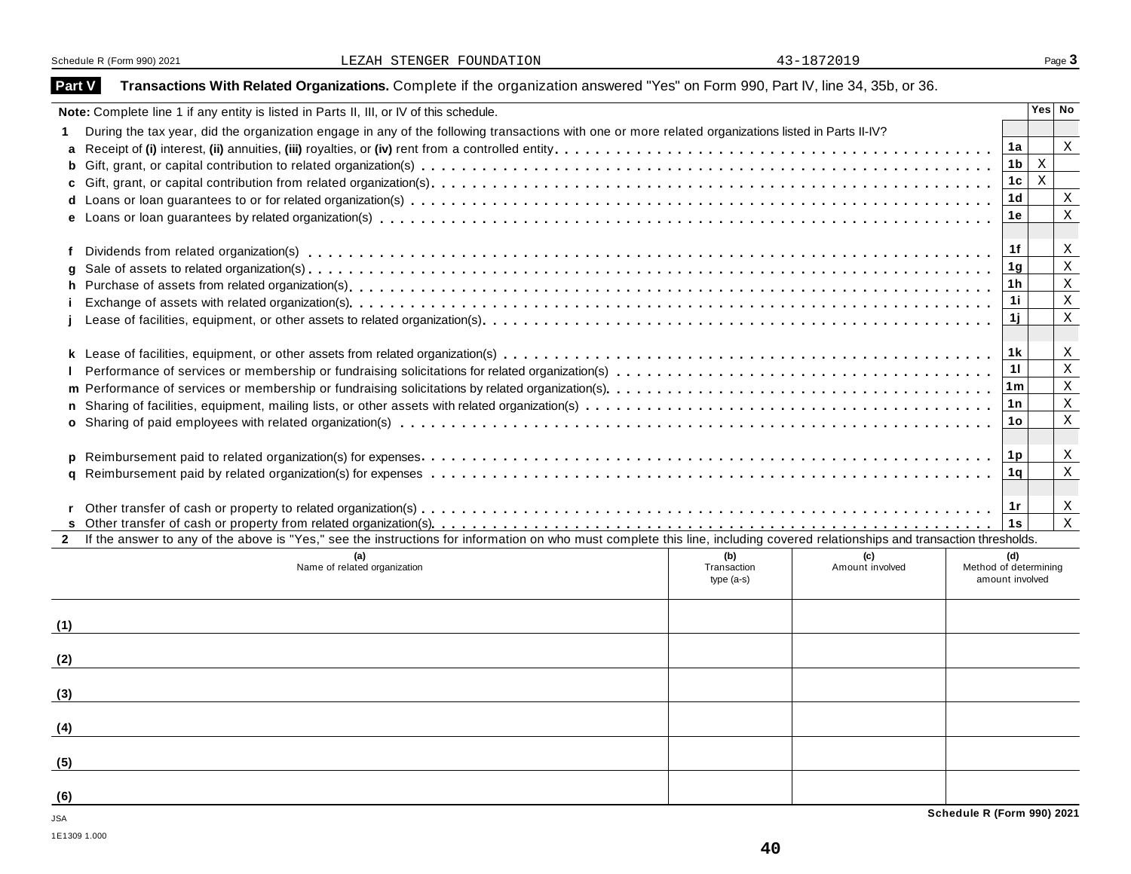### **Part V** Transactions With Related Organizations. Complete if the organization answered "Yes" on Form 990, Part IV, line 34, 35b, or 36.

|              | Note: Complete line 1 if any entity is listed in Parts II, III, or IV of this schedule.                                                                                      |                | Yes No       |                            |  |  |  |  |  |  |  |
|--------------|------------------------------------------------------------------------------------------------------------------------------------------------------------------------------|----------------|--------------|----------------------------|--|--|--|--|--|--|--|
|              | During the tax year, did the organization engage in any of the following transactions with one or more related organizations listed in Parts II-IV?                          |                |              |                            |  |  |  |  |  |  |  |
|              |                                                                                                                                                                              | 1a             |              | $\mathbf X$                |  |  |  |  |  |  |  |
| b            |                                                                                                                                                                              | 1 <sub>b</sub> | $\,$ X       |                            |  |  |  |  |  |  |  |
| c            |                                                                                                                                                                              | 1c             | $\mathbf{X}$ |                            |  |  |  |  |  |  |  |
|              |                                                                                                                                                                              | 1 <sub>d</sub> |              | X                          |  |  |  |  |  |  |  |
|              |                                                                                                                                                                              | 1e             |              | $\mathbf X$                |  |  |  |  |  |  |  |
|              |                                                                                                                                                                              |                |              |                            |  |  |  |  |  |  |  |
| $\mathbf{f}$ |                                                                                                                                                                              | 1f             |              | X                          |  |  |  |  |  |  |  |
| q            |                                                                                                                                                                              | 1 <sub>g</sub> |              | $\mathbf X$                |  |  |  |  |  |  |  |
| h            |                                                                                                                                                                              | 1 <sub>h</sub> |              | $\mathbf X$<br>$\mathbf X$ |  |  |  |  |  |  |  |
| 11           |                                                                                                                                                                              |                |              |                            |  |  |  |  |  |  |  |
|              |                                                                                                                                                                              | 1j             |              | Χ                          |  |  |  |  |  |  |  |
|              |                                                                                                                                                                              |                |              |                            |  |  |  |  |  |  |  |
|              |                                                                                                                                                                              | 1 k            |              | Χ                          |  |  |  |  |  |  |  |
|              |                                                                                                                                                                              | 11             |              | $\mathbf X$                |  |  |  |  |  |  |  |
|              |                                                                                                                                                                              | 1 <sub>m</sub> |              | X                          |  |  |  |  |  |  |  |
| n.           |                                                                                                                                                                              | 1n             |              | $\mathbf X$                |  |  |  |  |  |  |  |
|              |                                                                                                                                                                              | 1o             |              | $\mathbf X$                |  |  |  |  |  |  |  |
|              |                                                                                                                                                                              |                |              |                            |  |  |  |  |  |  |  |
| p            |                                                                                                                                                                              | 1p             |              | Χ                          |  |  |  |  |  |  |  |
| a            |                                                                                                                                                                              | 1q             |              | X                          |  |  |  |  |  |  |  |
|              |                                                                                                                                                                              |                |              |                            |  |  |  |  |  |  |  |
| r.           |                                                                                                                                                                              | <u>1r</u>      |              | X                          |  |  |  |  |  |  |  |
|              |                                                                                                                                                                              | 1s             |              | $\mathbf X$                |  |  |  |  |  |  |  |
| $\mathbf{2}$ | If the answer to any of the above is "Yes," see the instructions for information on who must complete this line, including covered relationships and transaction thresholds. |                |              |                            |  |  |  |  |  |  |  |
|              | (b)<br>(a)<br>(c)<br>Name of related organization<br>Method of determining<br>Transaction<br>Amount involved                                                                 | (d)            |              |                            |  |  |  |  |  |  |  |
|              | amount involved<br>$type(a-s)$                                                                                                                                               |                |              |                            |  |  |  |  |  |  |  |
|              |                                                                                                                                                                              |                |              |                            |  |  |  |  |  |  |  |
|              |                                                                                                                                                                              |                |              |                            |  |  |  |  |  |  |  |
| (1)          |                                                                                                                                                                              |                |              |                            |  |  |  |  |  |  |  |
|              |                                                                                                                                                                              |                |              |                            |  |  |  |  |  |  |  |
| (2)          |                                                                                                                                                                              |                |              |                            |  |  |  |  |  |  |  |
|              |                                                                                                                                                                              |                |              |                            |  |  |  |  |  |  |  |
| (3)          |                                                                                                                                                                              |                |              |                            |  |  |  |  |  |  |  |
|              |                                                                                                                                                                              |                |              |                            |  |  |  |  |  |  |  |
| (4)          |                                                                                                                                                                              |                |              |                            |  |  |  |  |  |  |  |
|              |                                                                                                                                                                              |                |              |                            |  |  |  |  |  |  |  |
| (5)          |                                                                                                                                                                              |                |              |                            |  |  |  |  |  |  |  |
|              |                                                                                                                                                                              |                |              |                            |  |  |  |  |  |  |  |
| (6)          |                                                                                                                                                                              |                |              |                            |  |  |  |  |  |  |  |
| <b>JSA</b>   | Schedule R (Form 990) 2021                                                                                                                                                   |                |              |                            |  |  |  |  |  |  |  |